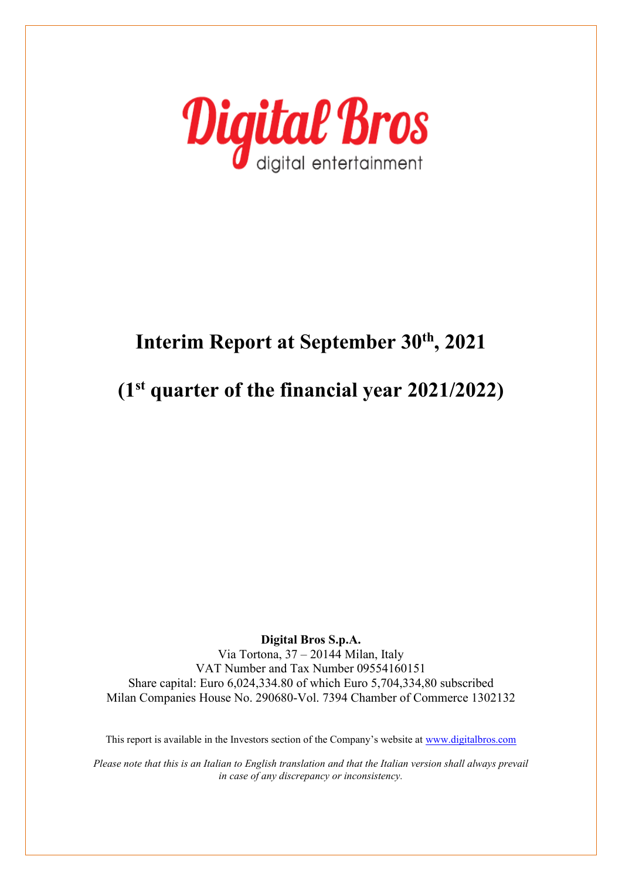

# **Interim Report at September 30th, 2021**

# **(1st quarter of the financial year 2021/2022)**

**Digital Bros S.p.A.** 

Via Tortona, 37 – 20144 Milan, Italy VAT Number and Tax Number 09554160151 Share capital: Euro 6,024,334.80 of which Euro 5,704,334,80 subscribed Milan Companies House No. 290680-Vol. 7394 Chamber of Commerce 1302132

This report is available in the Investors section of the Company's website at [www.digitalbros.com](http://www.digitalbros.com/)

*Please note that this is an Italian to English translation and that the Italian version shall always prevail in case of any discrepancy or inconsistency.*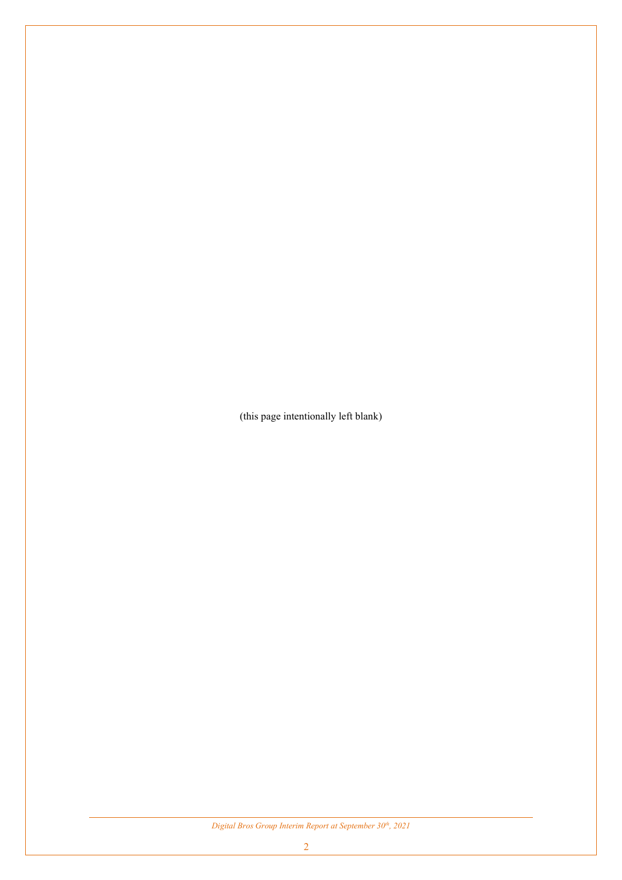(this page intentionally left blank)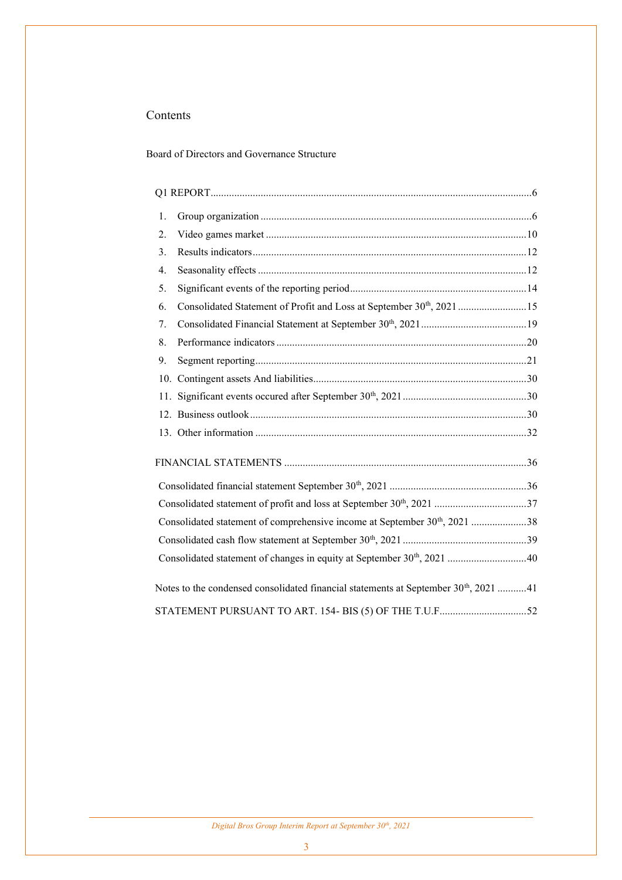# Contents

Board of Directors and Governance Structure

| 1. |                                                                                        |  |
|----|----------------------------------------------------------------------------------------|--|
| 2. |                                                                                        |  |
| 3. |                                                                                        |  |
| 4. |                                                                                        |  |
| 5. |                                                                                        |  |
| 6. | Consolidated Statement of Profit and Loss at September 30 <sup>th</sup> , 2021 15      |  |
| 7. |                                                                                        |  |
| 8. |                                                                                        |  |
| 9. |                                                                                        |  |
|    |                                                                                        |  |
|    |                                                                                        |  |
|    |                                                                                        |  |
|    |                                                                                        |  |
|    |                                                                                        |  |
|    |                                                                                        |  |
|    |                                                                                        |  |
|    | Consolidated statement of comprehensive income at September 30th, 2021 38              |  |
|    |                                                                                        |  |
|    |                                                                                        |  |
|    | Notes to the condensed consolidated financial statements at September $30th$ , 2021 41 |  |
|    |                                                                                        |  |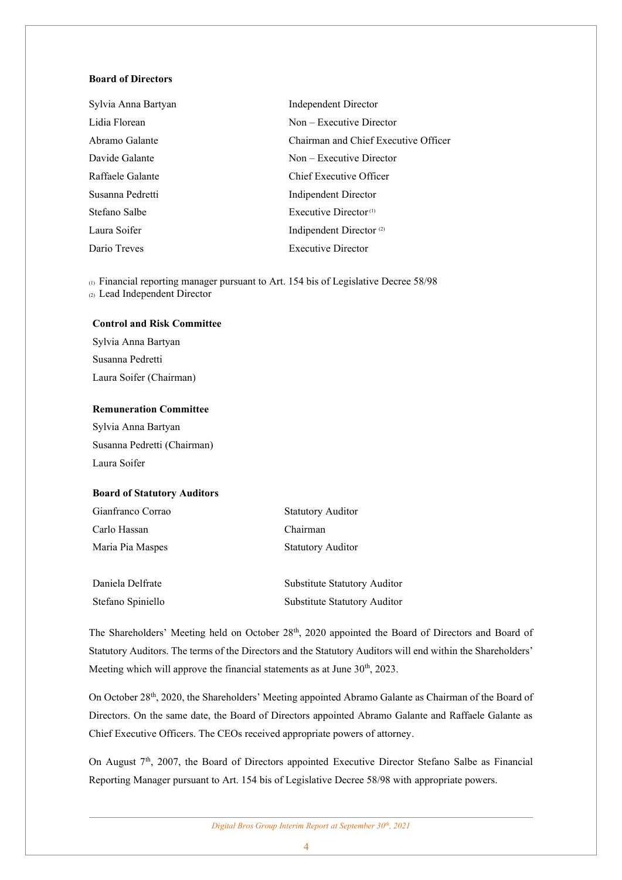#### **Board of Directors**

| Sylvia Anna Bartyan | <b>Independent Director</b>          |
|---------------------|--------------------------------------|
| Lidia Florean       | Non – Executive Director             |
| Abramo Galante      | Chairman and Chief Executive Officer |
| Davide Galante      | Non – Executive Director             |
| Raffaele Galante    | Chief Executive Officer              |
| Susanna Pedretti    | Indipendent Director                 |
| Stefano Salbe       | Executive Director $(1)$             |
| Laura Soifer        | Indipendent Director <sup>(2)</sup>  |
| Dario Treves        | <b>Executive Director</b>            |

(1) Financial reporting manager pursuant to Art. 154 bis of Legislative Decree 58/98 (2) Lead Independent Director

#### **Control and Risk Committee**

Sylvia Anna Bartyan Susanna Pedretti Laura Soifer (Chairman)

# **Remuneration Committee**

Sylvia Anna Bartyan Susanna Pedretti (Chairman) Laura Soifer

#### **Board of Statutory Auditors**

| Gianfranco Corrao | <b>Statutory Auditor</b> |
|-------------------|--------------------------|
| Carlo Hassan      | Chairman                 |
| Maria Pia Maspes  | <b>Statutory Auditor</b> |
|                   |                          |

| Daniela Delfrate  | <b>Substitute Statutory Auditor</b> |
|-------------------|-------------------------------------|
| Stefano Spiniello | <b>Substitute Statutory Auditor</b> |

The Shareholders' Meeting held on October 28<sup>th</sup>, 2020 appointed the Board of Directors and Board of Statutory Auditors. The terms of the Directors and the Statutory Auditors will end within the Shareholders' Meeting which will approve the financial statements as at June 30<sup>th</sup>, 2023.

On October 28th, 2020, the Shareholders' Meeting appointed Abramo Galante as Chairman of the Board of Directors. On the same date, the Board of Directors appointed Abramo Galante and Raffaele Galante as Chief Executive Officers. The CEOs received appropriate powers of attorney.

On August  $7<sup>th</sup>$ , 2007, the Board of Directors appointed Executive Director Stefano Salbe as Financial Reporting Manager pursuant to Art. 154 bis of Legislative Decree 58/98 with appropriate powers.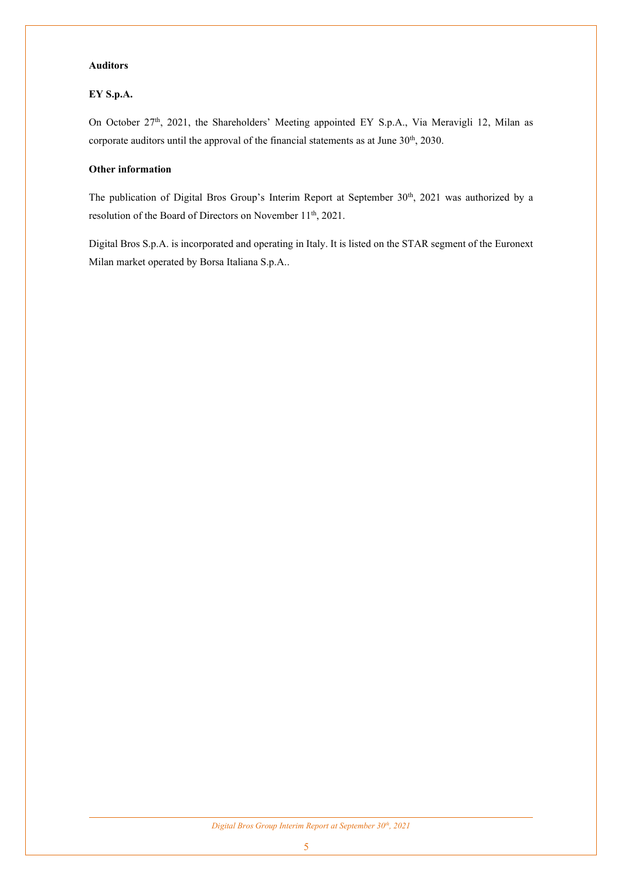# **Auditors**

## **EY S.p.A.**

On October 27<sup>th</sup>, 2021, the Shareholders' Meeting appointed EY S.p.A., Via Meravigli 12, Milan as corporate auditors until the approval of the financial statements as at June 30<sup>th</sup>, 2030.

# **Other information**

The publication of Digital Bros Group's Interim Report at September 30<sup>th</sup>, 2021 was authorized by a resolution of the Board of Directors on November 11th, 2021.

Digital Bros S.p.A. is incorporated and operating in Italy. It is listed on the STAR segment of the Euronext Milan market operated by Borsa Italiana S.p.A..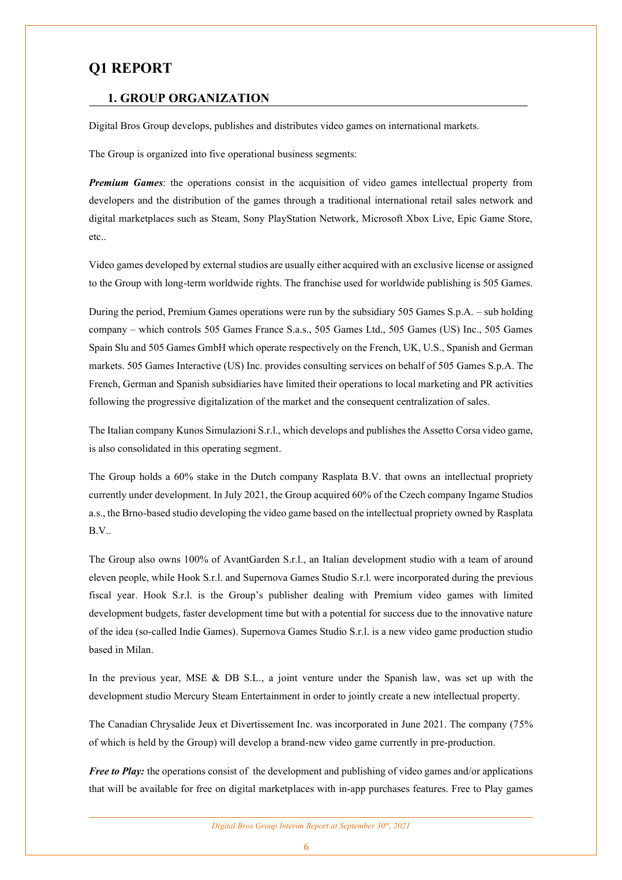# <span id="page-5-0"></span>**Q1 REPORT**

# <span id="page-5-1"></span>**1. GROUP ORGANIZATION**

Digital Bros Group develops, publishes and distributes video games on international markets.

The Group is organized into five operational business segments:

*Premium Games*: the operations consist in the acquisition of video games intellectual property from developers and the distribution of the games through a traditional international retail sales network and digital marketplaces such as Steam, Sony PlayStation Network, Microsoft Xbox Live, Epic Game Store, etc..

Video games developed by external studios are usually either acquired with an exclusive license or assigned to the Group with long-term worldwide rights. The franchise used for worldwide publishing is 505 Games.

During the period, Premium Games operations were run by the subsidiary 505 Games S.p.A. – sub holding company – which controls 505 Games France S.a.s., 505 Games Ltd., 505 Games (US) Inc., 505 Games Spain Slu and 505 Games GmbH which operate respectively on the French, UK, U.S., Spanish and German markets. 505 Games Interactive (US) Inc. provides consulting services on behalf of 505 Games S.p.A. The French, German and Spanish subsidiaries have limited their operations to local marketing and PR activities following the progressive digitalization of the market and the consequent centralization of sales.

The Italian company Kunos Simulazioni S.r.l., which develops and publishes the Assetto Corsa video game, is also consolidated in this operating segment.

The Group holds a 60% stake in the Dutch company Rasplata B.V. that owns an intellectual propriety currently under development. In July 2021, the Group acquired 60% of the Czech company Ingame Studios a.s., the Brno-based studio developing the video game based on the intellectual propriety owned by Rasplata B.V..

The Group also owns 100% of AvantGarden S.r.l., an Italian development studio with a team of around eleven people, while Hook S.r.l. and Supernova Games Studio S.r.l. were incorporated during the previous fiscal year. Hook S.r.l. is the Group's publisher dealing with Premium video games with limited development budgets, faster development time but with a potential for success due to the innovative nature of the idea (so-called Indie Games). Supernova Games Studio S.r.l. is a new video game production studio based in Milan.

In the previous year, MSE & DB S.L., a joint venture under the Spanish law, was set up with the development studio Mercury Steam Entertainment in order to jointly create a new intellectual property.

The Canadian Chrysalide Jeux et Divertissement Inc. was incorporated in June 2021. The company (75% of which is held by the Group) will develop a brand-new video game currently in pre-production.

*Free to Play:* the operations consist of the development and publishing of video games and/or applications that will be available for free on digital marketplaces with in-app purchases features. Free to Play games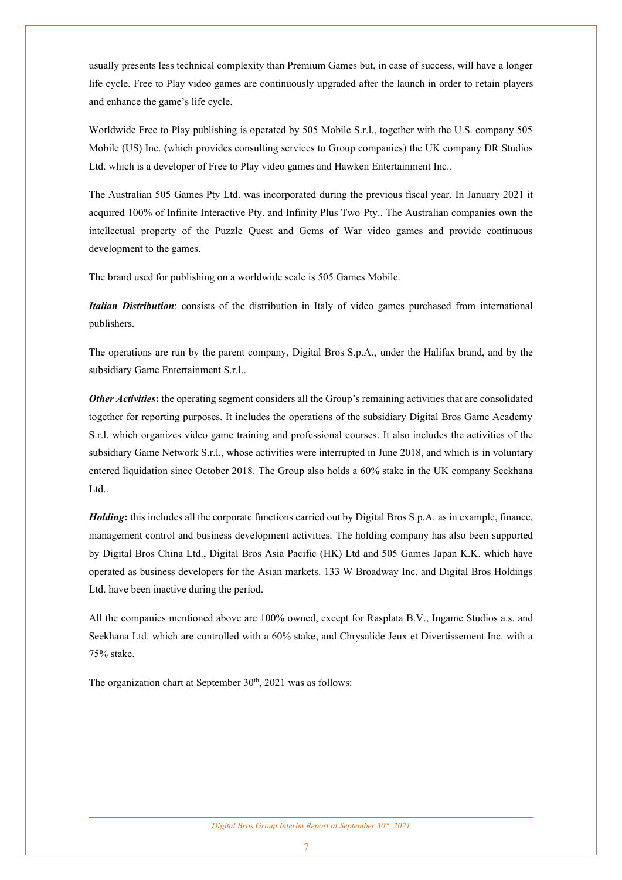usually presents less technical complexity than Premium Games but, in case of success, will have a longer life cycle. Free to Play video games are continuously upgraded after the launch in order to retain players and enhance the game's life cycle.

Worldwide Free to Play publishing is operated by 505 Mobile S.r.l., together with the U.S. company 505 Mobile (US) Inc. (which provides consulting services to Group companies) the UK company DR Studios Ltd. which is a developer of Free to Play video games and Hawken Entertainment Inc..

The Australian 505 Games Pty Ltd. was incorporated during the previous fiscal year. In January 2021 it acquired 100% of Infinite Interactive Pty. and Infinity Plus Two Pty.. The Australian companies own the intellectual property of the Puzzle Quest and Gems of War video games and provide continuous development to the games.

The brand used for publishing on a worldwide scale is 505 Games Mobile.

*Italian Distribution*: consists of the distribution in Italy of video games purchased from international publishers.

The operations are run by the parent company, Digital Bros S.p.A., under the Halifax brand, and by the subsidiary Game Entertainment S.r.l..

*Other Activities***:** the operating segment considers all the Group's remaining activities that are consolidated together for reporting purposes. It includes the operations of the subsidiary Digital Bros Game Academy S.r.l. which organizes video game training and professional courses. It also includes the activities of the subsidiary Game Network S.r.l., whose activities were interrupted in June 2018, and which is in voluntary entered liquidation since October 2018. The Group also holds a 60% stake in the UK company Seekhana Ltd..

*Holding***:** this includes all the corporate functions carried out by Digital Bros S.p.A. as in example, finance, management control and business development activities. The holding company has also been supported by Digital Bros China Ltd., Digital Bros Asia Pacific (HK) Ltd and 505 Games Japan K.K. which have operated as business developers for the Asian markets. 133 W Broadway Inc. and Digital Bros Holdings Ltd. have been inactive during the period.

All the companies mentioned above are 100% owned, except for Rasplata B.V., Ingame Studios a.s. and Seekhana Ltd. which are controlled with a 60% stake, and Chrysalide Jeux et Divertissement Inc. with a 75% stake.

The organization chart at September  $30<sup>th</sup>$ ,  $2021$  was as follows: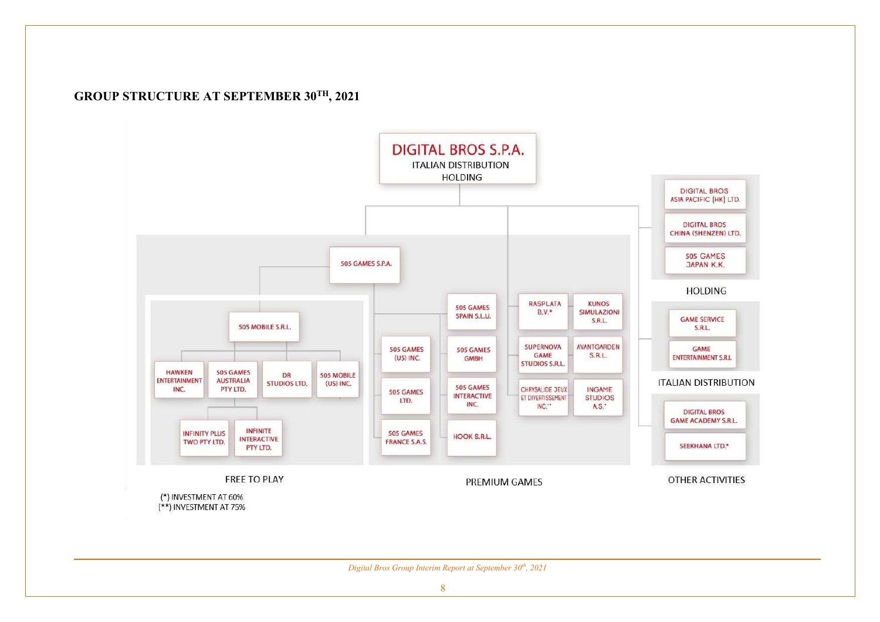# **GROUP STRUCTURE AT SEPTEMBER 30TH, 2021**

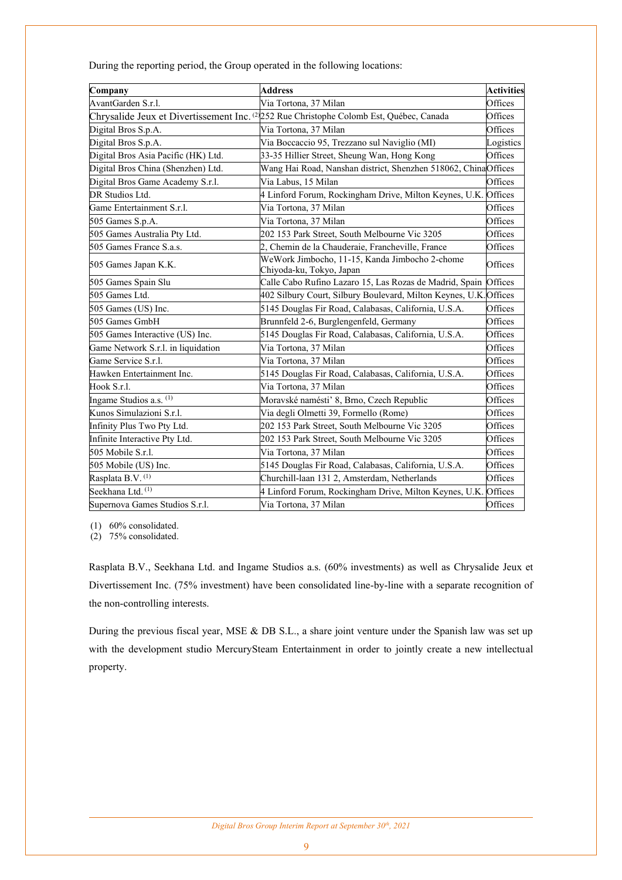During the reporting period, the Group operated in the following locations:

| Company                             | <b>Address</b>                                                                                      | <b>Activities</b> |
|-------------------------------------|-----------------------------------------------------------------------------------------------------|-------------------|
| AvantGarden S.r.l.                  | Via Tortona, 37 Milan                                                                               | Offices           |
|                                     | Chrysalide Jeux et Divertissement Inc. <sup>(2)</sup> 252 Rue Christophe Colomb Est, Québec, Canada | Offices           |
| Digital Bros S.p.A.                 | Via Tortona, 37 Milan                                                                               | Offices           |
| Digital Bros S.p.A.                 | Via Boccaccio 95, Trezzano sul Naviglio (MI)                                                        | Logistics         |
| Digital Bros Asia Pacific (HK) Ltd. | 33-35 Hillier Street, Sheung Wan, Hong Kong                                                         | Offices           |
| Digital Bros China (Shenzhen) Ltd.  | Wang Hai Road, Nanshan district, Shenzhen 518062, ChinaOffices                                      |                   |
| Digital Bros Game Academy S.r.l.    | Via Labus, 15 Milan                                                                                 | Offices           |
| DR Studios Ltd.                     | 4 Linford Forum, Rockingham Drive, Milton Keynes, U.K.                                              | Offices           |
| Game Entertainment S.r.l.           | Via Tortona, 37 Milan                                                                               | Offices           |
| 505 Games S.p.A.                    | Via Tortona, 37 Milan                                                                               | Offices           |
| 505 Games Australia Pty Ltd.        | 202 153 Park Street, South Melbourne Vic 3205                                                       | Offices           |
| 505 Games France S.a.s.             | 2, Chemin de la Chauderaie, Francheville, France                                                    | Offices           |
| 505 Games Japan K.K.                | WeWork Jimbocho, 11-15, Kanda Jimbocho 2-chome<br>Chiyoda-ku, Tokyo, Japan                          | Offices           |
| 505 Games Spain Slu                 | Calle Cabo Rufino Lazaro 15, Las Rozas de Madrid, Spain                                             | Offices           |
| 505 Games Ltd.                      | 402 Silbury Court, Silbury Boulevard, Milton Keynes, U.K. Offices                                   |                   |
| 505 Games (US) Inc.                 | 5145 Douglas Fir Road, Calabasas, California, U.S.A.                                                | Offices           |
| 505 Games GmbH                      | Brunnfeld 2-6, Burglengenfeld, Germany                                                              | Offices           |
| 505 Games Interactive (US) Inc.     | 5145 Douglas Fir Road, Calabasas, California, U.S.A.                                                | Offices           |
| Game Network S.r.l. in liquidation  | Via Tortona, 37 Milan                                                                               | Offices           |
| Game Service S.r.l.                 | Via Tortona, 37 Milan                                                                               | Offices           |
| Hawken Entertainment Inc.           | 5145 Douglas Fir Road, Calabasas, California, U.S.A.                                                | Offices           |
| Hook S.r.l.                         | Via Tortona, 37 Milan                                                                               | Offices           |
| Ingame Studios a.s. (1)             | Moravské namésti' 8, Brno, Czech Republic                                                           | Offices           |
| Kunos Simulazioni S.r.l.            | Via degli Olmetti 39, Formello (Rome)                                                               | Offices           |
| Infinity Plus Two Pty Ltd.          | 202 153 Park Street, South Melbourne Vic 3205                                                       | Offices           |
| Infinite Interactive Pty Ltd.       | 202 153 Park Street, South Melbourne Vic 3205                                                       | Offices           |
| 505 Mobile S.r.l.                   | Via Tortona, 37 Milan                                                                               | Offices           |
| 505 Mobile (US) Inc.                | 5145 Douglas Fir Road, Calabasas, California, U.S.A.                                                | Offices           |
| Rasplata B.V. <sup>(1)</sup>        | Churchill-laan 131 2, Amsterdam, Netherlands                                                        | Offices           |
| Seekhana Ltd. <sup>(1)</sup>        | 4 Linford Forum, Rockingham Drive, Milton Keynes, U.K.                                              | Offices           |
| Supernova Games Studios S.r.l.      | Via Tortona, 37 Milan                                                                               | Offices           |

(1) 60% consolidated.

(2) 75% consolidated.

Rasplata B.V., Seekhana Ltd. and Ingame Studios a.s. (60% investments) as well as Chrysalide Jeux et Divertissement Inc. (75% investment) have been consolidated line-by-line with a separate recognition of the non-controlling interests.

During the previous fiscal year, MSE & DB S.L., a share joint venture under the Spanish law was set up with the development studio MercurySteam Entertainment in order to jointly create a new intellectual property.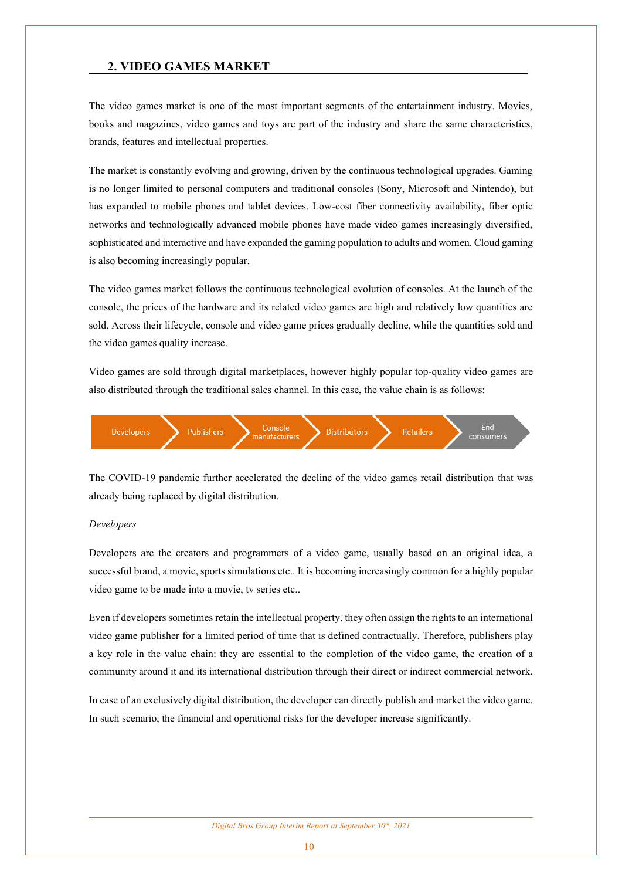# <span id="page-9-0"></span>**2. VIDEO GAMES MARKET**

The video games market is one of the most important segments of the entertainment industry. Movies, books and magazines, video games and toys are part of the industry and share the same characteristics, brands, features and intellectual properties.

The market is constantly evolving and growing, driven by the continuous technological upgrades. Gaming is no longer limited to personal computers and traditional consoles (Sony, Microsoft and Nintendo), but has expanded to mobile phones and tablet devices. Low-cost fiber connectivity availability, fiber optic networks and technologically advanced mobile phones have made video games increasingly diversified, sophisticated and interactive and have expanded the gaming population to adults and women. Cloud gaming is also becoming increasingly popular.

The video games market follows the continuous technological evolution of consoles. At the launch of the console, the prices of the hardware and its related video games are high and relatively low quantities are sold. Across their lifecycle, console and video game prices gradually decline, while the quantities sold and the video games quality increase.

Video games are sold through digital marketplaces, however highly popular top-quality video games are also distributed through the traditional sales channel. In this case, the value chain is as follows:



The COVID-19 pandemic further accelerated the decline of the video games retail distribution that was already being replaced by digital distribution.

#### *Developers*

Developers are the creators and programmers of a video game, usually based on an original idea, a successful brand, a movie, sports simulations etc.. It is becoming increasingly common for a highly popular video game to be made into a movie, tv series etc..

Even if developers sometimes retain the intellectual property, they often assign the rights to an international video game publisher for a limited period of time that is defined contractually. Therefore, publishers play a key role in the value chain: they are essential to the completion of the video game, the creation of a community around it and its international distribution through their direct or indirect commercial network.

In case of an exclusively digital distribution, the developer can directly publish and market the video game. In such scenario, the financial and operational risks for the developer increase significantly.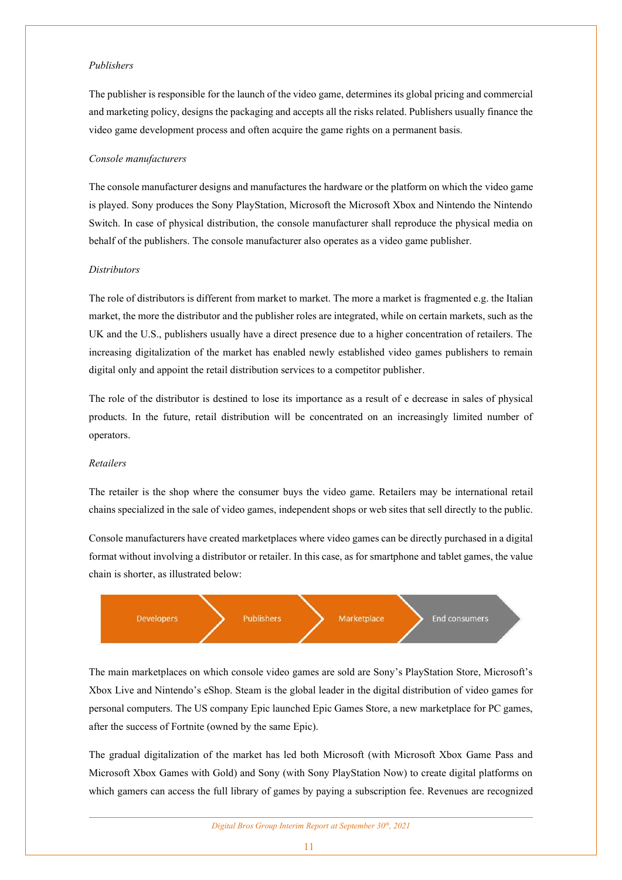#### *Publishers*

The publisher is responsible for the launch of the video game, determines its global pricing and commercial and marketing policy, designs the packaging and accepts all the risks related. Publishers usually finance the video game development process and often acquire the game rights on a permanent basis.

#### *Console manufacturers*

The console manufacturer designs and manufactures the hardware or the platform on which the video game is played. Sony produces the Sony PlayStation, Microsoft the Microsoft Xbox and Nintendo the Nintendo Switch. In case of physical distribution, the console manufacturer shall reproduce the physical media on behalf of the publishers. The console manufacturer also operates as a video game publisher.

#### *Distributors*

The role of distributors is different from market to market. The more a market is fragmented e.g. the Italian market, the more the distributor and the publisher roles are integrated, while on certain markets, such as the UK and the U.S., publishers usually have a direct presence due to a higher concentration of retailers. The increasing digitalization of the market has enabled newly established video games publishers to remain digital only and appoint the retail distribution services to a competitor publisher.

The role of the distributor is destined to lose its importance as a result of e decrease in sales of physical products. In the future, retail distribution will be concentrated on an increasingly limited number of operators.

#### *Retailers*

The retailer is the shop where the consumer buys the video game. Retailers may be international retail chains specialized in the sale of video games, independent shops or web sites that sell directly to the public.

Console manufacturers have created marketplaces where video games can be directly purchased in a digital format without involving a distributor or retailer. In this case, as for smartphone and tablet games, the value chain is shorter, as illustrated below:



The main marketplaces on which console video games are sold are Sony's PlayStation Store, Microsoft's Xbox Live and Nintendo's eShop. Steam is the global leader in the digital distribution of video games for personal computers. The US company Epic launched Epic Games Store, a new marketplace for PC games, after the success of Fortnite (owned by the same Epic).

The gradual digitalization of the market has led both Microsoft (with Microsoft Xbox Game Pass and Microsoft Xbox Games with Gold) and Sony (with Sony PlayStation Now) to create digital platforms on which gamers can access the full library of games by paying a subscription fee. Revenues are recognized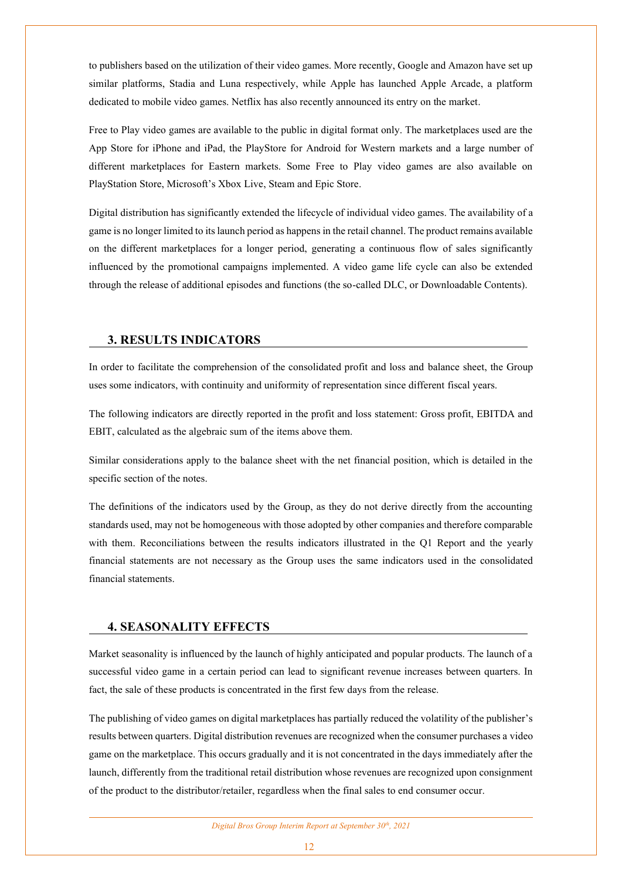to publishers based on the utilization of their video games. More recently, Google and Amazon have set up similar platforms, Stadia and Luna respectively, while Apple has launched Apple Arcade, a platform dedicated to mobile video games. Netflix has also recently announced its entry on the market.

Free to Play video games are available to the public in digital format only. The marketplaces used are the App Store for iPhone and iPad, the PlayStore for Android for Western markets and a large number of different marketplaces for Eastern markets. Some Free to Play video games are also available on PlayStation Store, Microsoft's Xbox Live, Steam and Epic Store.

Digital distribution has significantly extended the lifecycle of individual video games. The availability of a game is no longer limited to its launch period as happens in the retail channel. The product remains available on the different marketplaces for a longer period, generating a continuous flow of sales significantly influenced by the promotional campaigns implemented. A video game life cycle can also be extended through the release of additional episodes and functions (the so-called DLC, or Downloadable Contents).

# <span id="page-11-0"></span>**3. RESULTS INDICATORS**

In order to facilitate the comprehension of the consolidated profit and loss and balance sheet, the Group uses some indicators, with continuity and uniformity of representation since different fiscal years.

The following indicators are directly reported in the profit and loss statement: Gross profit, EBITDA and EBIT, calculated as the algebraic sum of the items above them.

Similar considerations apply to the balance sheet with the net financial position, which is detailed in the specific section of the notes.

The definitions of the indicators used by the Group, as they do not derive directly from the accounting standards used, may not be homogeneous with those adopted by other companies and therefore comparable with them. Reconciliations between the results indicators illustrated in the Q1 Report and the yearly financial statements are not necessary as the Group uses the same indicators used in the consolidated financial statements.

# <span id="page-11-1"></span>**4. SEASONALITY EFFECTS**

Market seasonality is influenced by the launch of highly anticipated and popular products. The launch of a successful video game in a certain period can lead to significant revenue increases between quarters. In fact, the sale of these products is concentrated in the first few days from the release.

The publishing of video games on digital marketplaces has partially reduced the volatility of the publisher's results between quarters. Digital distribution revenues are recognized when the consumer purchases a video game on the marketplace. This occurs gradually and it is not concentrated in the days immediately after the launch, differently from the traditional retail distribution whose revenues are recognized upon consignment of the product to the distributor/retailer, regardless when the final sales to end consumer occur.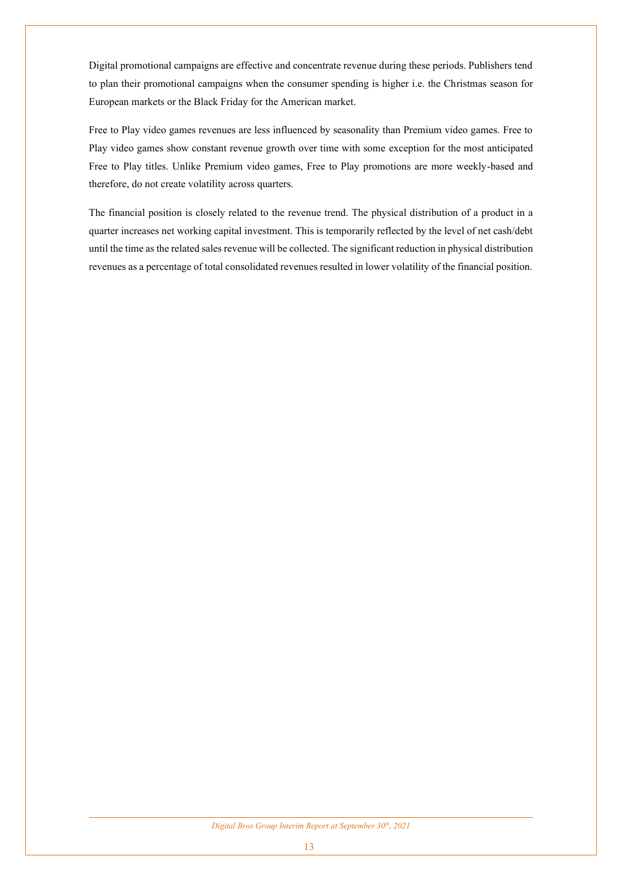Digital promotional campaigns are effective and concentrate revenue during these periods. Publishers tend to plan their promotional campaigns when the consumer spending is higher i.e. the Christmas season for European markets or the Black Friday for the American market.

Free to Play video games revenues are less influenced by seasonality than Premium video games. Free to Play video games show constant revenue growth over time with some exception for the most anticipated Free to Play titles. Unlike Premium video games, Free to Play promotions are more weekly-based and therefore, do not create volatility across quarters.

The financial position is closely related to the revenue trend. The physical distribution of a product in a quarter increases net working capital investment. This is temporarily reflected by the level of net cash/debt until the time as the related sales revenue will be collected. The significant reduction in physical distribution revenues as a percentage of total consolidated revenues resulted in lower volatility of the financial position.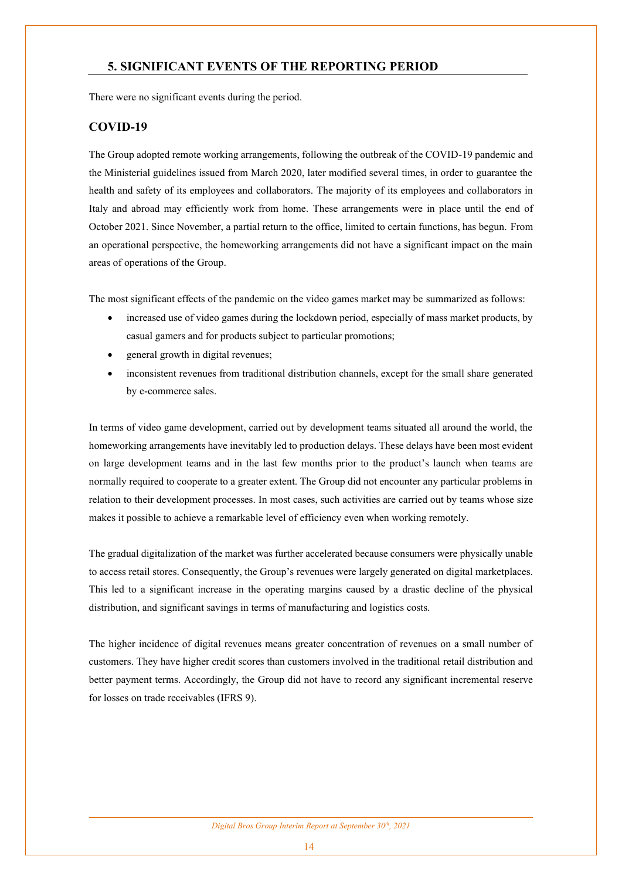# <span id="page-13-0"></span>**5. SIGNIFICANT EVENTS OF THE REPORTING PERIOD**

There were no significant events during the period.

# **COVID-19**

The Group adopted remote working arrangements, following the outbreak of the COVID-19 pandemic and the Ministerial guidelines issued from March 2020, later modified several times, in order to guarantee the health and safety of its employees and collaborators. The majority of its employees and collaborators in Italy and abroad may efficiently work from home. These arrangements were in place until the end of October 2021. Since November, a partial return to the office, limited to certain functions, has begun. From an operational perspective, the homeworking arrangements did not have a significant impact on the main areas of operations of the Group.

The most significant effects of the pandemic on the video games market may be summarized as follows:

- increased use of video games during the lockdown period, especially of mass market products, by casual gamers and for products subject to particular promotions;
- general growth in digital revenues;
- inconsistent revenues from traditional distribution channels, except for the small share generated by e-commerce sales.

In terms of video game development, carried out by development teams situated all around the world, the homeworking arrangements have inevitably led to production delays. These delays have been most evident on large development teams and in the last few months prior to the product's launch when teams are normally required to cooperate to a greater extent. The Group did not encounter any particular problems in relation to their development processes. In most cases, such activities are carried out by teams whose size makes it possible to achieve a remarkable level of efficiency even when working remotely.

The gradual digitalization of the market was further accelerated because consumers were physically unable to access retail stores. Consequently, the Group's revenues were largely generated on digital marketplaces. This led to a significant increase in the operating margins caused by a drastic decline of the physical distribution, and significant savings in terms of manufacturing and logistics costs.

The higher incidence of digital revenues means greater concentration of revenues on a small number of customers. They have higher credit scores than customers involved in the traditional retail distribution and better payment terms. Accordingly, the Group did not have to record any significant incremental reserve for losses on trade receivables (IFRS 9).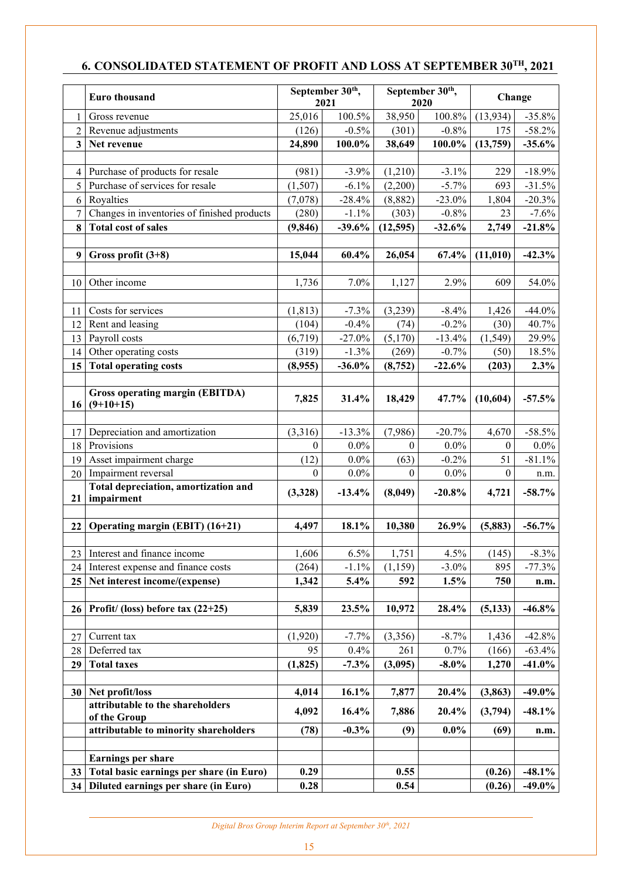|                  | Euro thousand                                         |          | September 30 <sup>th</sup> ,<br>2021 |              | September $30^{\text{th}}$ ,<br>2020 | Change           |           |
|------------------|-------------------------------------------------------|----------|--------------------------------------|--------------|--------------------------------------|------------------|-----------|
| $\mathbf{1}$     | Gross revenue                                         | 25,016   | 100.5%                               | 38,950       | $100.8\%$                            | (13, 934)        | $-35.8%$  |
| $\overline{c}$   | Revenue adjustments                                   | (126)    | $-0.5%$                              | (301)        | $-0.8%$                              | 175              | $-58.2%$  |
| 3                | Net revenue                                           | 24,890   | $100.0\%$                            | 38,649       | $100.0\%$                            | (13,759)         | $-35.6%$  |
|                  |                                                       |          |                                      |              |                                      |                  |           |
| $\overline{4}$   | Purchase of products for resale                       | (981)    | $-3.9%$                              | (1,210)      | $-3.1%$                              | 229              | $-18.9\%$ |
| 5                | Purchase of services for resale                       | (1,507)  | $-6.1%$                              | (2,200)      | $-5.7%$                              | 693              | $-31.5%$  |
| 6                | Royalties                                             | (7,078)  | $-28.4%$                             | (8, 882)     | $-23.0\%$                            | 1,804            | $-20.3%$  |
| 7                | Changes in inventories of finished products           | (280)    | $-1.1%$                              | (303)        | $-0.8\%$                             | 23               | $-7.6%$   |
| 8                | <b>Total cost of sales</b>                            | (9, 846) | $-39.6%$                             | (12, 595)    | $-32.6%$                             | 2,749            | $-21.8%$  |
|                  |                                                       |          |                                      |              |                                      |                  |           |
| 9                | Gross profit $(3+8)$                                  | 15,044   | 60.4%                                | 26,054       | 67.4%                                | (11, 010)        | $-42.3%$  |
|                  |                                                       |          |                                      |              |                                      |                  |           |
| 10               | Other income                                          | 1,736    | 7.0%                                 | 1,127        | 2.9%                                 | 609              | 54.0%     |
|                  |                                                       |          |                                      |              |                                      |                  |           |
| 11               | Costs for services                                    | (1, 813) | $-7.3%$                              | (3,239)      | $-8.4%$                              | 1,426            | $-44.0%$  |
| 12               | Rent and leasing                                      | (104)    | $-0.4%$                              | (74)         | $-0.2%$                              | (30)             | 40.7%     |
| 13               | Payroll costs                                         | (6, 719) | $-27.0%$                             | (5,170)      | $-13.4%$                             | (1, 549)         | 29.9%     |
| 14               | Other operating costs                                 | (319)    | $-1.3%$                              | (269)        | $-0.7%$                              | (50)             | 18.5%     |
| 15 <sup>15</sup> | <b>Total operating costs</b>                          | (8,955)  | $-36.0%$                             | (8,752)      | $-22.6%$                             | (203)            | 2.3%      |
|                  |                                                       |          |                                      |              |                                      |                  |           |
| 16               | <b>Gross operating margin (EBITDA)</b><br>$(9+10+15)$ | 7,825    | 31.4%                                | 18,429       | 47.7%                                | (10,604)         | $-57.5%$  |
|                  |                                                       |          |                                      |              |                                      |                  |           |
| 17               | Depreciation and amortization                         | (3,316)  | $-13.3%$                             | (7,986)      | $-20.7%$                             | 4,670            | $-58.5%$  |
| 18               | Provisions                                            | $\theta$ | $0.0\%$                              | $\mathbf{0}$ | $0.0\%$                              | $\theta$         | $0.0\%$   |
| 19               | Asset impairment charge                               | (12)     | $0.0\%$                              | (63)         | $-0.2%$                              | 51               | $-81.1%$  |
| 20               | Impairment reversal                                   | $\Omega$ | $0.0\%$                              | $\theta$     | $0.0\%$                              | $\boldsymbol{0}$ | n.m.      |
|                  | Total depreciation, amortization and                  |          |                                      |              |                                      |                  |           |
| 21               | impairment                                            | (3,328)  | $-13.4%$                             | (8,049)      | $-20.8%$                             | 4,721            | $-58.7\%$ |
|                  |                                                       |          |                                      |              |                                      |                  |           |
| 22               | Operating margin (EBIT) (16+21)                       | 4,497    | 18.1%                                | 10,380       | 26.9%                                | (5,883)          | $-56.7\%$ |
|                  |                                                       |          |                                      |              |                                      |                  |           |
| 23               | Interest and finance income                           | 1,606    | 6.5%                                 | 1,751        | 4.5%                                 | (145)            | $-8.3\%$  |
| 24               | Interest expense and finance costs                    | (264)    | $-1.1%$                              | (1, 159)     | $-3.0\%$                             | 895              | $-77.3%$  |
| 25               | Net interest income/(expense)                         | 1,342    | 5.4%                                 | 592          | 1.5%                                 | 750              | n.m.      |
|                  |                                                       |          |                                      |              |                                      |                  |           |
| 26               | Profit/ (loss) before tax $(22+25)$                   | 5,839    | 23.5%                                | 10,972       | 28.4%                                | (5, 133)         | $-46.8%$  |
|                  |                                                       |          |                                      |              |                                      |                  |           |
| 27               | Current tax                                           | (1,920)  | $-7.7%$                              | (3, 356)     | $-8.7\%$                             | 1,436            | $-42.8%$  |
| 28               | Deferred tax                                          | 95       | 0.4%                                 | 261          | 0.7%                                 | (166)            | $-63.4%$  |
| 29               | <b>Total taxes</b>                                    | (1, 825) | $-7.3\%$                             | (3,095)      | $-8.0\%$                             | 1,270            | $-41.0\%$ |
|                  |                                                       |          |                                      |              |                                      |                  |           |
|                  | 30 Net profit/loss                                    | 4,014    | 16.1%                                | 7,877        | 20.4%                                | (3, 863)         | $-49.0\%$ |
|                  | attributable to the shareholders<br>of the Group      | 4,092    | 16.4%                                | 7,886        | 20.4%                                | (3,794)          | $-48.1%$  |
|                  | attributable to minority shareholders                 | (78)     | $-0.3\%$                             | (9)          | $0.0\%$                              | (69)             | n.m.      |
|                  |                                                       |          |                                      |              |                                      |                  |           |
|                  | Earnings per share                                    |          |                                      |              |                                      |                  |           |
| 33 <sup>3</sup>  | Total basic earnings per share (in Euro)              | 0.29     |                                      | 0.55         |                                      | (0.26)           | $-48.1\%$ |
|                  | 34 Diluted earnings per share (in Euro)               | 0.28     |                                      | 0.54         |                                      | (0.26)           | $-49.0\%$ |

# <span id="page-14-0"></span>**6. CONSOLIDATED STATEMENT OF PROFIT AND LOSS AT SEPTEMBER 30TH, 2021**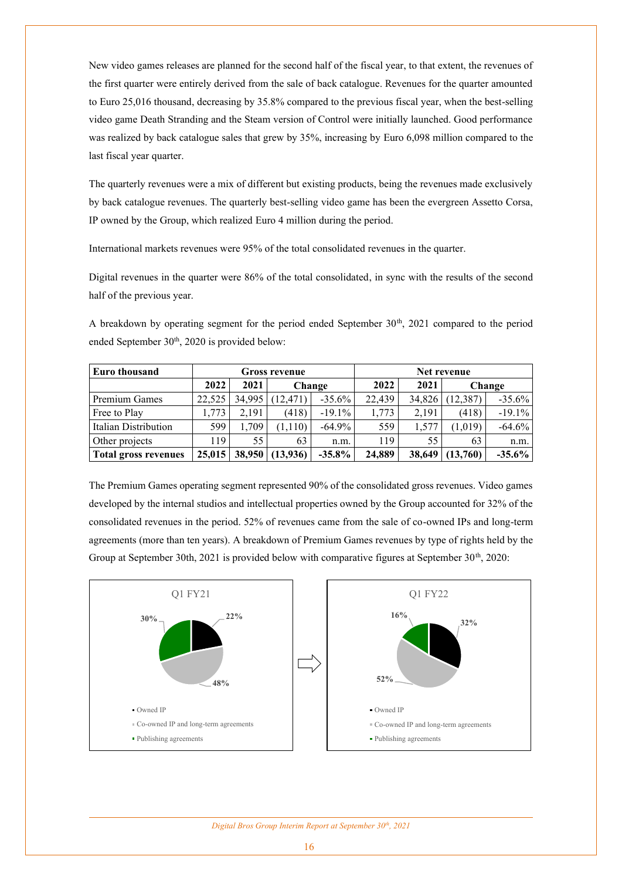New video games releases are planned for the second half of the fiscal year, to that extent, the revenues of the first quarter were entirely derived from the sale of back catalogue. Revenues for the quarter amounted to Euro 25,016 thousand, decreasing by 35.8% compared to the previous fiscal year, when the best-selling video game Death Stranding and the Steam version of Control were initially launched. Good performance was realized by back catalogue sales that grew by 35%, increasing by Euro 6,098 million compared to the last fiscal year quarter.

The quarterly revenues were a mix of different but existing products, being the revenues made exclusively by back catalogue revenues. The quarterly best-selling video game has been the evergreen Assetto Corsa, IP owned by the Group, which realized Euro 4 million during the period.

International markets revenues were 95% of the total consolidated revenues in the quarter.

Digital revenues in the quarter were 86% of the total consolidated, in sync with the results of the second half of the previous year.

A breakdown by operating segment for the period ended September 30<sup>th</sup>, 2021 compared to the period ended September 30<sup>th</sup>, 2020 is provided below:

| <b>Euro thousand</b><br>Gross revenue |        |        |          |           | Net revenue |        |          |           |
|---------------------------------------|--------|--------|----------|-----------|-------------|--------|----------|-----------|
|                                       | 2022   | 2021   | Change   |           | 2022        | 2021   |          | Change    |
| Premium Games                         | 22.525 | 34.995 | (12.471) | $-35.6\%$ | 22,439      | 34.826 | 12,387   | $-35.6\%$ |
| Free to Play                          | 1.773  | 2.191  | (418)    | $-19.1\%$ | 1,773       | 2,191  | (418)    | $-19.1\%$ |
| Italian Distribution                  | 599    | 1,709  | (1,110)  | $-64.9\%$ | 559         | 1,577  | (1,019)  | $-64.6%$  |
| Other projects                        | 119    | 55     | 63       | n.m.      | 119         | 55     | 63       | n.m.      |
| <b>Total gross revenues</b>           | 25,015 | 38,950 | (13.936) | $-35.8%$  | 24,889      | 38,649 | (13,760) | $-35.6%$  |

The Premium Games operating segment represented 90% of the consolidated gross revenues. Video games developed by the internal studios and intellectual properties owned by the Group accounted for 32% of the consolidated revenues in the period. 52% of revenues came from the sale of co-owned IPs and long-term agreements (more than ten years). A breakdown of Premium Games revenues by type of rights held by the Group at September 30th, 2021 is provided below with comparative figures at September  $30<sup>th</sup>$ , 2020:

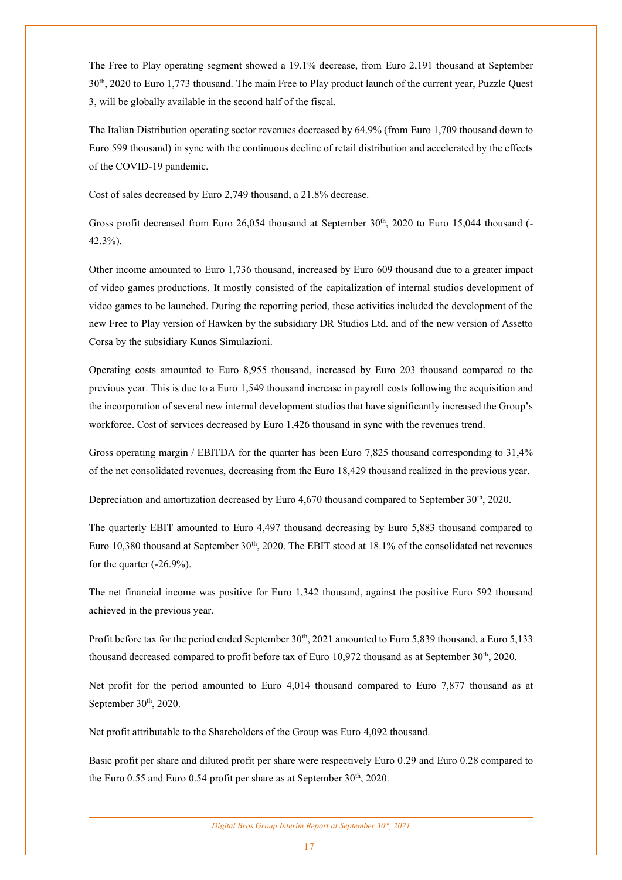The Free to Play operating segment showed a 19.1% decrease, from Euro 2,191 thousand at September 30th, 2020 to Euro 1,773 thousand. The main Free to Play product launch of the current year, Puzzle Quest 3, will be globally available in the second half of the fiscal.

The Italian Distribution operating sector revenues decreased by 64.9% (from Euro 1,709 thousand down to Euro 599 thousand) in sync with the continuous decline of retail distribution and accelerated by the effects of the COVID-19 pandemic.

Cost of sales decreased by Euro 2,749 thousand, a 21.8% decrease.

Gross profit decreased from Euro 26,054 thousand at September  $30<sup>th</sup>$ , 2020 to Euro 15,044 thousand (-42.3%).

Other income amounted to Euro 1,736 thousand, increased by Euro 609 thousand due to a greater impact of video games productions. It mostly consisted of the capitalization of internal studios development of video games to be launched. During the reporting period, these activities included the development of the new Free to Play version of Hawken by the subsidiary DR Studios Ltd. and of the new version of Assetto Corsa by the subsidiary Kunos Simulazioni.

Operating costs amounted to Euro 8,955 thousand, increased by Euro 203 thousand compared to the previous year. This is due to a Euro 1,549 thousand increase in payroll costs following the acquisition and the incorporation of several new internal development studios that have significantly increased the Group's workforce. Cost of services decreased by Euro 1,426 thousand in sync with the revenues trend.

Gross operating margin / EBITDA for the quarter has been Euro 7,825 thousand corresponding to 31,4% of the net consolidated revenues, decreasing from the Euro 18,429 thousand realized in the previous year.

Depreciation and amortization decreased by Euro 4,670 thousand compared to September  $30<sup>th</sup>$ , 2020.

The quarterly EBIT amounted to Euro 4,497 thousand decreasing by Euro 5,883 thousand compared to Euro 10,380 thousand at September 30<sup>th</sup>, 2020. The EBIT stood at 18.1% of the consolidated net revenues for the quarter  $(-26.9\%)$ .

The net financial income was positive for Euro 1,342 thousand, against the positive Euro 592 thousand achieved in the previous year.

Profit before tax for the period ended September  $30<sup>th</sup>$ , 2021 amounted to Euro 5,839 thousand, a Euro 5,133 thousand decreased compared to profit before tax of Euro  $10,972$  thousand as at September  $30<sup>th</sup>$ ,  $2020$ .

Net profit for the period amounted to Euro 4,014 thousand compared to Euro 7,877 thousand as at September 30<sup>th</sup>, 2020.

Net profit attributable to the Shareholders of the Group was Euro 4,092 thousand.

Basic profit per share and diluted profit per share were respectively Euro 0.29 and Euro 0.28 compared to the Euro  $0.55$  and Euro  $0.54$  profit per share as at September  $30<sup>th</sup>$ ,  $2020$ .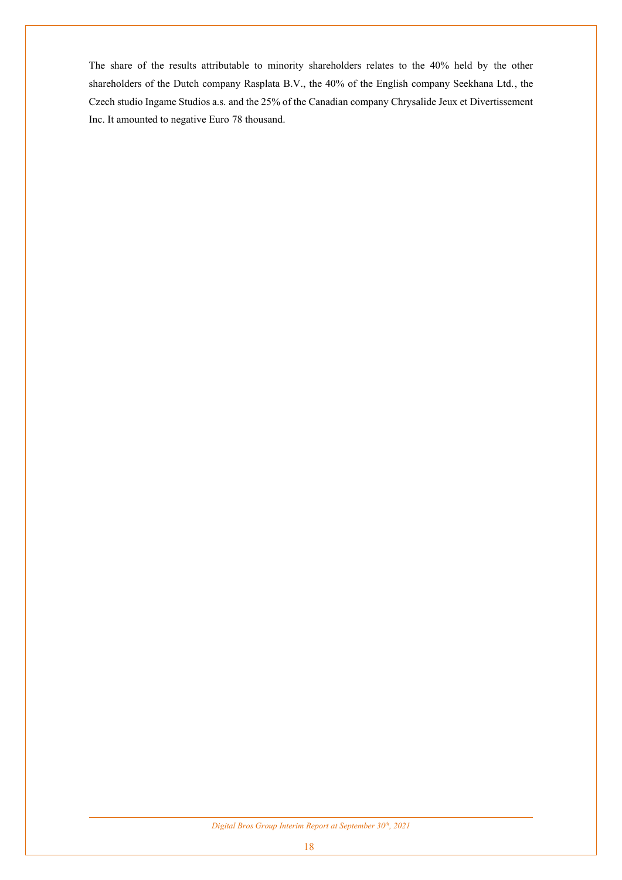The share of the results attributable to minority shareholders relates to the 40% held by the other shareholders of the Dutch company Rasplata B.V., the 40% of the English company Seekhana Ltd., the Czech studio Ingame Studios a.s. and the 25% of the Canadian company Chrysalide Jeux et Divertissement Inc. It amounted to negative Euro 78 thousand.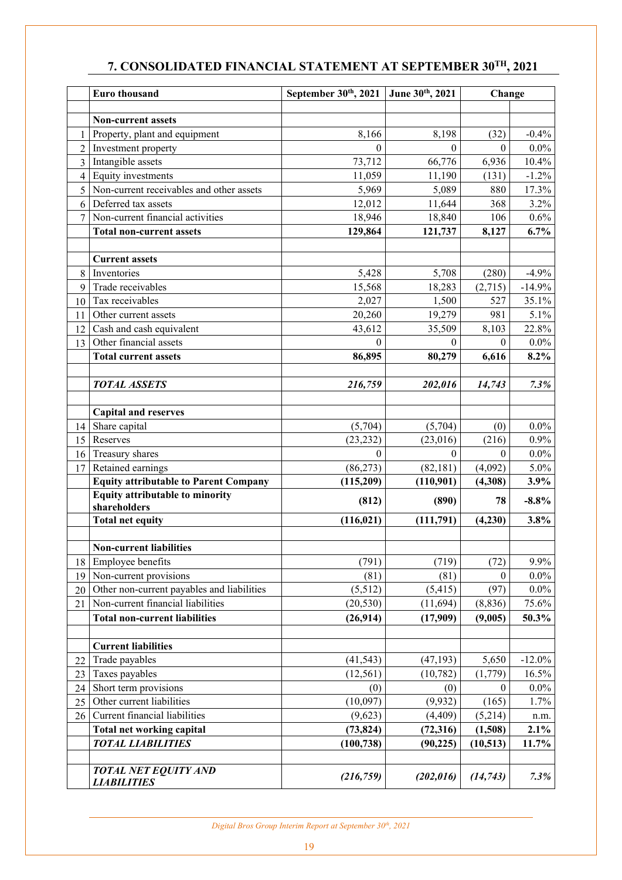|                                       | Euro thousand                                        | September 30th, 2021 | June 30th, 2021 | Change           |                    |
|---------------------------------------|------------------------------------------------------|----------------------|-----------------|------------------|--------------------|
|                                       |                                                      |                      |                 |                  |                    |
|                                       | Non-current assets                                   |                      |                 |                  |                    |
| $\mathbf{1}$                          | Property, plant and equipment<br>Investment property | 8,166<br>$\Omega$    | 8,198<br>0      | (32)<br>$\theta$ | $-0.4%$<br>$0.0\%$ |
| $\sqrt{2}$<br>$\overline{\mathbf{3}}$ | Intangible assets                                    | 73,712               | 66,776          | 6,936            | 10.4%              |
| $\overline{4}$                        | Equity investments                                   | 11,059               | 11,190          | (131)            | $-1.2%$            |
| 5                                     | Non-current receivables and other assets             | 5,969                | 5,089           | 880              | 17.3%              |
| 6                                     | Deferred tax assets                                  | 12,012               | 11,644          | 368              | 3.2%               |
| $\overline{7}$                        | Non-current financial activities                     | 18,946               | 18,840          | 106              | 0.6%               |
|                                       | <b>Total non-current assets</b>                      | 129,864              | 121,737         | 8,127            | 6.7%               |
|                                       |                                                      |                      |                 |                  |                    |
|                                       | <b>Current assets</b>                                |                      |                 |                  |                    |
| $\,8\,$                               | Inventories                                          | 5,428                | 5,708           | (280)            | $-4.9%$            |
| 9                                     | Trade receivables                                    | 15,568               | 18,283          | (2,715)          | $-14.9%$           |
| 10                                    | Tax receivables                                      | 2,027                | 1,500           | 527              | 35.1%              |
| 11                                    | Other current assets                                 | 20,260               | 19,279          | 981              | 5.1%               |
| 12                                    | Cash and cash equivalent                             | 43,612               | 35,509          | 8,103            | 22.8%              |
| 13                                    | Other financial assets                               | $\theta$             | $\theta$        | $\theta$         | $0.0\%$            |
|                                       | <b>Total current assets</b>                          | 86,895               | 80,279          | 6,616            | $8.2\%$            |
|                                       |                                                      |                      |                 |                  |                    |
|                                       | <b>TOTAL ASSETS</b>                                  | 216,759              | 202,016         | 14,743           | 7.3%               |
|                                       |                                                      |                      |                 |                  |                    |
|                                       | <b>Capital and reserves</b>                          |                      |                 |                  |                    |
| 14                                    | Share capital                                        | (5,704)              | (5,704)         | (0)              | $0.0\%$            |
| 15                                    | Reserves                                             | (23, 232)            | (23,016)        | (216)            | 0.9%               |
| 16                                    | Treasury shares                                      | $\theta$             | $\theta$        | $\theta$         | $0.0\%$            |
| 17                                    | Retained earnings                                    | (86, 273)            | (82, 181)       | (4,092)          | 5.0%               |
|                                       | <b>Equity attributable to Parent Company</b>         | (115,209)            | (110,901)       | (4,308)          | $3.9\%$            |
|                                       | Equity attributable to minority                      | (812)                | (890)           | 78               | $-8.8\%$           |
|                                       | shareholders                                         |                      |                 |                  |                    |
|                                       | <b>Total net equity</b>                              | (116, 021)           | (111,791)       | (4,230)          | 3.8%               |
|                                       | <b>Non-current liabilities</b>                       |                      |                 |                  |                    |
| 18                                    | Employee benefits                                    | (791)                | (719)           | (72)             | 9.9%               |
| 19                                    | Non-current provisions                               | (81)                 | (81)            | $\theta$         | $0.0\%$            |
| 20                                    | Other non-current payables and liabilities           | (5,512)              | (5, 415)        | (97)             | $0.0\%$            |
| 21                                    | Non-current financial liabilities                    | (20, 530)            | (11, 694)       | (8, 836)         | 75.6%              |
|                                       | <b>Total non-current liabilities</b>                 | (26, 914)            | (17,909)        | (9,005)          | 50.3%              |
|                                       |                                                      |                      |                 |                  |                    |
|                                       | <b>Current liabilities</b>                           |                      |                 |                  |                    |
| 22                                    | Trade payables                                       | (41, 543)            | (47, 193)       | 5,650            | $-12.0\%$          |
| 23                                    | Taxes payables                                       | (12, 561)            | (10, 782)       | (1,779)          | 16.5%              |
| 24                                    | Short term provisions                                | (0)                  | (0)             | $\mathbf{0}$     | $0.0\%$            |
| 25                                    | Other current liabilities                            | (10,097)             | (9,932)         | (165)            | 1.7%               |
| 26                                    | Current financial liabilities                        | (9,623)              | (4, 409)        | (5,214)          | n.m.               |
|                                       | <b>Total net working capital</b>                     | (73, 824)            | (72, 316)       | (1,508)          | 2.1%               |
|                                       | <b>TOTAL LIABILITIES</b>                             | (100, 738)           | (90, 225)       | (10, 513)        | 11.7%              |
|                                       |                                                      |                      |                 |                  |                    |
|                                       | TOTAL NET EQUITY AND<br><b>LIABILITIES</b>           | (216, 759)           | (202, 016)      | (14, 743)        | 7.3%               |

# <span id="page-18-0"></span>**7. CONSOLIDATED FINANCIAL STATEMENT AT SEPTEMBER 30TH, 2021**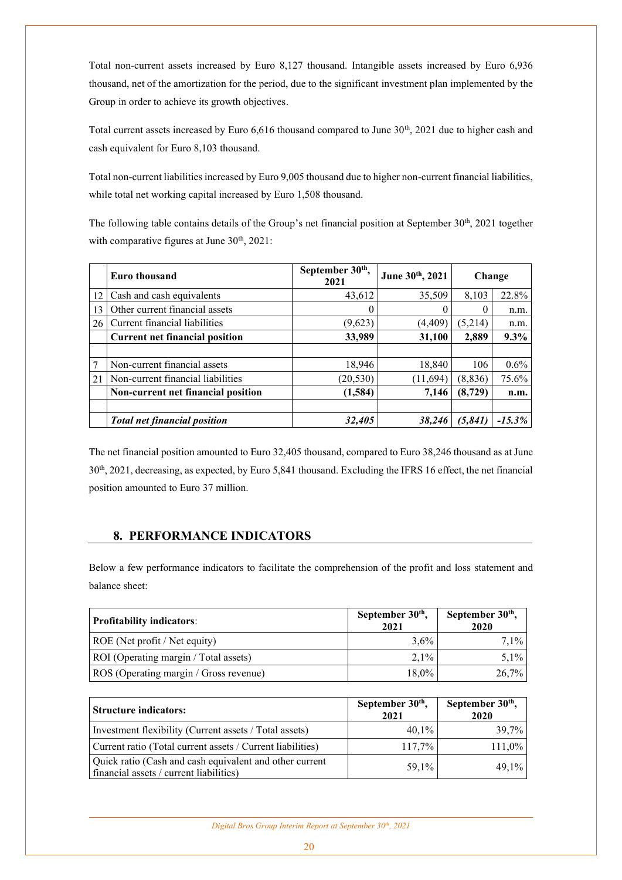Total non-current assets increased by Euro 8,127 thousand. Intangible assets increased by Euro 6,936 thousand, net of the amortization for the period, due to the significant investment plan implemented by the Group in order to achieve its growth objectives.

Total current assets increased by Euro 6,616 thousand compared to June 30<sup>th</sup>, 2021 due to higher cash and cash equivalent for Euro 8,103 thousand.

Total non-current liabilities increased by Euro 9,005 thousand due to higher non-current financial liabilities, while total net working capital increased by Euro 1,508 thousand.

The following table contains details of the Group's net financial position at September 30<sup>th</sup>, 2021 together with comparative figures at June 30<sup>th</sup>, 2021:

|    | Euro thousand                         | September 30 <sup>th</sup> ,<br>2021 | June 30th, 2021 |          | Change    |
|----|---------------------------------------|--------------------------------------|-----------------|----------|-----------|
| 12 | Cash and cash equivalents             | 43,612                               | 35,509          | 8,103    | 22.8%     |
| 13 | Other current financial assets        |                                      | 0               |          | n.m.      |
| 26 | Current financial liabilities         | (9,623)                              | (4, 409)        | (5,214)  | n.m.      |
|    | <b>Current net financial position</b> | 33,989                               | 31,100          | 2,889    | $9.3\%$   |
|    |                                       |                                      |                 |          |           |
|    | Non-current financial assets          | 18,946                               | 18,840          | 106      | $0.6\%$   |
| 21 | Non-current financial liabilities     | (20, 530)                            | (11, 694)       | (8, 836) | 75.6%     |
|    | Non-current net financial position    | (1, 584)                             | 7,146           | (8, 729) | n.m.      |
|    |                                       |                                      |                 |          |           |
|    | <b>Total net financial position</b>   | 32,405                               | 38.246          | (5, 841) | $-15.3\%$ |

The net financial position amounted to Euro 32,405 thousand, compared to Euro 38,246 thousand as at June 30th, 2021, decreasing, as expected, by Euro 5,841 thousand. Excluding the IFRS 16 effect, the net financial position amounted to Euro 37 million.

# <span id="page-19-0"></span>**8. PERFORMANCE INDICATORS**

Below a few performance indicators to facilitate the comprehension of the profit and loss statement and balance sheet:

| <b>Profitability indicators:</b>       | September 30 <sup>th</sup> ,<br>2021 | September 30 <sup>th</sup> ,<br>2020 |
|----------------------------------------|--------------------------------------|--------------------------------------|
| ROE (Net profit / Net equity)          | $3.6\%$                              | $7,1\%$                              |
| ROI (Operating margin / Total assets)  | $2.1\%$                              | $5,1\%$                              |
| ROS (Operating margin / Gross revenue) | 18,0%                                | 26,7%                                |

| Structure indicators:                                                                              | September $30th$ ,<br>2021 | September $30th$ ,<br>2020 |
|----------------------------------------------------------------------------------------------------|----------------------------|----------------------------|
| Investment flexibility (Current assets / Total assets)                                             | $40.1\%$                   | 39,7%                      |
| Current ratio (Total current assets / Current liabilities)                                         | 117,7%                     | $111,0\%$                  |
| Quick ratio (Cash and cash equivalent and other current<br>financial assets / current liabilities) | 59,1%                      | $49.1\%$                   |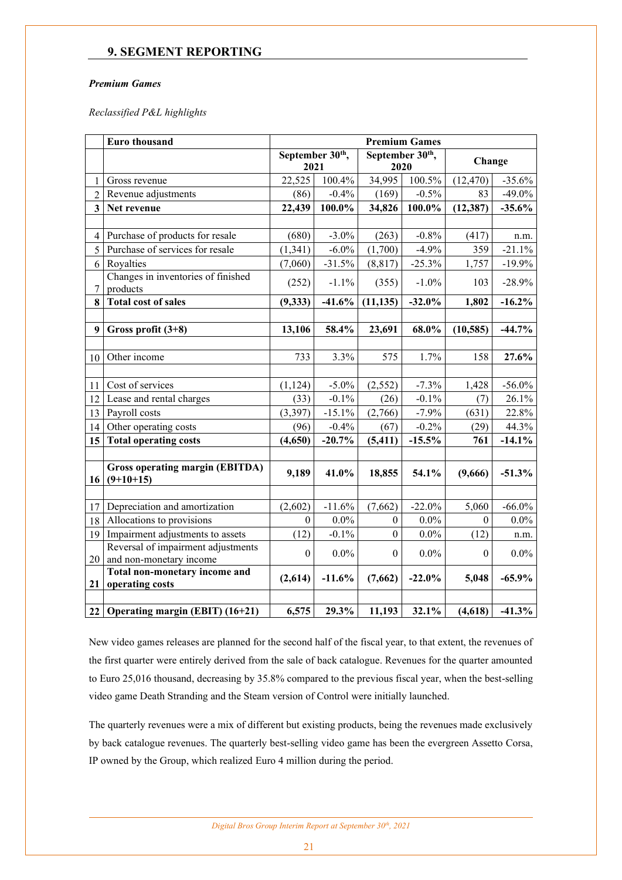# <span id="page-20-0"></span>**9. SEGMENT REPORTING**

#### *Premium Games*

*Reclassified P&L highlights* 

|                         | <b>Euro thousand</b>                                          | <b>Premium Games</b>                 |          |                                      |          |                  |           |
|-------------------------|---------------------------------------------------------------|--------------------------------------|----------|--------------------------------------|----------|------------------|-----------|
|                         |                                                               | September 30 <sup>th</sup> ,<br>2021 |          | September 30 <sup>th</sup> ,<br>2020 |          | Change           |           |
| 1                       | Gross revenue                                                 | 22,525                               | 100.4%   | 34,995                               | 100.5%   | (12, 470)        | $-35.6%$  |
| $\overline{2}$          | Revenue adjustments                                           | (86)                                 | $-0.4%$  | (169)                                | $-0.5%$  | 83               | $-49.0\%$ |
| $\overline{\mathbf{3}}$ | Net revenue                                                   | 22,439                               | 100.0%   | 34,826                               | 100.0%   | (12, 387)        | $-35.6\%$ |
|                         |                                                               |                                      |          |                                      |          |                  |           |
| $\overline{4}$          | Purchase of products for resale                               | (680)                                | $-3.0\%$ | (263)                                | $-0.8%$  | (417)            | n.m.      |
| 5                       | Purchase of services for resale                               | (1, 341)                             | $-6.0\%$ | (1,700)                              | $-4.9%$  | 359              | $-21.1%$  |
| 6                       | Royalties                                                     | (7,060)                              | $-31.5%$ | (8, 817)                             | $-25.3%$ | 1,757            | $-19.9\%$ |
| 7                       | Changes in inventories of finished<br>products                | (252)                                | $-1.1\%$ | (355)                                | $-1.0\%$ | 103              | $-28.9%$  |
| 8                       | <b>Total cost of sales</b>                                    | (9, 333)                             | $-41.6%$ | (11, 135)                            | $-32.0%$ | 1,802            | $-16.2%$  |
|                         |                                                               |                                      |          |                                      |          |                  |           |
| 9                       | Gross profit $(3+8)$                                          | 13,106                               | 58.4%    | 23,691                               | 68.0%    | (10, 585)        | $-44.7\%$ |
|                         |                                                               |                                      |          |                                      |          |                  |           |
| 10                      | Other income                                                  | 733                                  | 3.3%     | 575                                  | 1.7%     | 158              | 27.6%     |
|                         |                                                               |                                      |          |                                      |          |                  |           |
| 11                      | Cost of services                                              | (1, 124)                             | $-5.0\%$ | (2, 552)                             | $-7.3%$  | 1,428            | $-56.0\%$ |
| 12                      | Lease and rental charges                                      | (33)                                 | $-0.1%$  | (26)                                 | $-0.1%$  | (7)              | 26.1%     |
| 13                      | Payroll costs                                                 | (3, 397)                             | $-15.1%$ | (2,766)                              | $-7.9%$  | (631)            | 22.8%     |
| 14                      | Other operating costs                                         | (96)                                 | $-0.4%$  | (67)                                 | $-0.2%$  | (29)             | 44.3%     |
| 15                      | <b>Total operating costs</b>                                  | (4,650)                              | $-20.7%$ | (5, 411)                             | $-15.5%$ | 761              | $-14.1\%$ |
|                         |                                                               |                                      |          |                                      |          |                  |           |
| 16                      | <b>Gross operating margin (EBITDA)</b><br>$(9+10+15)$         | 9,189                                | 41.0%    | 18,855                               | 54.1%    | (9,666)          | $-51.3%$  |
|                         |                                                               |                                      |          |                                      |          |                  |           |
| 17                      | Depreciation and amortization                                 | (2,602)                              | $-11.6%$ | (7,662)                              | $-22.0%$ | 5,060            | $-66.0\%$ |
| 18                      | Allocations to provisions                                     | $\boldsymbol{0}$                     | $0.0\%$  | $\boldsymbol{0}$                     | $0.0\%$  | $\boldsymbol{0}$ | $0.0\%$   |
| 19                      | Impairment adjustments to assets                              | (12)                                 | $-0.1%$  | $\boldsymbol{0}$                     | $0.0\%$  | (12)             | n.m.      |
| 20                      | Reversal of impairment adjustments<br>and non-monetary income | $\boldsymbol{0}$                     | $0.0\%$  | $\boldsymbol{0}$                     | $0.0\%$  | $\boldsymbol{0}$ | $0.0\%$   |
| 21                      | <b>Total non-monetary income and</b><br>operating costs       | (2,614)                              | $-11.6%$ | (7,662)                              | $-22.0%$ | 5,048            | $-65.9%$  |
|                         |                                                               |                                      |          |                                      |          |                  |           |
|                         | 22 Operating margin (EBIT) $(16+21)$                          | 6,575                                | 29.3%    | 11,193                               | 32.1%    | (4,618)          | $-41.3%$  |

New video games releases are planned for the second half of the fiscal year, to that extent, the revenues of the first quarter were entirely derived from the sale of back catalogue. Revenues for the quarter amounted to Euro 25,016 thousand, decreasing by 35.8% compared to the previous fiscal year, when the best-selling video game Death Stranding and the Steam version of Control were initially launched.

The quarterly revenues were a mix of different but existing products, being the revenues made exclusively by back catalogue revenues. The quarterly best-selling video game has been the evergreen Assetto Corsa, IP owned by the Group, which realized Euro 4 million during the period.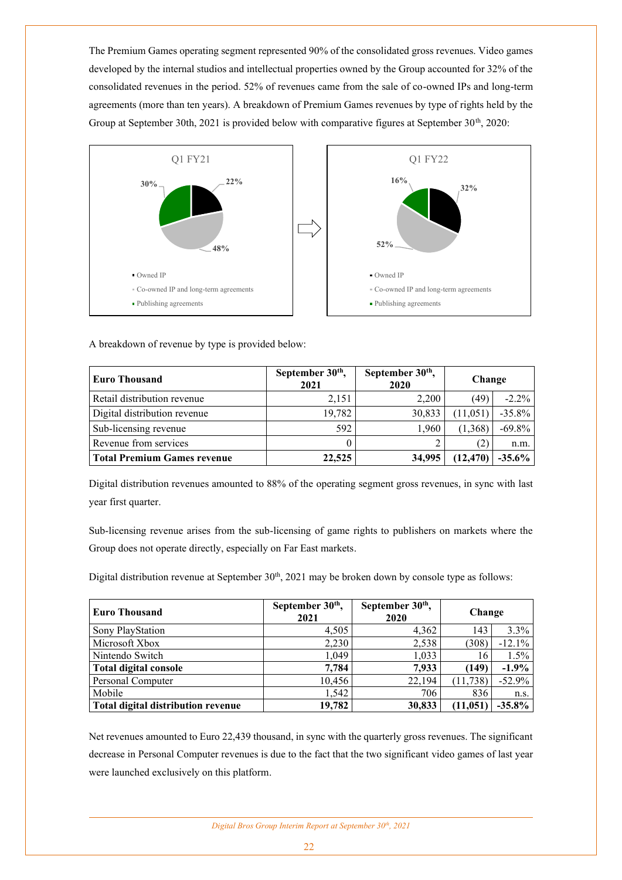The Premium Games operating segment represented 90% of the consolidated gross revenues. Video games developed by the internal studios and intellectual properties owned by the Group accounted for 32% of the consolidated revenues in the period. 52% of revenues came from the sale of co-owned IPs and long-term agreements (more than ten years). A breakdown of Premium Games revenues by type of rights held by the Group at September 30th, 2021 is provided below with comparative figures at September  $30<sup>th</sup>$ , 2020:



A breakdown of revenue by type is provided below:

| <b>Euro Thousand</b>               | September $30th$ ,<br>2021 | September 30 <sup>th</sup> ,<br>2020 | Change    |           |
|------------------------------------|----------------------------|--------------------------------------|-----------|-----------|
| Retail distribution revenue        | 2,151                      | 2.200                                | (49)      | $-2.2\%$  |
| Digital distribution revenue       | 19,782                     | 30,833                               | (11,051)  | $-35.8\%$ |
| Sub-licensing revenue              | 592                        | 1,960                                | (1,368)   | $-69.8\%$ |
| Revenue from services              |                            |                                      | (2)       | n.m.      |
| <b>Total Premium Games revenue</b> | 22,525                     | 34,995                               | (12, 470) | $-35.6\%$ |

Digital distribution revenues amounted to 88% of the operating segment gross revenues, in sync with last year first quarter.

Sub-licensing revenue arises from the sub-licensing of game rights to publishers on markets where the Group does not operate directly, especially on Far East markets.

Digital distribution revenue at September  $30<sup>th</sup>$ , 2021 may be broken down by console type as follows:

| <b>Euro Thousand</b>               | September $30th$ ,<br>2021 | September 30 <sup>th</sup> ,<br>2020 | Change    |          |
|------------------------------------|----------------------------|--------------------------------------|-----------|----------|
| Sony PlayStation                   | 4,505                      | 4,362                                | 143       | 3.3%     |
| Microsoft Xbox                     | 2,230                      | 2,538                                | (308)     | $-12.1%$ |
| Nintendo Switch                    | 1,049                      | 1,033                                | 16        | 1.5%     |
| <b>Total digital console</b>       | 7,784                      | 7,933                                | (149)     | $-1.9%$  |
| Personal Computer                  | 10,456                     | 22,194                               | (11, 738) | $-52.9%$ |
| Mobile                             | 1.542                      | 706                                  | 836       | n.s.     |
| Total digital distribution revenue | 19,782                     | 30,833                               | (11.051)  | $-35.8%$ |

Net revenues amounted to Euro 22,439 thousand, in sync with the quarterly gross revenues. The significant decrease in Personal Computer revenues is due to the fact that the two significant video games of last year were launched exclusively on this platform.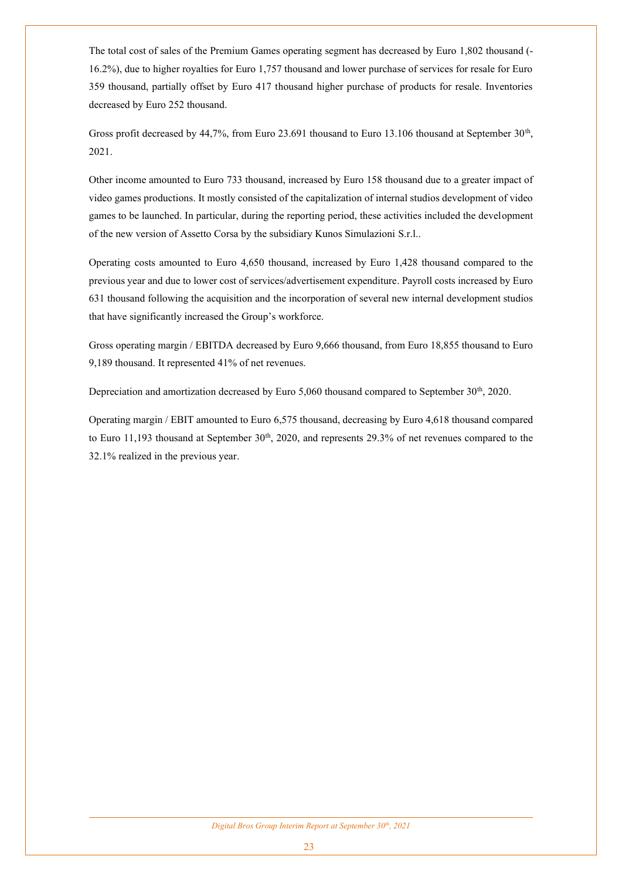The total cost of sales of the Premium Games operating segment has decreased by Euro 1,802 thousand (- 16.2%), due to higher royalties for Euro 1,757 thousand and lower purchase of services for resale for Euro 359 thousand, partially offset by Euro 417 thousand higher purchase of products for resale. Inventories decreased by Euro 252 thousand.

Gross profit decreased by 44,7%, from Euro 23.691 thousand to Euro 13.106 thousand at September 30<sup>th</sup>, 2021.

Other income amounted to Euro 733 thousand, increased by Euro 158 thousand due to a greater impact of video games productions. It mostly consisted of the capitalization of internal studios development of video games to be launched. In particular, during the reporting period, these activities included the development of the new version of Assetto Corsa by the subsidiary Kunos Simulazioni S.r.l..

Operating costs amounted to Euro 4,650 thousand, increased by Euro 1,428 thousand compared to the previous year and due to lower cost of services/advertisement expenditure. Payroll costs increased by Euro 631 thousand following the acquisition and the incorporation of several new internal development studios that have significantly increased the Group's workforce.

Gross operating margin / EBITDA decreased by Euro 9,666 thousand, from Euro 18,855 thousand to Euro 9,189 thousand. It represented 41% of net revenues.

Depreciation and amortization decreased by Euro  $5,060$  thousand compared to September  $30<sup>th</sup>$ , 2020.

Operating margin / EBIT amounted to Euro 6,575 thousand, decreasing by Euro 4,618 thousand compared to Euro 11,193 thousand at September  $30<sup>th</sup>$ , 2020, and represents 29.3% of net revenues compared to the 32.1% realized in the previous year.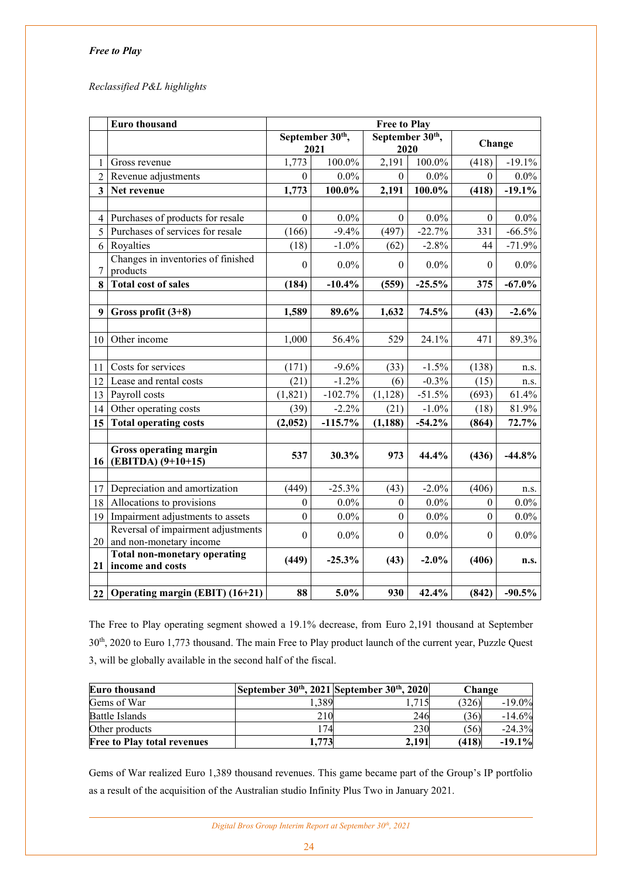# *Free to Play*

# *Reclassified P&L highlights*

|                         | Euro thousand                                                 | <b>Free to Play</b> |                                      |                         |           |                  |           |
|-------------------------|---------------------------------------------------------------|---------------------|--------------------------------------|-------------------------|-----------|------------------|-----------|
|                         |                                                               |                     | September 30 <sup>th</sup> ,<br>2021 | September 30th,<br>2020 |           | Change           |           |
| $\mathbf{1}$            | Gross revenue                                                 | 1,773               | 100.0%                               | 2,191                   | 100.0%    | (418)            | $-19.1%$  |
| $\overline{2}$          | Revenue adjustments                                           | $\Omega$            | $0.0\%$                              | $\Omega$                | $0.0\%$   | $\Omega$         | $0.0\%$   |
| $\overline{\mathbf{3}}$ | Net revenue                                                   | 1,773               | 100.0%                               | 2,191                   | 100.0%    | (418)            | $-19.1%$  |
|                         |                                                               |                     |                                      |                         |           |                  |           |
| $\overline{4}$          | Purchases of products for resale                              | $\mathbf{0}$        | $0.0\%$                              | $\theta$                | $0.0\%$   | $\boldsymbol{0}$ | $0.0\%$   |
| $\overline{5}$          | Purchases of services for resale                              | (166)               | $-9.4%$                              | (497)                   | $-22.7%$  | 331              | $-66.5%$  |
| 6                       | Royalties                                                     | (18)                | $-1.0\%$                             | (62)                    | $-2.8%$   | 44               | $-71.9%$  |
| 7                       | Changes in inventories of finished<br>products                | $\theta$            | $0.0\%$                              | $\theta$                | $0.0\%$   | $\theta$         | $0.0\%$   |
| 8                       | <b>Total cost of sales</b>                                    | (184)               | $-10.4%$                             | (559)                   | $-25.5%$  | 375              | $-67.0\%$ |
|                         |                                                               |                     |                                      |                         |           |                  |           |
| 9                       | Gross profit $(3+8)$                                          | 1,589               | 89.6%                                | 1,632                   | 74.5%     | (43)             | $-2.6%$   |
|                         |                                                               |                     |                                      |                         |           |                  |           |
| 10                      | Other income                                                  | 1,000               | 56.4%                                | 529                     | 24.1%     | 471              | 89.3%     |
|                         |                                                               |                     |                                      |                         |           |                  |           |
| 11                      | Costs for services                                            | (171)               | $-9.6%$                              | (33)                    | $-1.5%$   | (138)            | n.s.      |
| 12                      | Lease and rental costs                                        | (21)                | $-1.2%$                              | (6)                     | $-0.3%$   | (15)             | n.s.      |
| 13                      | Payroll costs                                                 | (1, 821)            | $-102.7%$                            | (1, 128)                | $-51.5%$  | (693)            | 61.4%     |
| 14                      | Other operating costs                                         | (39)                | $-2.2%$                              | (21)                    | $-1.0\%$  | (18)             | 81.9%     |
| 15                      | <b>Total operating costs</b>                                  | (2,052)             | $-115.7\%$                           | (1, 188)                | $-54.2\%$ | (864)            | 72.7%     |
|                         |                                                               |                     |                                      |                         |           |                  |           |
| 16                      | <b>Gross operating margin</b><br>(EBITDA) (9+10+15)           | 537                 | 30.3%                                | 973                     | 44.4%     | (436)            | $-44.8%$  |
|                         |                                                               |                     |                                      |                         |           |                  |           |
| 17                      | Depreciation and amortization                                 | (449)               | $-25.3%$                             | (43)                    | $-2.0%$   | (406)            | n.s.      |
| 18                      | Allocations to provisions                                     | $\theta$            | $0.0\%$                              | $\theta$                | $0.0\%$   | $\theta$         | $0.0\%$   |
| 19                      | Impairment adjustments to assets                              | $\boldsymbol{0}$    | $0.0\%$                              | $\boldsymbol{0}$        | $0.0\%$   | $\boldsymbol{0}$ | $0.0\%$   |
| 20                      | Reversal of impairment adjustments<br>and non-monetary income | $\mathbf{0}$        | $0.0\%$                              | $\mathbf{0}$            | $0.0\%$   | $\boldsymbol{0}$ | $0.0\%$   |
| 21                      | <b>Total non-monetary operating</b><br>income and costs       | (449)               | $-25.3%$                             | (43)                    | $-2.0%$   | (406)            | n.s.      |
|                         |                                                               |                     |                                      |                         |           |                  |           |
|                         | 22   Operating margin (EBIT) $(16+21)$                        | 88                  | 5.0%                                 | 930                     | 42.4%     | (842)            | $-90.5%$  |

The Free to Play operating segment showed a 19.1% decrease, from Euro 2,191 thousand at September 30<sup>th</sup>, 2020 to Euro 1,773 thousand. The main Free to Play product launch of the current year, Puzzle Quest 3, will be globally available in the second half of the fiscal.

| Euro thousand                      | September 30 <sup>th</sup> , 2021 September 30 <sup>th</sup> , 2020 |       |       | Change    |
|------------------------------------|---------------------------------------------------------------------|-------|-------|-----------|
| Gems of War                        | .389                                                                |       | 326   | $-19.0\%$ |
| Battle Islands                     | 210                                                                 | 246   | (36)  | $-14.6%$  |
| Other products                     | 74                                                                  | 230   | (56)  | $-24.3%$  |
| <b>Free to Play total revenues</b> | 1.773                                                               | 2,191 | (418) | $-19.1\%$ |

Gems of War realized Euro 1,389 thousand revenues. This game became part of the Group's IP portfolio as a result of the acquisition of the Australian studio Infinity Plus Two in January 2021.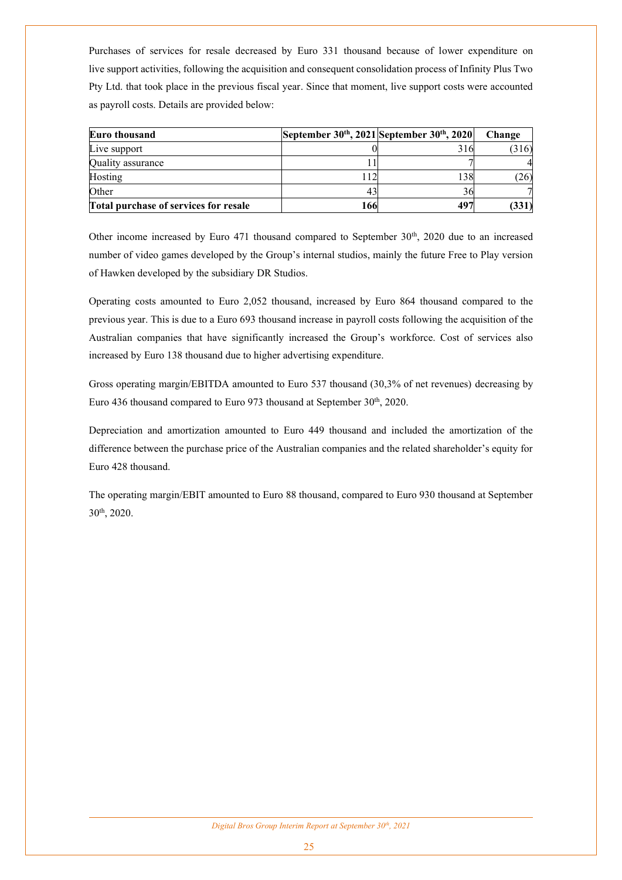Purchases of services for resale decreased by Euro 331 thousand because of lower expenditure on live support activities, following the acquisition and consequent consolidation process of Infinity Plus Two Pty Ltd. that took place in the previous fiscal year. Since that moment, live support costs were accounted as payroll costs. Details are provided below:

| <b>Euro thousand</b>                  |     | September $30th$ , 2021 September $30th$ , 2020 | Change |
|---------------------------------------|-----|-------------------------------------------------|--------|
| Live support                          |     | 316                                             | (316)  |
| Quality assurance                     |     |                                                 |        |
| Hosting                               |     | 38                                              | (26)   |
| Other                                 |     | 36                                              |        |
| Total purchase of services for resale | 166 | 497                                             | (331)  |

Other income increased by Euro 471 thousand compared to September  $30<sup>th</sup>$ , 2020 due to an increased number of video games developed by the Group's internal studios, mainly the future Free to Play version of Hawken developed by the subsidiary DR Studios.

Operating costs amounted to Euro 2,052 thousand, increased by Euro 864 thousand compared to the previous year. This is due to a Euro 693 thousand increase in payroll costs following the acquisition of the Australian companies that have significantly increased the Group's workforce. Cost of services also increased by Euro 138 thousand due to higher advertising expenditure.

Gross operating margin/EBITDA amounted to Euro 537 thousand (30,3% of net revenues) decreasing by Euro 436 thousand compared to Euro 973 thousand at September 30<sup>th</sup>, 2020.

Depreciation and amortization amounted to Euro 449 thousand and included the amortization of the difference between the purchase price of the Australian companies and the related shareholder's equity for Euro 428 thousand.

The operating margin/EBIT amounted to Euro 88 thousand, compared to Euro 930 thousand at September 30th, 2020.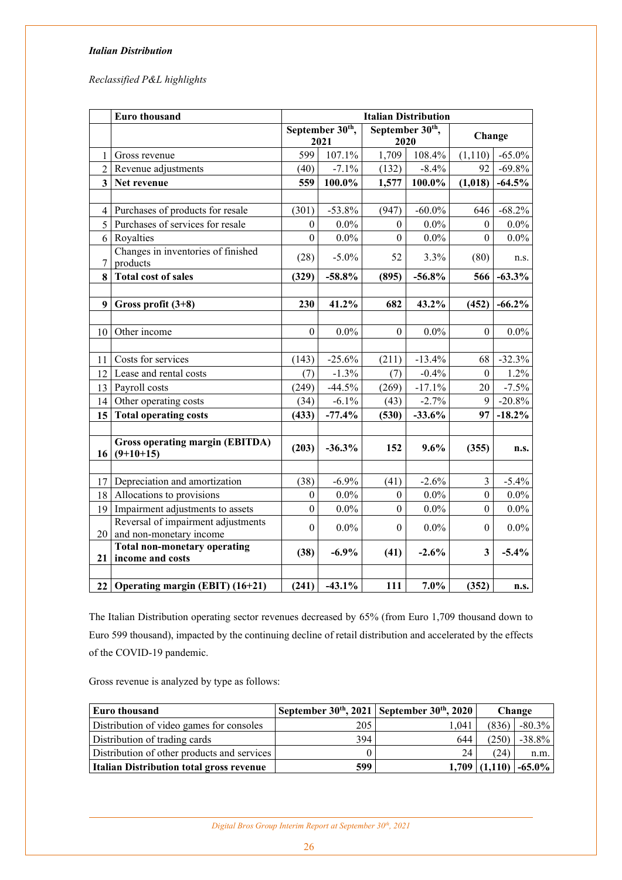# *Italian Distribution*

# *Reclassified P&L highlights*

|                | <b>Euro thousand</b>                                          | <b>Italian Distribution</b> |                                                |                         |           |                |           |
|----------------|---------------------------------------------------------------|-----------------------------|------------------------------------------------|-------------------------|-----------|----------------|-----------|
|                |                                                               |                             | September $30^{\overline{\text{th}}},$<br>2021 | September 30th,<br>2020 |           | Change         |           |
| 1              | Gross revenue                                                 | 599                         | 107.1%                                         | 1,709                   | 108.4%    | (1,110)        | $-65.0\%$ |
| $\overline{2}$ | Revenue adjustments                                           | (40)                        | $-7.1%$                                        | (132)                   | $-8.4%$   | 92             | $-69.8%$  |
| 3 <sup>1</sup> | Net revenue                                                   | 559                         | 100.0%                                         | 1,577                   | 100.0%    | (1,018)        | $-64.5%$  |
|                |                                                               |                             |                                                |                         |           |                |           |
| $\overline{4}$ | Purchases of products for resale                              | (301)                       | $-53.8%$                                       | (947)                   | $-60.0\%$ | 646            | $-68.2%$  |
| 5              | Purchases of services for resale                              | $\mathbf{0}$                | $0.0\%$                                        | $\mathbf{0}$            | $0.0\%$   | $\theta$       | $0.0\%$   |
| 6              | Royalties                                                     | $\boldsymbol{0}$            | $0.0\%$                                        | $\theta$                | $0.0\%$   | $\theta$       | $0.0\%$   |
| 7              | Changes in inventories of finished<br>products                | (28)                        | $-5.0\%$                                       | 52                      | 3.3%      | (80)           | n.s.      |
| 8              | <b>Total cost of sales</b>                                    | (329)                       | $-58.8%$                                       | (895)                   | $-56.8%$  | 566            | $-63.3%$  |
|                |                                                               |                             |                                                |                         |           |                |           |
| 9              | Gross profit $(3+8)$                                          | 230                         | 41.2%                                          | 682                     | 43.2%     | (452)          | $-66.2\%$ |
|                |                                                               |                             |                                                |                         |           |                |           |
| 10             | Other income                                                  | $\mathbf{0}$                | $0.0\%$                                        | $\Omega$                | $0.0\%$   | $\mathbf{0}$   | $0.0\%$   |
|                |                                                               |                             |                                                |                         |           |                |           |
| 11             | Costs for services                                            | (143)                       | $-25.6%$                                       | (211)                   | $-13.4%$  | 68             | $-32.3%$  |
| 12             | Lease and rental costs                                        | (7)                         | $-1.3%$                                        | (7)                     | $-0.4%$   | $\theta$       | 1.2%      |
| 13             | Payroll costs                                                 | (249)                       | $-44.5%$                                       | (269)                   | $-17.1%$  | 20             | $-7.5%$   |
| 14             | Other operating costs                                         | (34)                        | $-6.1%$                                        | (43)                    | $-2.7%$   | 9              | $-20.8%$  |
| 15             | <b>Total operating costs</b>                                  | (433)                       | $-77.4%$                                       | (530)                   | $-33.6%$  | 97             | $-18.2\%$ |
|                |                                                               |                             |                                                |                         |           |                |           |
| 16             | <b>Gross operating margin (EBITDA)</b><br>$(9+10+15)$         | (203)                       | $-36.3%$                                       | 152                     | 9.6%      | (355)          | n.s.      |
|                |                                                               |                             |                                                |                         |           |                |           |
| 17             | Depreciation and amortization                                 | (38)                        | $-6.9%$                                        | (41)                    | $-2.6%$   | 3              | $-5.4%$   |
| 18             | Allocations to provisions                                     | $\theta$                    | $0.0\%$                                        | $\theta$                | $0.0\%$   | $\overline{0}$ | $0.0\%$   |
| 19             | Impairment adjustments to assets                              | $\boldsymbol{0}$            | $0.0\%$                                        | $\Omega$                | $0.0\%$   | $\Omega$       | $0.0\%$   |
| 20             | Reversal of impairment adjustments<br>and non-monetary income | $\boldsymbol{0}$            | $0.0\%$                                        | $\boldsymbol{0}$        | $0.0\%$   | $\mathbf{0}$   | $0.0\%$   |
| 21             | <b>Total non-monetary operating</b><br>income and costs       | (38)                        | $-6.9\%$                                       | (41)                    | $-2.6%$   | 3              | $-5.4%$   |
|                | 22 Operating margin (EBIT) $(16+21)$                          | (241)                       | $-43.1%$                                       | 111                     | 7.0%      | (352)          | n.s.      |

The Italian Distribution operating sector revenues decreased by 65% (from Euro 1,709 thousand down to Euro 599 thousand), impacted by the continuing decline of retail distribution and accelerated by the effects of the COVID-19 pandemic.

Gross revenue is analyzed by type as follows:

| Euro thousand                               |     | September $30th$ , 2021   September $30th$ , 2020 |         | Change    |
|---------------------------------------------|-----|---------------------------------------------------|---------|-----------|
| Distribution of video games for consoles    | 205 | .041                                              | (836)   | $-80.3\%$ |
| Distribution of trading cards               | 394 | 644                                               | (250)   | $-38.8\%$ |
| Distribution of other products and services |     | 24                                                | (24)    | n.m.      |
| Italian Distribution total gross revenue    | 599 | 1.709                                             | (1,110) | $-65.0\%$ |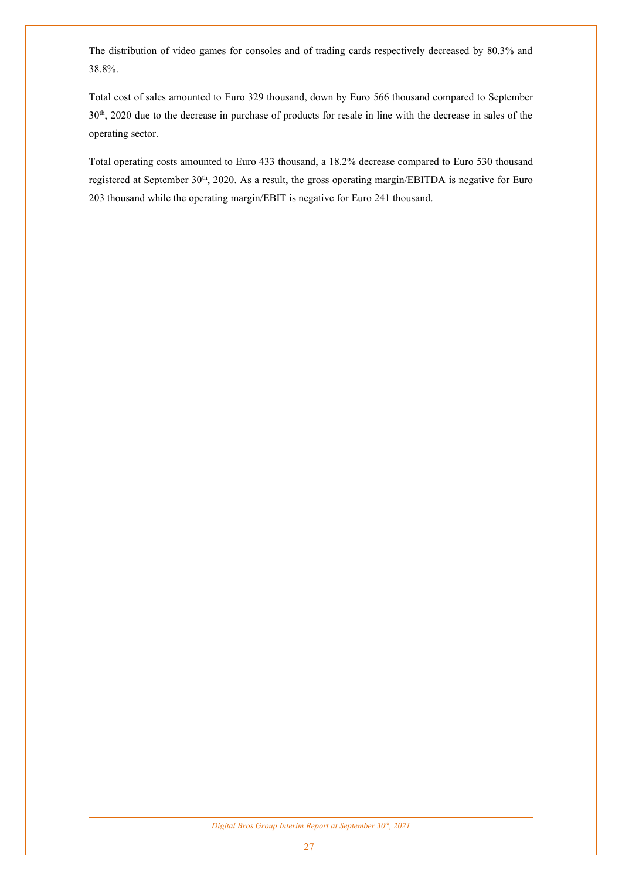The distribution of video games for consoles and of trading cards respectively decreased by 80.3% and 38.8%.

Total cost of sales amounted to Euro 329 thousand, down by Euro 566 thousand compared to September 30<sup>th</sup>, 2020 due to the decrease in purchase of products for resale in line with the decrease in sales of the operating sector.

Total operating costs amounted to Euro 433 thousand, a 18.2% decrease compared to Euro 530 thousand registered at September 30<sup>th</sup>, 2020. As a result, the gross operating margin/EBITDA is negative for Euro 203 thousand while the operating margin/EBIT is negative for Euro 241 thousand.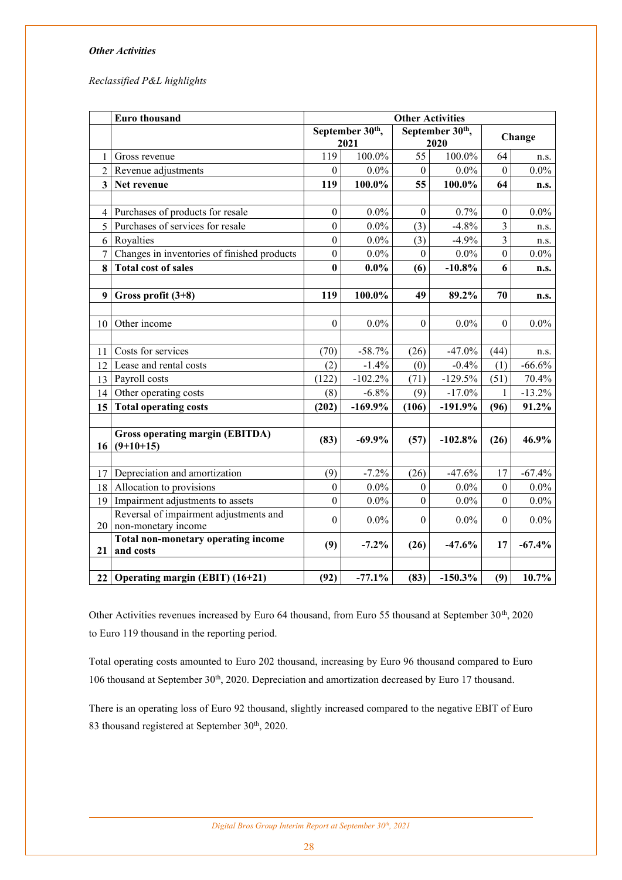#### *Other Activities*

# *Reclassified P&L highlights*

|                 | Euro thousand                                         | <b>Other Activities</b>                            |           |                  |           |                  |          |
|-----------------|-------------------------------------------------------|----------------------------------------------------|-----------|------------------|-----------|------------------|----------|
|                 |                                                       | September 30th,<br>September 30th,<br>2021<br>2020 |           |                  | Change    |                  |          |
| 1               | Gross revenue                                         | 119                                                | 100.0%    | 55               | 100.0%    | 64               | n.s.     |
| $\overline{2}$  | Revenue adjustments                                   | $\theta$                                           | $0.0\%$   | $\mathbf{0}$     | $0.0\%$   | $\boldsymbol{0}$ | $0.0\%$  |
| 3               | Net revenue                                           | 119                                                | 100.0%    | 55               | 100.0%    | 64               | n.s.     |
|                 |                                                       |                                                    |           |                  |           |                  |          |
| 4               | Purchases of products for resale                      | $\boldsymbol{0}$                                   | $0.0\%$   | $\mathbf{0}$     | 0.7%      | $\boldsymbol{0}$ | $0.0\%$  |
| 5               | Purchases of services for resale                      | $\boldsymbol{0}$                                   | $0.0\%$   | (3)              | $-4.8%$   | $\overline{3}$   | n.s.     |
| 6               | Royalties                                             | $\mathbf{0}$                                       | $0.0\%$   | (3)              | $-4.9%$   | $\overline{3}$   | n.s.     |
| 7               | Changes in inventories of finished products           | $\boldsymbol{0}$                                   | $0.0\%$   | $\boldsymbol{0}$ | $0.0\%$   | $\boldsymbol{0}$ | $0.0\%$  |
| 8               | <b>Total cost of sales</b>                            | $\bf{0}$                                           | $0.0\%$   | (6)              | $-10.8\%$ | 6                | n.s.     |
|                 |                                                       |                                                    |           |                  |           |                  |          |
| 9               | Gross profit $(3+8)$                                  | 119                                                | 100.0%    | 49               | 89.2%     | 70               | n.s.     |
|                 |                                                       |                                                    |           |                  |           |                  |          |
| 10              | Other income                                          | $\boldsymbol{0}$                                   | $0.0\%$   | $\boldsymbol{0}$ | $0.0\%$   | $\boldsymbol{0}$ | $0.0\%$  |
|                 |                                                       |                                                    |           |                  |           |                  |          |
| 11              | Costs for services                                    | (70)                                               | $-58.7%$  | (26)             | $-47.0%$  | (44)             | n.s.     |
| 12              | Lease and rental costs                                | (2)                                                | $-1.4%$   | (0)              | $-0.4%$   | (1)              | $-66.6%$ |
| 13              | Payroll costs                                         | (122)                                              | $-102.2%$ | (71)             | $-129.5%$ | (51)             | 70.4%    |
| 14              | Other operating costs                                 | (8)                                                | $-6.8%$   | (9)              | $-17.0%$  | $\mathbf{1}$     | $-13.2%$ |
| 15              | <b>Total operating costs</b>                          | (202)                                              | $-169.9%$ | (106)            | $-191.9%$ | (96)             | 91.2%    |
|                 |                                                       |                                                    |           |                  |           |                  |          |
| 16 <sup>1</sup> | <b>Gross operating margin (EBITDA)</b><br>$(9+10+15)$ | (83)                                               | $-69.9%$  | (57)             | $-102.8%$ | (26)             | 46.9%    |
| 17              | Depreciation and amortization                         | (9)                                                | $-7.2%$   | (26)             | $-47.6%$  | 17               | $-67.4%$ |
| 18              | Allocation to provisions                              | $\mathbf{0}$                                       | $0.0\%$   | $\mathbf{0}$     | $0.0\%$   | $\boldsymbol{0}$ | $0.0\%$  |
| 19              | Impairment adjustments to assets                      | $\overline{0}$                                     | $0.0\%$   | $\mathbf{0}$     | $0.0\%$   | $\boldsymbol{0}$ | $0.0\%$  |
|                 | Reversal of impairment adjustments and                |                                                    |           |                  |           |                  |          |
| 20              | non-monetary income                                   | $\boldsymbol{0}$                                   | $0.0\%$   | $\boldsymbol{0}$ | $0.0\%$   | $\boldsymbol{0}$ | 0.0%     |
| 21              | Total non-monetary operating income<br>and costs      | (9)                                                | $-7.2%$   | (26)             | $-47.6%$  | 17               | $-67.4%$ |
|                 | 22 Operating margin (EBIT) (16+21)                    | (92)                                               | $-77.1%$  | (83)             | $-150.3%$ | (9)              | $10.7\%$ |
|                 |                                                       |                                                    |           |                  |           |                  |          |

Other Activities revenues increased by Euro 64 thousand, from Euro 55 thousand at September 30<sup>th</sup>, 2020 to Euro 119 thousand in the reporting period.

Total operating costs amounted to Euro 202 thousand, increasing by Euro 96 thousand compared to Euro 106 thousand at September 30<sup>th</sup>, 2020. Depreciation and amortization decreased by Euro 17 thousand.

There is an operating loss of Euro 92 thousand, slightly increased compared to the negative EBIT of Euro 83 thousand registered at September 30<sup>th</sup>, 2020.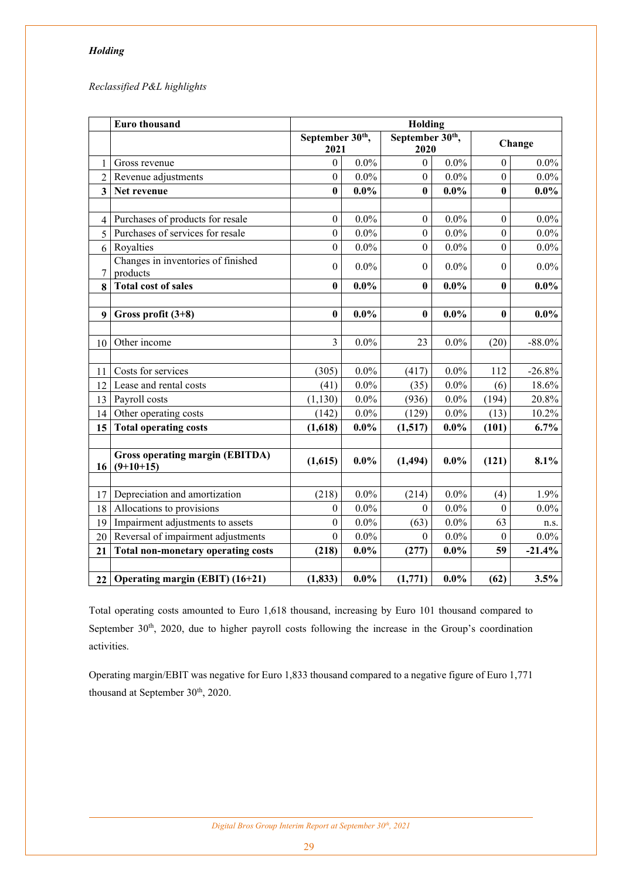## *Holding*

# *Reclassified P&L highlights*

|                | Euro thousand                                         | Holding                 |         |                                      |         |                  |           |
|----------------|-------------------------------------------------------|-------------------------|---------|--------------------------------------|---------|------------------|-----------|
|                |                                                       | September 30th,<br>2021 |         | September 30 <sup>th</sup> ,<br>2020 |         |                  | Change    |
| $\mathbf{1}$   | Gross revenue                                         | $\boldsymbol{0}$        | $0.0\%$ | $\boldsymbol{0}$                     | $0.0\%$ | $\theta$         | $0.0\%$   |
| $\overline{2}$ | Revenue adjustments                                   | $\overline{0}$          | $0.0\%$ | $\mathbf{0}$                         | $0.0\%$ | $\overline{0}$   | $0.0\%$   |
| 3              | Net revenue                                           | $\bf{0}$                | $0.0\%$ | $\bf{0}$                             | $0.0\%$ | $\bf{0}$         | $0.0\%$   |
|                |                                                       |                         |         |                                      |         |                  |           |
| $\overline{4}$ | Purchases of products for resale                      | $\boldsymbol{0}$        | $0.0\%$ | $\mathbf{0}$                         | $0.0\%$ | $\boldsymbol{0}$ | $0.0\%$   |
| 5              | Purchases of services for resale                      | $\boldsymbol{0}$        | $0.0\%$ | $\mathbf{0}$                         | $0.0\%$ | $\overline{0}$   | $0.0\%$   |
| 6              | Royalties                                             | $\boldsymbol{0}$        | $0.0\%$ | $\boldsymbol{0}$                     | $0.0\%$ | $\mathbf{0}$     | $0.0\%$   |
| $\overline{7}$ | Changes in inventories of finished<br>products        | $\boldsymbol{0}$        | $0.0\%$ | $\mathbf{0}$                         | $0.0\%$ | $\boldsymbol{0}$ | $0.0\%$   |
| 8              | <b>Total cost of sales</b>                            | $\bf{0}$                | $0.0\%$ | $\bf{0}$                             | $0.0\%$ | $\bf{0}$         | $0.0\%$   |
|                |                                                       |                         |         |                                      |         |                  |           |
| 9              | Gross profit $(3+8)$                                  | $\bf{0}$                | $0.0\%$ | $\bf{0}$                             | $0.0\%$ | $\bf{0}$         | $0.0\%$   |
|                |                                                       |                         |         |                                      |         |                  |           |
| 10             | Other income                                          | $\overline{3}$          | 0.0%    | 23                                   | $0.0\%$ | (20)             | $-88.0\%$ |
|                |                                                       |                         |         |                                      |         |                  |           |
| 11             | Costs for services                                    | (305)                   | $0.0\%$ | (417)                                | $0.0\%$ | 112              | $-26.8%$  |
| 12             | Lease and rental costs                                | (41)                    | $0.0\%$ | (35)                                 | $0.0\%$ | (6)              | 18.6%     |
| 13             | Payroll costs                                         | (1, 130)                | $0.0\%$ | (936)                                | $0.0\%$ | (194)            | 20.8%     |
| 14             | Other operating costs                                 | (142)                   | 0.0%    | (129)                                | $0.0\%$ | (13)             | 10.2%     |
| 15             | <b>Total operating costs</b>                          | (1,618)                 | $0.0\%$ | (1,517)                              | $0.0\%$ | (101)            | 6.7%      |
|                |                                                       |                         |         |                                      |         |                  |           |
| 16             | <b>Gross operating margin (EBITDA)</b><br>$(9+10+15)$ | (1,615)                 | $0.0\%$ | (1, 494)                             | $0.0\%$ | (121)            | 8.1%      |
|                |                                                       |                         |         |                                      |         |                  |           |
| 17             | Depreciation and amortization                         | (218)                   | $0.0\%$ | (214)                                | $0.0\%$ | (4)              | 1.9%      |
| 18             | Allocations to provisions                             | $\boldsymbol{0}$        | $0.0\%$ | $\theta$                             | $0.0\%$ | $\boldsymbol{0}$ | $0.0\%$   |
| 19             | Impairment adjustments to assets                      | $\boldsymbol{0}$        | $0.0\%$ | (63)                                 | $0.0\%$ | 63               | n.s.      |
| 20             | Reversal of impairment adjustments                    | $\boldsymbol{0}$        | $0.0\%$ | $\Omega$                             | $0.0\%$ | $\boldsymbol{0}$ | $0.0\%$   |
| 21             | <b>Total non-monetary operating costs</b>             | (218)                   | $0.0\%$ | (277)                                | $0.0\%$ | 59               | $-21.4%$  |
|                |                                                       |                         |         |                                      |         |                  |           |
| 22             | Operating margin (EBIT) (16+21)                       | (1, 833)                | $0.0\%$ | (1,771)                              | $0.0\%$ | (62)             | 3.5%      |

Total operating costs amounted to Euro 1,618 thousand, increasing by Euro 101 thousand compared to September  $30<sup>th</sup>$ ,  $2020$ , due to higher payroll costs following the increase in the Group's coordination activities.

Operating margin/EBIT was negative for Euro 1,833 thousand compared to a negative figure of Euro 1,771 thousand at September 30<sup>th</sup>, 2020.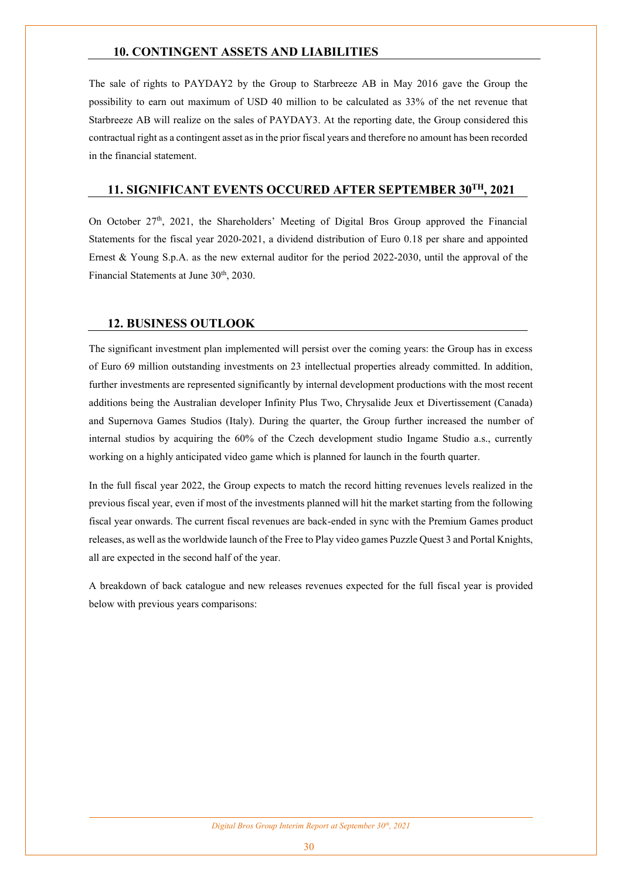# <span id="page-29-0"></span>**10. CONTINGENT ASSETS AND LIABILITIES**

The sale of rights to PAYDAY2 by the Group to Starbreeze AB in May 2016 gave the Group the possibility to earn out maximum of USD 40 million to be calculated as 33% of the net revenue that Starbreeze AB will realize on the sales of PAYDAY3. At the reporting date, the Group considered this contractual right as a contingent asset as in the prior fiscal years and therefore no amount has been recorded in the financial statement.

# <span id="page-29-1"></span>**11. SIGNIFICANT EVENTS OCCURED AFTER SEPTEMBER 30TH, 2021**

On October 27<sup>th</sup>, 2021, the Shareholders' Meeting of Digital Bros Group approved the Financial Statements for the fiscal year 2020-2021, a dividend distribution of Euro 0.18 per share and appointed Ernest & Young S.p.A. as the new external auditor for the period 2022-2030, until the approval of the Financial Statements at June 30<sup>th</sup>, 2030.

# <span id="page-29-2"></span>**12. BUSINESS OUTLOOK**

The significant investment plan implemented will persist over the coming years: the Group has in excess of Euro 69 million outstanding investments on 23 intellectual properties already committed. In addition, further investments are represented significantly by internal development productions with the most recent additions being the Australian developer Infinity Plus Two, Chrysalide Jeux et Divertissement (Canada) and Supernova Games Studios (Italy). During the quarter, the Group further increased the number of internal studios by acquiring the 60% of the Czech development studio Ingame Studio a.s., currently working on a highly anticipated video game which is planned for launch in the fourth quarter.

In the full fiscal year 2022, the Group expects to match the record hitting revenues levels realized in the previous fiscal year, even if most of the investments planned will hit the market starting from the following fiscal year onwards. The current fiscal revenues are back-ended in sync with the Premium Games product releases, as well as the worldwide launch of the Free to Play video games Puzzle Quest 3 and Portal Knights, all are expected in the second half of the year.

A breakdown of back catalogue and new releases revenues expected for the full fiscal year is provided below with previous years comparisons: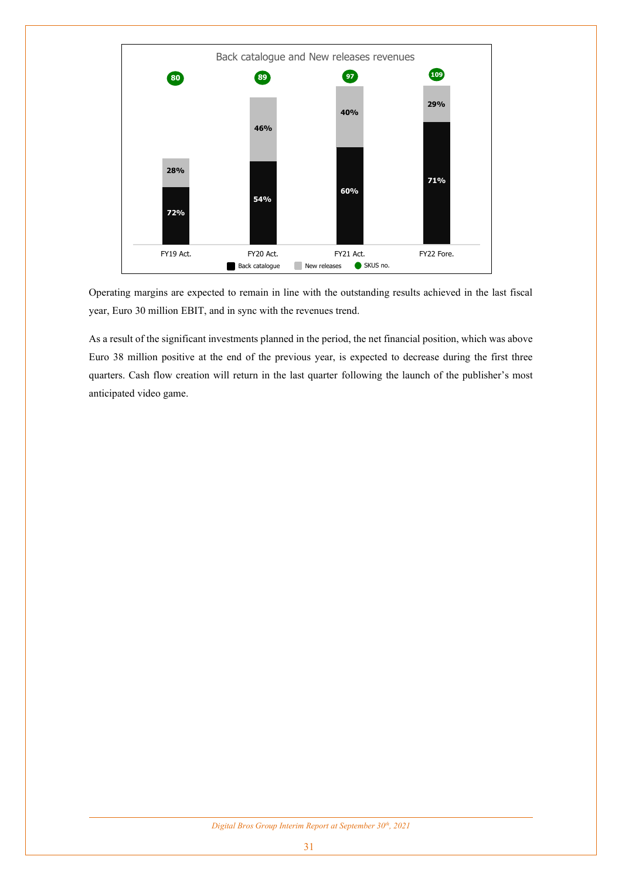

Operating margins are expected to remain in line with the outstanding results achieved in the last fiscal year, Euro 30 million EBIT, and in sync with the revenues trend.

As a result of the significant investments planned in the period, the net financial position, which was above Euro 38 million positive at the end of the previous year, is expected to decrease during the first three quarters. Cash flow creation will return in the last quarter following the launch of the publisher's most anticipated video game.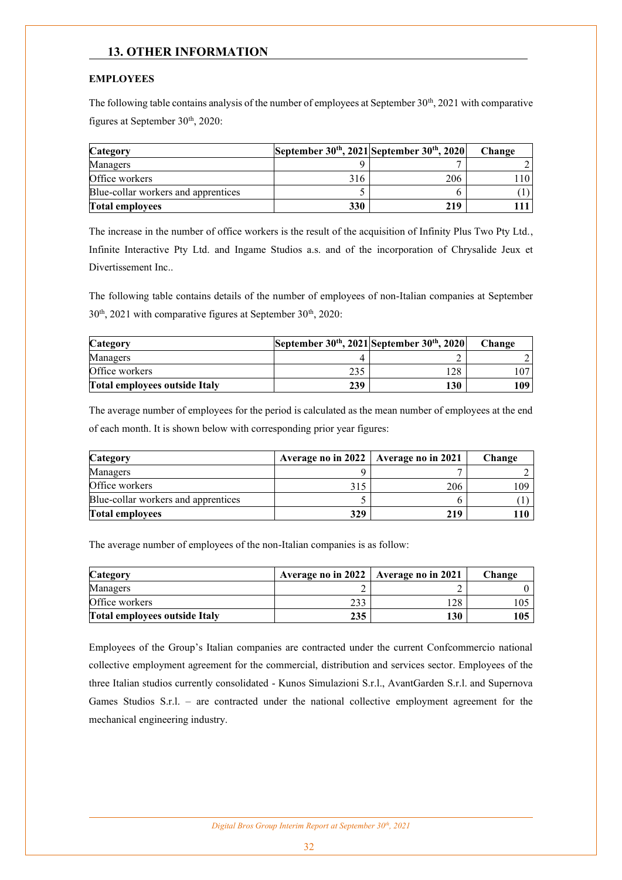# <span id="page-31-0"></span>**13. OTHER INFORMATION**

# **EMPLOYEES**

The following table contains analysis of the number of employees at September 30<sup>th</sup>, 2021 with comparative figures at September  $30<sup>th</sup>$ ,  $2020$ :

| Category                            |     | September $30th$ , 2021 September $30th$ , 2020 | Change |
|-------------------------------------|-----|-------------------------------------------------|--------|
| Managers                            |     |                                                 |        |
| Office workers                      | 316 | 206                                             |        |
| Blue-collar workers and apprentices |     |                                                 |        |
| <b>Total employees</b>              | 330 | 219                                             |        |

The increase in the number of office workers is the result of the acquisition of Infinity Plus Two Pty Ltd., Infinite Interactive Pty Ltd. and Ingame Studios a.s. and of the incorporation of Chrysalide Jeux et Divertissement Inc..

The following table contains details of the number of employees of non-Italian companies at September  $30<sup>th</sup>$ , 2021 with comparative figures at September  $30<sup>th</sup>$ , 2020:

| Category                      |     | September $30th$ , 2021 September $30th$ , 2020 | Change |
|-------------------------------|-----|-------------------------------------------------|--------|
| Managers                      |     |                                                 |        |
| Office workers                | つつぐ | 28                                              | 107    |
| Total employees outside Italy | 239 | 130                                             | 109    |

The average number of employees for the period is calculated as the mean number of employees at the end of each month. It is shown below with corresponding prior year figures:

| Category                            |     | Average no in 2022   Average no in 2021 | Change |
|-------------------------------------|-----|-----------------------------------------|--------|
| Managers                            |     |                                         |        |
| Office workers                      |     | 206                                     | . 09   |
| Blue-collar workers and apprentices |     |                                         |        |
| <b>Total employees</b>              | 329 | 219                                     |        |

The average number of employees of the non-Italian companies is as follow:

| Category                      |     | Average no in 2022   Average no in 2021 | Change |
|-------------------------------|-----|-----------------------------------------|--------|
| Managers                      |     |                                         |        |
| Office workers                |     | 28                                      |        |
| Total employees outside Italy | 235 | 130                                     | 105    |

Employees of the Group's Italian companies are contracted under the current Confcommercio national collective employment agreement for the commercial, distribution and services sector. Employees of the three Italian studios currently consolidated - Kunos Simulazioni S.r.l., AvantGarden S.r.l. and Supernova Games Studios S.r.l. – are contracted under the national collective employment agreement for the mechanical engineering industry.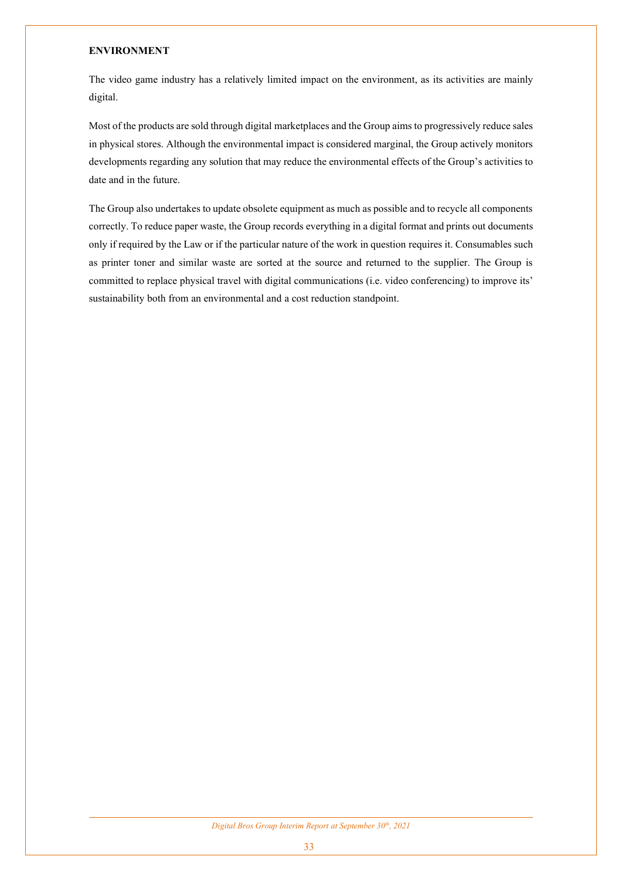#### **ENVIRONMENT**

The video game industry has a relatively limited impact on the environment, as its activities are mainly digital.

Most of the products are sold through digital marketplaces and the Group aims to progressively reduce sales in physical stores. Although the environmental impact is considered marginal, the Group actively monitors developments regarding any solution that may reduce the environmental effects of the Group's activities to date and in the future.

The Group also undertakes to update obsolete equipment as much as possible and to recycle all components correctly. To reduce paper waste, the Group records everything in a digital format and prints out documents only if required by the Law or if the particular nature of the work in question requires it. Consumables such as printer toner and similar waste are sorted at the source and returned to the supplier. The Group is committed to replace physical travel with digital communications (i.e. video conferencing) to improve its' sustainability both from an environmental and a cost reduction standpoint.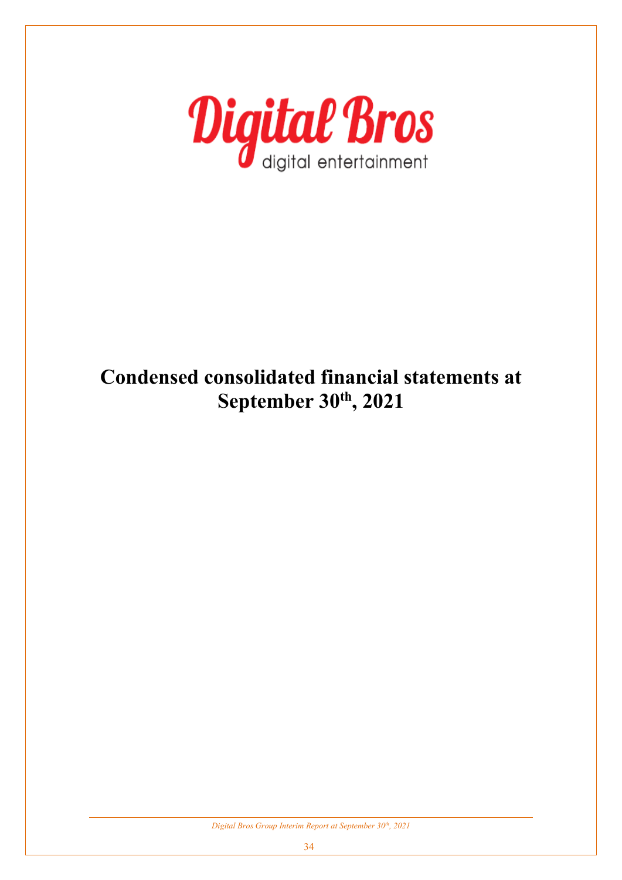

# **Condensed consolidated financial statements at September 30th, 2021**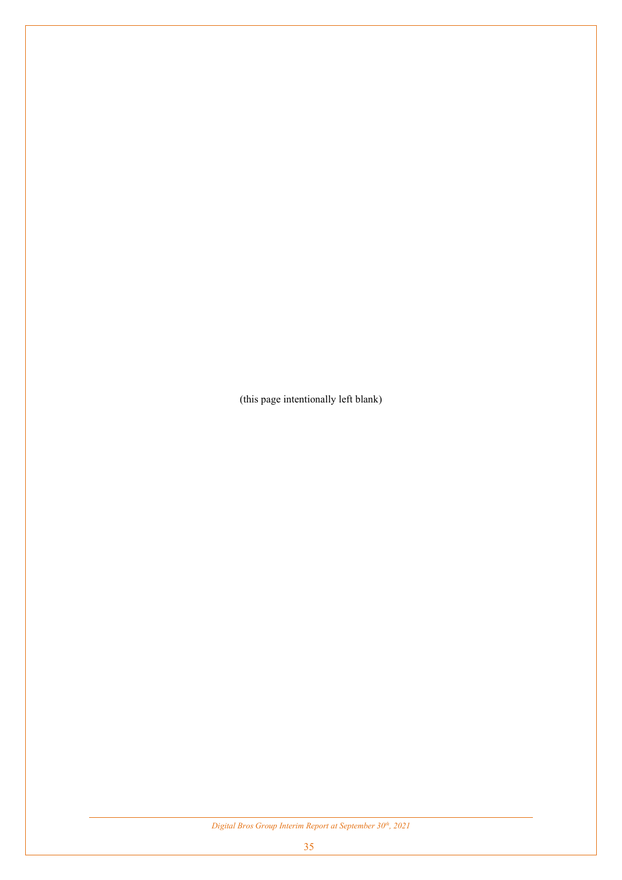(this page intentionally left blank)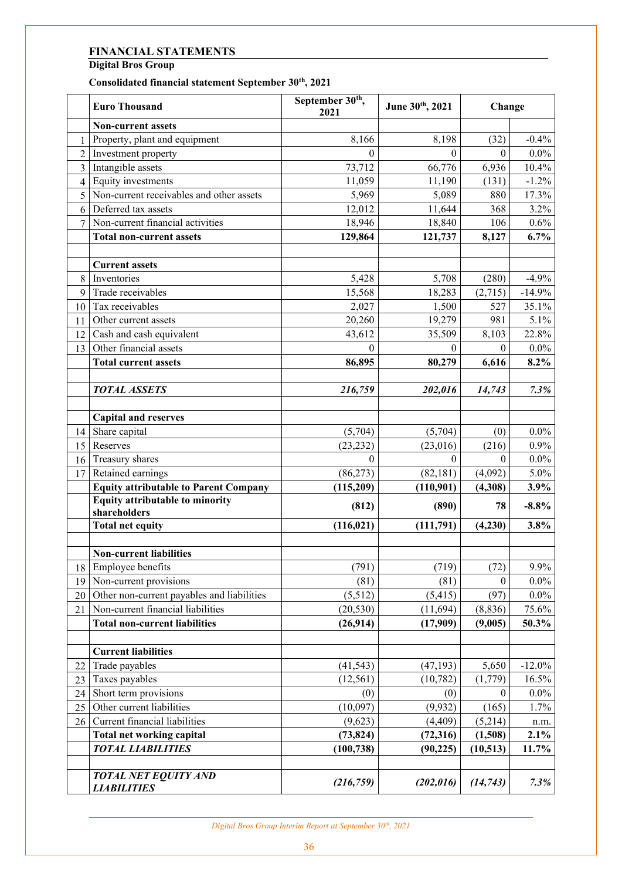# <span id="page-35-0"></span>**FINANCIAL STATEMENTS**

**Digital Bros Group** 

# <span id="page-35-1"></span>**Consolidated financial statement September 30th, 2021**

|                | <b>Euro Thousand</b>                         | September 30th,<br>2021 | June 30th, 2021 | Change       |          |
|----------------|----------------------------------------------|-------------------------|-----------------|--------------|----------|
|                | Non-current assets                           |                         |                 |              |          |
| 1              | Property, plant and equipment                | 8,166                   | 8,198           | (32)         | $-0.4%$  |
| $\overline{2}$ | Investment property                          | $\theta$                | $\Omega$        | $\mathbf{0}$ | $0.0\%$  |
| 3              | Intangible assets                            | 73,712                  | 66,776          | 6,936        | 10.4%    |
| 4              | Equity investments                           | 11,059                  | 11,190          | (131)        | $-1.2%$  |
| 5              | Non-current receivables and other assets     | 5,969                   | 5,089           | 880          | 17.3%    |
| 6              | Deferred tax assets                          | 12,012                  | 11,644          | 368          | 3.2%     |
| $\overline{7}$ | Non-current financial activities             | 18,946                  | 18,840          | 106          | 0.6%     |
|                | <b>Total non-current assets</b>              | 129,864                 | 121,737         | 8,127        | 6.7%     |
|                |                                              |                         |                 |              |          |
|                | <b>Current assets</b>                        |                         |                 |              |          |
| 8              | Inventories                                  | 5,428                   | 5,708           | (280)        | $-4.9%$  |
| 9              | Trade receivables                            | 15,568                  | 18,283          | (2,715)      | $-14.9%$ |
| 10             | Tax receivables                              | 2,027                   | 1,500           | 527          | 35.1%    |
| 11             | Other current assets                         | 20,260                  | 19,279          | 981          | 5.1%     |
| 12             | Cash and cash equivalent                     | 43,612                  | 35,509          | 8,103        | 22.8%    |
| 13             | Other financial assets                       | $\theta$                | $\Omega$        | $\theta$     | $0.0\%$  |
|                | <b>Total current assets</b>                  | 86,895                  | 80,279          | 6,616        | $8.2\%$  |
|                |                                              |                         |                 |              |          |
|                | <b>TOTAL ASSETS</b>                          | 216,759                 | 202,016         | 14,743       | 7.3%     |
|                |                                              |                         |                 |              |          |
|                | <b>Capital and reserves</b>                  |                         |                 |              |          |
| 14             | Share capital                                | (5,704)                 | (5,704)         | (0)          | $0.0\%$  |
| 15             | Reserves                                     | (23, 232)               | (23,016)        | (216)        | 0.9%     |
| 16             | Treasury shares                              | $\theta$                | $\theta$        | $\theta$     | $0.0\%$  |
| 17             | Retained earnings                            | (86, 273)               | (82, 181)       | (4,092)      | 5.0%     |
|                | <b>Equity attributable to Parent Company</b> | (115,209)               | (110,901)       | (4,308)      | $3.9\%$  |
|                | <b>Equity attributable to minority</b>       |                         |                 |              |          |
|                | shareholders                                 | (812)                   | (890)           | 78           | $-8.8\%$ |
|                | <b>Total net equity</b>                      | (116, 021)              | (111,791)       | (4,230)      | 3.8%     |
|                |                                              |                         |                 |              |          |
|                | <b>Non-current liabilities</b>               |                         |                 |              |          |
| 18             | Employee benefits                            | (791)                   | (719)           | (72)         | 9.9%     |
| 19             | Non-current provisions                       | (81)                    | (81)            | $\theta$     | $0.0\%$  |
| 20             | Other non-current payables and liabilities   | (5,512)                 | (5, 415)        | (97)         | $0.0\%$  |
| 21             | Non-current financial liabilities            | (20, 530)               | (11,694)        | (8, 836)     | 75.6%    |
|                | <b>Total non-current liabilities</b>         | (26,914)                | (17,909)        | (9,005)      | 50.3%    |
|                |                                              |                         |                 |              |          |
|                | <b>Current liabilities</b>                   |                         |                 |              |          |
| 22             | Trade payables                               | (41, 543)               | (47, 193)       | 5,650        | $-12.0%$ |
| 23             | Taxes payables                               | (12, 561)               | (10, 782)       | (1,779)      | 16.5%    |
| 24             | Short term provisions                        | (0)                     | (0)             | $\mathbf{0}$ | $0.0\%$  |
| 25             | Other current liabilities                    | (10,097)                | (9,932)         | (165)        | 1.7%     |
| 26             | Current financial liabilities                | (9,623)                 | (4, 409)        | (5,214)      | n.m.     |
|                | Total net working capital                    | (73, 824)               | (72, 316)       | (1,508)      | 2.1%     |
|                | <b>TOTAL LIABILITIES</b>                     | (100, 738)              | (90, 225)       | (10, 513)    | 11.7%    |
|                |                                              |                         |                 |              |          |
|                | TOTAL NET EQUITY AND<br><b>LIABILITIES</b>   | (216, 759)              | (202, 016)      | (14, 743)    | 7.3%     |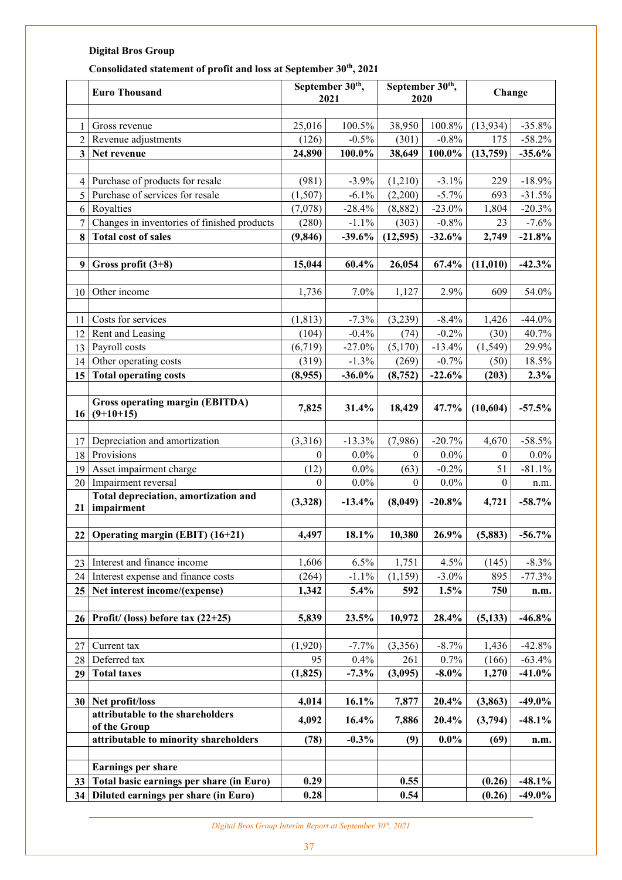<span id="page-36-0"></span>**Consolidated statement of profit and loss at September 30th, 2021** 

| 2021<br>2020<br>25,016<br>100.5%<br>38,950<br>100.8%<br>(13, 934)<br>Gross revenue<br>1<br>Revenue adjustments<br>$-0.5%$<br>$-0.8%$<br>175<br>$\overline{c}$<br>(126)<br>(301)<br>100.0%<br>100.0%<br>(13,759)<br>3<br>Net revenue<br>24,890<br>38,649<br>229<br>Purchase of products for resale<br>(981)<br>$-3.9%$<br>(1,210)<br>$-3.1%$<br>$\overline{4}$<br>Purchase of services for resale<br>$-6.1%$<br>$-5.7%$<br>5<br>(1,507)<br>(2,200)<br>693<br>Royalties<br>(7,078)<br>$-28.4%$<br>$-23.0\%$<br>(8, 882)<br>1,804<br>6<br>Changes in inventories of finished products<br>$-1.1%$<br>$-0.8%$<br>$\boldsymbol{7}$<br>(280)<br>(303)<br>23<br>$\bf{8}$<br><b>Total cost of sales</b><br>(9, 846)<br>$-39.6\%$<br>(12, 595)<br>$-32.6%$<br>2,749<br>15,044<br>60.4%<br>26,054<br>67.4%<br>Gross profit $(3+8)$<br>(11, 010)<br>9<br>Other income<br>1,736<br>7.0%<br>2.9%<br>1,127<br>609<br>10<br>(1, 813)<br>$-7.3%$<br>(3,239)<br>$-8.4%$<br>11<br>Costs for services<br>1,426<br>$-0.4%$<br>$-0.2%$<br>(104)<br>(30)<br>40.7%<br>12<br>Rent and Leasing<br>(74)<br>29.9%<br>Payroll costs<br>$-27.0%$<br>(5,170)<br>$-13.4%$<br>(6, 719)<br>(1, 549)<br>13<br>Other operating costs<br>$-1.3%$<br>(319)<br>(269)<br>$-0.7%$<br>18.5%<br>14<br>(50)<br><b>Total operating costs</b><br>$-36.0%$<br>2.3%<br>(8,955)<br>(8,752)<br>$-22.6%$<br>(203)<br>15<br><b>Gross operating margin (EBITDA)</b><br>47.7%<br>7,825<br>31.4%<br>18,429<br>(10,604)<br>16 <sup>1</sup><br>$(9+10+15)$<br>Depreciation and amortization<br>$-13.3%$<br>$-20.7%$<br>(3,316)<br>(7,986)<br>4,670<br>17<br>Provisions<br>$0.0\%$<br>$0.0\%$<br>18<br>$\mathbf{0}$<br>0<br>$\theta$<br>$0.0\%$<br>$-0.2%$<br>Asset impairment charge<br>(12)<br>(63)<br>51<br>19<br>Impairment reversal<br>$0.0\%$<br>$0.0\%$<br>20<br>$\theta$<br>$\theta$<br>$\boldsymbol{0}$<br>Total depreciation, amortization and<br>(3,328)<br>$-13.4%$<br>(8,049)<br>$-20.8%$<br>4,721<br>impairment<br>21<br>18.1%<br>Operating margin (EBIT) (16+21)<br>4,497<br>10,380<br>26.9%<br>$-56.7\%$<br>(5,883)<br>22<br>Interest and finance income<br>6.5%<br>1,751<br>4.5%<br>1,606<br>(145)<br>23<br>$-1.1%$<br>Interest expense and finance costs<br>(264)<br>$-3.0\%$<br>895<br>(1, 159)<br>24<br>Net interest income/(expense)<br>1,342<br>5.4%<br>592<br>1.5%<br>750<br>25<br>Profit/ (loss) before tax $(22+25)$<br>23.5%<br>28.4%<br>5,839<br>10,972<br>(5, 133)<br>26<br>(1,920)<br>$-8.7%$<br>$-7.7%$<br>(3,356)<br>27<br>Current tax<br>1,436<br>28<br>Deferred tax<br>95<br>0.4%<br>261<br>0.7%<br>(166)<br><b>Total taxes</b><br>(1, 825)<br>$-7.3\%$<br>(3,095)<br>$-8.0\%$<br>1,270<br>29<br>Net profit/loss<br>16.1%<br>20.4%<br>4,014<br>7,877<br>(3, 863)<br>30<br>attributable to the shareholders<br>4,092<br>16.4%<br>7,886<br>20.4%<br>(3,794)<br>of the Group | <b>Euro Thousand</b>                  |      | September 30 <sup>th</sup> , | September 30th, |         | Change |           |  |
|--------------------------------------------------------------------------------------------------------------------------------------------------------------------------------------------------------------------------------------------------------------------------------------------------------------------------------------------------------------------------------------------------------------------------------------------------------------------------------------------------------------------------------------------------------------------------------------------------------------------------------------------------------------------------------------------------------------------------------------------------------------------------------------------------------------------------------------------------------------------------------------------------------------------------------------------------------------------------------------------------------------------------------------------------------------------------------------------------------------------------------------------------------------------------------------------------------------------------------------------------------------------------------------------------------------------------------------------------------------------------------------------------------------------------------------------------------------------------------------------------------------------------------------------------------------------------------------------------------------------------------------------------------------------------------------------------------------------------------------------------------------------------------------------------------------------------------------------------------------------------------------------------------------------------------------------------------------------------------------------------------------------------------------------------------------------------------------------------------------------------------------------------------------------------------------------------------------------------------------------------------------------------------------------------------------------------------------------------------------------------------------------------------------------------------------------------------------------------------------------------------------------------------------------------------------------------------------------------------------------------------------------------------------------------------------------------------------------------------------------------------------------------------------------------------------------------------------------------|---------------------------------------|------|------------------------------|-----------------|---------|--------|-----------|--|
|                                                                                                                                                                                                                                                                                                                                                                                                                                                                                                                                                                                                                                                                                                                                                                                                                                                                                                                                                                                                                                                                                                                                                                                                                                                                                                                                                                                                                                                                                                                                                                                                                                                                                                                                                                                                                                                                                                                                                                                                                                                                                                                                                                                                                                                                                                                                                                                                                                                                                                                                                                                                                                                                                                                                                                                                                                                  |                                       |      |                              |                 |         |        |           |  |
|                                                                                                                                                                                                                                                                                                                                                                                                                                                                                                                                                                                                                                                                                                                                                                                                                                                                                                                                                                                                                                                                                                                                                                                                                                                                                                                                                                                                                                                                                                                                                                                                                                                                                                                                                                                                                                                                                                                                                                                                                                                                                                                                                                                                                                                                                                                                                                                                                                                                                                                                                                                                                                                                                                                                                                                                                                                  |                                       |      |                              |                 |         |        | $-35.8\%$ |  |
|                                                                                                                                                                                                                                                                                                                                                                                                                                                                                                                                                                                                                                                                                                                                                                                                                                                                                                                                                                                                                                                                                                                                                                                                                                                                                                                                                                                                                                                                                                                                                                                                                                                                                                                                                                                                                                                                                                                                                                                                                                                                                                                                                                                                                                                                                                                                                                                                                                                                                                                                                                                                                                                                                                                                                                                                                                                  |                                       |      |                              |                 |         |        | $-58.2%$  |  |
|                                                                                                                                                                                                                                                                                                                                                                                                                                                                                                                                                                                                                                                                                                                                                                                                                                                                                                                                                                                                                                                                                                                                                                                                                                                                                                                                                                                                                                                                                                                                                                                                                                                                                                                                                                                                                                                                                                                                                                                                                                                                                                                                                                                                                                                                                                                                                                                                                                                                                                                                                                                                                                                                                                                                                                                                                                                  |                                       |      |                              |                 |         |        | $-35.6%$  |  |
|                                                                                                                                                                                                                                                                                                                                                                                                                                                                                                                                                                                                                                                                                                                                                                                                                                                                                                                                                                                                                                                                                                                                                                                                                                                                                                                                                                                                                                                                                                                                                                                                                                                                                                                                                                                                                                                                                                                                                                                                                                                                                                                                                                                                                                                                                                                                                                                                                                                                                                                                                                                                                                                                                                                                                                                                                                                  |                                       |      |                              |                 |         |        |           |  |
|                                                                                                                                                                                                                                                                                                                                                                                                                                                                                                                                                                                                                                                                                                                                                                                                                                                                                                                                                                                                                                                                                                                                                                                                                                                                                                                                                                                                                                                                                                                                                                                                                                                                                                                                                                                                                                                                                                                                                                                                                                                                                                                                                                                                                                                                                                                                                                                                                                                                                                                                                                                                                                                                                                                                                                                                                                                  |                                       |      |                              |                 |         |        | $-18.9%$  |  |
|                                                                                                                                                                                                                                                                                                                                                                                                                                                                                                                                                                                                                                                                                                                                                                                                                                                                                                                                                                                                                                                                                                                                                                                                                                                                                                                                                                                                                                                                                                                                                                                                                                                                                                                                                                                                                                                                                                                                                                                                                                                                                                                                                                                                                                                                                                                                                                                                                                                                                                                                                                                                                                                                                                                                                                                                                                                  |                                       |      |                              |                 |         |        | $-31.5%$  |  |
|                                                                                                                                                                                                                                                                                                                                                                                                                                                                                                                                                                                                                                                                                                                                                                                                                                                                                                                                                                                                                                                                                                                                                                                                                                                                                                                                                                                                                                                                                                                                                                                                                                                                                                                                                                                                                                                                                                                                                                                                                                                                                                                                                                                                                                                                                                                                                                                                                                                                                                                                                                                                                                                                                                                                                                                                                                                  |                                       |      |                              |                 |         |        | $-20.3%$  |  |
|                                                                                                                                                                                                                                                                                                                                                                                                                                                                                                                                                                                                                                                                                                                                                                                                                                                                                                                                                                                                                                                                                                                                                                                                                                                                                                                                                                                                                                                                                                                                                                                                                                                                                                                                                                                                                                                                                                                                                                                                                                                                                                                                                                                                                                                                                                                                                                                                                                                                                                                                                                                                                                                                                                                                                                                                                                                  |                                       |      |                              |                 |         |        | $-7.6%$   |  |
|                                                                                                                                                                                                                                                                                                                                                                                                                                                                                                                                                                                                                                                                                                                                                                                                                                                                                                                                                                                                                                                                                                                                                                                                                                                                                                                                                                                                                                                                                                                                                                                                                                                                                                                                                                                                                                                                                                                                                                                                                                                                                                                                                                                                                                                                                                                                                                                                                                                                                                                                                                                                                                                                                                                                                                                                                                                  |                                       |      |                              |                 |         |        | $-21.8%$  |  |
|                                                                                                                                                                                                                                                                                                                                                                                                                                                                                                                                                                                                                                                                                                                                                                                                                                                                                                                                                                                                                                                                                                                                                                                                                                                                                                                                                                                                                                                                                                                                                                                                                                                                                                                                                                                                                                                                                                                                                                                                                                                                                                                                                                                                                                                                                                                                                                                                                                                                                                                                                                                                                                                                                                                                                                                                                                                  |                                       |      |                              |                 |         |        |           |  |
|                                                                                                                                                                                                                                                                                                                                                                                                                                                                                                                                                                                                                                                                                                                                                                                                                                                                                                                                                                                                                                                                                                                                                                                                                                                                                                                                                                                                                                                                                                                                                                                                                                                                                                                                                                                                                                                                                                                                                                                                                                                                                                                                                                                                                                                                                                                                                                                                                                                                                                                                                                                                                                                                                                                                                                                                                                                  |                                       |      |                              |                 |         |        | $-42.3%$  |  |
|                                                                                                                                                                                                                                                                                                                                                                                                                                                                                                                                                                                                                                                                                                                                                                                                                                                                                                                                                                                                                                                                                                                                                                                                                                                                                                                                                                                                                                                                                                                                                                                                                                                                                                                                                                                                                                                                                                                                                                                                                                                                                                                                                                                                                                                                                                                                                                                                                                                                                                                                                                                                                                                                                                                                                                                                                                                  |                                       |      |                              |                 |         |        |           |  |
|                                                                                                                                                                                                                                                                                                                                                                                                                                                                                                                                                                                                                                                                                                                                                                                                                                                                                                                                                                                                                                                                                                                                                                                                                                                                                                                                                                                                                                                                                                                                                                                                                                                                                                                                                                                                                                                                                                                                                                                                                                                                                                                                                                                                                                                                                                                                                                                                                                                                                                                                                                                                                                                                                                                                                                                                                                                  |                                       |      |                              |                 |         |        | 54.0%     |  |
|                                                                                                                                                                                                                                                                                                                                                                                                                                                                                                                                                                                                                                                                                                                                                                                                                                                                                                                                                                                                                                                                                                                                                                                                                                                                                                                                                                                                                                                                                                                                                                                                                                                                                                                                                                                                                                                                                                                                                                                                                                                                                                                                                                                                                                                                                                                                                                                                                                                                                                                                                                                                                                                                                                                                                                                                                                                  |                                       |      |                              |                 |         |        |           |  |
|                                                                                                                                                                                                                                                                                                                                                                                                                                                                                                                                                                                                                                                                                                                                                                                                                                                                                                                                                                                                                                                                                                                                                                                                                                                                                                                                                                                                                                                                                                                                                                                                                                                                                                                                                                                                                                                                                                                                                                                                                                                                                                                                                                                                                                                                                                                                                                                                                                                                                                                                                                                                                                                                                                                                                                                                                                                  |                                       |      |                              |                 |         |        | $-44.0%$  |  |
|                                                                                                                                                                                                                                                                                                                                                                                                                                                                                                                                                                                                                                                                                                                                                                                                                                                                                                                                                                                                                                                                                                                                                                                                                                                                                                                                                                                                                                                                                                                                                                                                                                                                                                                                                                                                                                                                                                                                                                                                                                                                                                                                                                                                                                                                                                                                                                                                                                                                                                                                                                                                                                                                                                                                                                                                                                                  |                                       |      |                              |                 |         |        |           |  |
|                                                                                                                                                                                                                                                                                                                                                                                                                                                                                                                                                                                                                                                                                                                                                                                                                                                                                                                                                                                                                                                                                                                                                                                                                                                                                                                                                                                                                                                                                                                                                                                                                                                                                                                                                                                                                                                                                                                                                                                                                                                                                                                                                                                                                                                                                                                                                                                                                                                                                                                                                                                                                                                                                                                                                                                                                                                  |                                       |      |                              |                 |         |        |           |  |
|                                                                                                                                                                                                                                                                                                                                                                                                                                                                                                                                                                                                                                                                                                                                                                                                                                                                                                                                                                                                                                                                                                                                                                                                                                                                                                                                                                                                                                                                                                                                                                                                                                                                                                                                                                                                                                                                                                                                                                                                                                                                                                                                                                                                                                                                                                                                                                                                                                                                                                                                                                                                                                                                                                                                                                                                                                                  |                                       |      |                              |                 |         |        |           |  |
|                                                                                                                                                                                                                                                                                                                                                                                                                                                                                                                                                                                                                                                                                                                                                                                                                                                                                                                                                                                                                                                                                                                                                                                                                                                                                                                                                                                                                                                                                                                                                                                                                                                                                                                                                                                                                                                                                                                                                                                                                                                                                                                                                                                                                                                                                                                                                                                                                                                                                                                                                                                                                                                                                                                                                                                                                                                  |                                       |      |                              |                 |         |        |           |  |
|                                                                                                                                                                                                                                                                                                                                                                                                                                                                                                                                                                                                                                                                                                                                                                                                                                                                                                                                                                                                                                                                                                                                                                                                                                                                                                                                                                                                                                                                                                                                                                                                                                                                                                                                                                                                                                                                                                                                                                                                                                                                                                                                                                                                                                                                                                                                                                                                                                                                                                                                                                                                                                                                                                                                                                                                                                                  |                                       |      |                              |                 |         |        |           |  |
|                                                                                                                                                                                                                                                                                                                                                                                                                                                                                                                                                                                                                                                                                                                                                                                                                                                                                                                                                                                                                                                                                                                                                                                                                                                                                                                                                                                                                                                                                                                                                                                                                                                                                                                                                                                                                                                                                                                                                                                                                                                                                                                                                                                                                                                                                                                                                                                                                                                                                                                                                                                                                                                                                                                                                                                                                                                  |                                       |      |                              |                 |         |        | $-57.5%$  |  |
|                                                                                                                                                                                                                                                                                                                                                                                                                                                                                                                                                                                                                                                                                                                                                                                                                                                                                                                                                                                                                                                                                                                                                                                                                                                                                                                                                                                                                                                                                                                                                                                                                                                                                                                                                                                                                                                                                                                                                                                                                                                                                                                                                                                                                                                                                                                                                                                                                                                                                                                                                                                                                                                                                                                                                                                                                                                  |                                       |      |                              |                 |         |        |           |  |
|                                                                                                                                                                                                                                                                                                                                                                                                                                                                                                                                                                                                                                                                                                                                                                                                                                                                                                                                                                                                                                                                                                                                                                                                                                                                                                                                                                                                                                                                                                                                                                                                                                                                                                                                                                                                                                                                                                                                                                                                                                                                                                                                                                                                                                                                                                                                                                                                                                                                                                                                                                                                                                                                                                                                                                                                                                                  |                                       |      |                              |                 |         |        | $-58.5%$  |  |
|                                                                                                                                                                                                                                                                                                                                                                                                                                                                                                                                                                                                                                                                                                                                                                                                                                                                                                                                                                                                                                                                                                                                                                                                                                                                                                                                                                                                                                                                                                                                                                                                                                                                                                                                                                                                                                                                                                                                                                                                                                                                                                                                                                                                                                                                                                                                                                                                                                                                                                                                                                                                                                                                                                                                                                                                                                                  |                                       |      |                              |                 |         |        | $0.0\%$   |  |
|                                                                                                                                                                                                                                                                                                                                                                                                                                                                                                                                                                                                                                                                                                                                                                                                                                                                                                                                                                                                                                                                                                                                                                                                                                                                                                                                                                                                                                                                                                                                                                                                                                                                                                                                                                                                                                                                                                                                                                                                                                                                                                                                                                                                                                                                                                                                                                                                                                                                                                                                                                                                                                                                                                                                                                                                                                                  |                                       |      |                              |                 |         |        | $-81.1%$  |  |
|                                                                                                                                                                                                                                                                                                                                                                                                                                                                                                                                                                                                                                                                                                                                                                                                                                                                                                                                                                                                                                                                                                                                                                                                                                                                                                                                                                                                                                                                                                                                                                                                                                                                                                                                                                                                                                                                                                                                                                                                                                                                                                                                                                                                                                                                                                                                                                                                                                                                                                                                                                                                                                                                                                                                                                                                                                                  |                                       |      |                              |                 |         |        | n.m.      |  |
|                                                                                                                                                                                                                                                                                                                                                                                                                                                                                                                                                                                                                                                                                                                                                                                                                                                                                                                                                                                                                                                                                                                                                                                                                                                                                                                                                                                                                                                                                                                                                                                                                                                                                                                                                                                                                                                                                                                                                                                                                                                                                                                                                                                                                                                                                                                                                                                                                                                                                                                                                                                                                                                                                                                                                                                                                                                  |                                       |      |                              |                 |         |        | $-58.7\%$ |  |
|                                                                                                                                                                                                                                                                                                                                                                                                                                                                                                                                                                                                                                                                                                                                                                                                                                                                                                                                                                                                                                                                                                                                                                                                                                                                                                                                                                                                                                                                                                                                                                                                                                                                                                                                                                                                                                                                                                                                                                                                                                                                                                                                                                                                                                                                                                                                                                                                                                                                                                                                                                                                                                                                                                                                                                                                                                                  |                                       |      |                              |                 |         |        |           |  |
|                                                                                                                                                                                                                                                                                                                                                                                                                                                                                                                                                                                                                                                                                                                                                                                                                                                                                                                                                                                                                                                                                                                                                                                                                                                                                                                                                                                                                                                                                                                                                                                                                                                                                                                                                                                                                                                                                                                                                                                                                                                                                                                                                                                                                                                                                                                                                                                                                                                                                                                                                                                                                                                                                                                                                                                                                                                  |                                       |      |                              |                 |         |        |           |  |
|                                                                                                                                                                                                                                                                                                                                                                                                                                                                                                                                                                                                                                                                                                                                                                                                                                                                                                                                                                                                                                                                                                                                                                                                                                                                                                                                                                                                                                                                                                                                                                                                                                                                                                                                                                                                                                                                                                                                                                                                                                                                                                                                                                                                                                                                                                                                                                                                                                                                                                                                                                                                                                                                                                                                                                                                                                                  |                                       |      |                              |                 |         |        |           |  |
|                                                                                                                                                                                                                                                                                                                                                                                                                                                                                                                                                                                                                                                                                                                                                                                                                                                                                                                                                                                                                                                                                                                                                                                                                                                                                                                                                                                                                                                                                                                                                                                                                                                                                                                                                                                                                                                                                                                                                                                                                                                                                                                                                                                                                                                                                                                                                                                                                                                                                                                                                                                                                                                                                                                                                                                                                                                  |                                       |      |                              |                 |         |        | $-8.3\%$  |  |
|                                                                                                                                                                                                                                                                                                                                                                                                                                                                                                                                                                                                                                                                                                                                                                                                                                                                                                                                                                                                                                                                                                                                                                                                                                                                                                                                                                                                                                                                                                                                                                                                                                                                                                                                                                                                                                                                                                                                                                                                                                                                                                                                                                                                                                                                                                                                                                                                                                                                                                                                                                                                                                                                                                                                                                                                                                                  |                                       |      |                              |                 |         |        | $-77.3%$  |  |
|                                                                                                                                                                                                                                                                                                                                                                                                                                                                                                                                                                                                                                                                                                                                                                                                                                                                                                                                                                                                                                                                                                                                                                                                                                                                                                                                                                                                                                                                                                                                                                                                                                                                                                                                                                                                                                                                                                                                                                                                                                                                                                                                                                                                                                                                                                                                                                                                                                                                                                                                                                                                                                                                                                                                                                                                                                                  |                                       |      |                              |                 |         |        | n.m.      |  |
|                                                                                                                                                                                                                                                                                                                                                                                                                                                                                                                                                                                                                                                                                                                                                                                                                                                                                                                                                                                                                                                                                                                                                                                                                                                                                                                                                                                                                                                                                                                                                                                                                                                                                                                                                                                                                                                                                                                                                                                                                                                                                                                                                                                                                                                                                                                                                                                                                                                                                                                                                                                                                                                                                                                                                                                                                                                  |                                       |      |                              |                 |         |        |           |  |
|                                                                                                                                                                                                                                                                                                                                                                                                                                                                                                                                                                                                                                                                                                                                                                                                                                                                                                                                                                                                                                                                                                                                                                                                                                                                                                                                                                                                                                                                                                                                                                                                                                                                                                                                                                                                                                                                                                                                                                                                                                                                                                                                                                                                                                                                                                                                                                                                                                                                                                                                                                                                                                                                                                                                                                                                                                                  |                                       |      |                              |                 |         |        | $-46.8%$  |  |
|                                                                                                                                                                                                                                                                                                                                                                                                                                                                                                                                                                                                                                                                                                                                                                                                                                                                                                                                                                                                                                                                                                                                                                                                                                                                                                                                                                                                                                                                                                                                                                                                                                                                                                                                                                                                                                                                                                                                                                                                                                                                                                                                                                                                                                                                                                                                                                                                                                                                                                                                                                                                                                                                                                                                                                                                                                                  |                                       |      |                              |                 |         |        |           |  |
|                                                                                                                                                                                                                                                                                                                                                                                                                                                                                                                                                                                                                                                                                                                                                                                                                                                                                                                                                                                                                                                                                                                                                                                                                                                                                                                                                                                                                                                                                                                                                                                                                                                                                                                                                                                                                                                                                                                                                                                                                                                                                                                                                                                                                                                                                                                                                                                                                                                                                                                                                                                                                                                                                                                                                                                                                                                  |                                       |      |                              |                 |         |        | $-42.8%$  |  |
|                                                                                                                                                                                                                                                                                                                                                                                                                                                                                                                                                                                                                                                                                                                                                                                                                                                                                                                                                                                                                                                                                                                                                                                                                                                                                                                                                                                                                                                                                                                                                                                                                                                                                                                                                                                                                                                                                                                                                                                                                                                                                                                                                                                                                                                                                                                                                                                                                                                                                                                                                                                                                                                                                                                                                                                                                                                  |                                       |      |                              |                 |         |        | $-63.4%$  |  |
|                                                                                                                                                                                                                                                                                                                                                                                                                                                                                                                                                                                                                                                                                                                                                                                                                                                                                                                                                                                                                                                                                                                                                                                                                                                                                                                                                                                                                                                                                                                                                                                                                                                                                                                                                                                                                                                                                                                                                                                                                                                                                                                                                                                                                                                                                                                                                                                                                                                                                                                                                                                                                                                                                                                                                                                                                                                  |                                       |      |                              |                 |         |        | $-41.0\%$ |  |
|                                                                                                                                                                                                                                                                                                                                                                                                                                                                                                                                                                                                                                                                                                                                                                                                                                                                                                                                                                                                                                                                                                                                                                                                                                                                                                                                                                                                                                                                                                                                                                                                                                                                                                                                                                                                                                                                                                                                                                                                                                                                                                                                                                                                                                                                                                                                                                                                                                                                                                                                                                                                                                                                                                                                                                                                                                                  |                                       |      |                              |                 |         |        |           |  |
|                                                                                                                                                                                                                                                                                                                                                                                                                                                                                                                                                                                                                                                                                                                                                                                                                                                                                                                                                                                                                                                                                                                                                                                                                                                                                                                                                                                                                                                                                                                                                                                                                                                                                                                                                                                                                                                                                                                                                                                                                                                                                                                                                                                                                                                                                                                                                                                                                                                                                                                                                                                                                                                                                                                                                                                                                                                  |                                       |      |                              |                 |         |        | $-49.0\%$ |  |
|                                                                                                                                                                                                                                                                                                                                                                                                                                                                                                                                                                                                                                                                                                                                                                                                                                                                                                                                                                                                                                                                                                                                                                                                                                                                                                                                                                                                                                                                                                                                                                                                                                                                                                                                                                                                                                                                                                                                                                                                                                                                                                                                                                                                                                                                                                                                                                                                                                                                                                                                                                                                                                                                                                                                                                                                                                                  |                                       |      |                              |                 |         |        | $-48.1%$  |  |
| (9)                                                                                                                                                                                                                                                                                                                                                                                                                                                                                                                                                                                                                                                                                                                                                                                                                                                                                                                                                                                                                                                                                                                                                                                                                                                                                                                                                                                                                                                                                                                                                                                                                                                                                                                                                                                                                                                                                                                                                                                                                                                                                                                                                                                                                                                                                                                                                                                                                                                                                                                                                                                                                                                                                                                                                                                                                                              | attributable to minority shareholders | (78) | $-0.3\%$                     |                 | $0.0\%$ | (69)   | n.m.      |  |
|                                                                                                                                                                                                                                                                                                                                                                                                                                                                                                                                                                                                                                                                                                                                                                                                                                                                                                                                                                                                                                                                                                                                                                                                                                                                                                                                                                                                                                                                                                                                                                                                                                                                                                                                                                                                                                                                                                                                                                                                                                                                                                                                                                                                                                                                                                                                                                                                                                                                                                                                                                                                                                                                                                                                                                                                                                                  |                                       |      |                              |                 |         |        |           |  |
| <b>Earnings per share</b>                                                                                                                                                                                                                                                                                                                                                                                                                                                                                                                                                                                                                                                                                                                                                                                                                                                                                                                                                                                                                                                                                                                                                                                                                                                                                                                                                                                                                                                                                                                                                                                                                                                                                                                                                                                                                                                                                                                                                                                                                                                                                                                                                                                                                                                                                                                                                                                                                                                                                                                                                                                                                                                                                                                                                                                                                        |                                       |      |                              |                 |         |        |           |  |
| Total basic earnings per share (in Euro)<br>0.29<br>0.55<br>33<br>(0.26)                                                                                                                                                                                                                                                                                                                                                                                                                                                                                                                                                                                                                                                                                                                                                                                                                                                                                                                                                                                                                                                                                                                                                                                                                                                                                                                                                                                                                                                                                                                                                                                                                                                                                                                                                                                                                                                                                                                                                                                                                                                                                                                                                                                                                                                                                                                                                                                                                                                                                                                                                                                                                                                                                                                                                                         |                                       |      |                              |                 |         |        | $-48.1\%$ |  |
| 34 Diluted earnings per share (in Euro)<br>0.54<br>0.28<br>(0.26)                                                                                                                                                                                                                                                                                                                                                                                                                                                                                                                                                                                                                                                                                                                                                                                                                                                                                                                                                                                                                                                                                                                                                                                                                                                                                                                                                                                                                                                                                                                                                                                                                                                                                                                                                                                                                                                                                                                                                                                                                                                                                                                                                                                                                                                                                                                                                                                                                                                                                                                                                                                                                                                                                                                                                                                |                                       |      |                              |                 |         |        | $-49.0\%$ |  |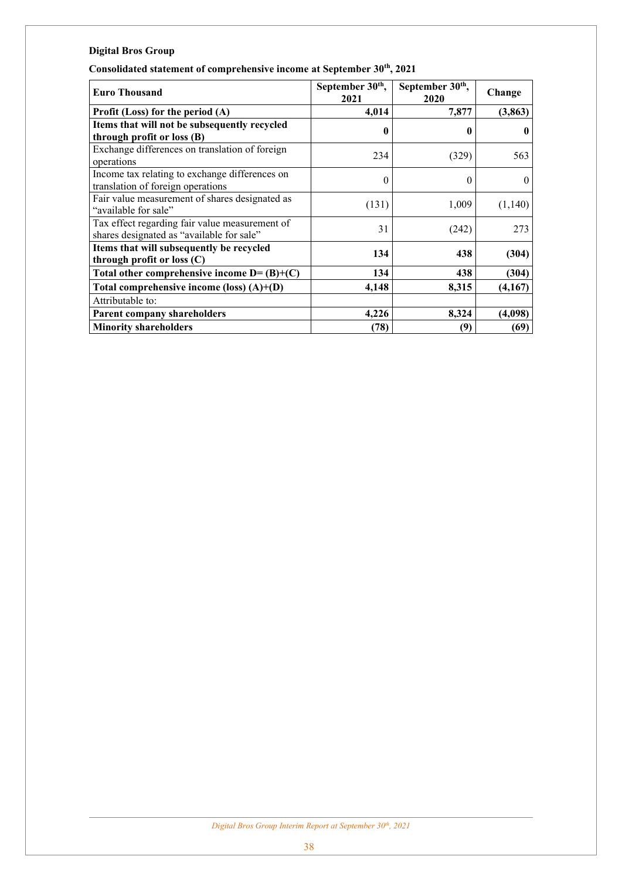<span id="page-37-0"></span>

| <b>Euro Thousand</b>                                                                        | September 30th,<br>2021 | September 30 <sup>th</sup> ,<br>2020 | Change   |  |
|---------------------------------------------------------------------------------------------|-------------------------|--------------------------------------|----------|--|
| Profit (Loss) for the period $(A)$                                                          | 4,014                   | 7,877                                | (3, 863) |  |
| Items that will not be subsequently recycled<br>through profit or loss (B)                  | $\bf{0}$                | $\bf{0}$                             | 0        |  |
| Exchange differences on translation of foreign<br>operations                                | 234                     | (329)                                | 563      |  |
| Income tax relating to exchange differences on<br>translation of foreign operations         | $\theta$                | $\theta$                             | $\Omega$ |  |
| Fair value measurement of shares designated as<br>"available for sale"                      | (131)                   | 1,009                                | (1,140)  |  |
| Tax effect regarding fair value measurement of<br>shares designated as "available for sale" | 31                      | (242)                                | 273      |  |
| Items that will subsequently be recycled<br>through profit or loss $(C)$                    | 134                     | 438                                  | (304)    |  |
| Total other comprehensive income $D=(B)+(C)$                                                | 134                     | 438                                  | (304)    |  |
| Total comprehensive income (loss) $(A)+(D)$                                                 | 4,148                   | 8,315                                | (4,167)  |  |
| Attributable to:                                                                            |                         |                                      |          |  |
| <b>Parent company shareholders</b>                                                          | 4,226                   | 8,324                                | (4,098)  |  |
| <b>Minority shareholders</b>                                                                | (78)                    | (9)                                  | (69)     |  |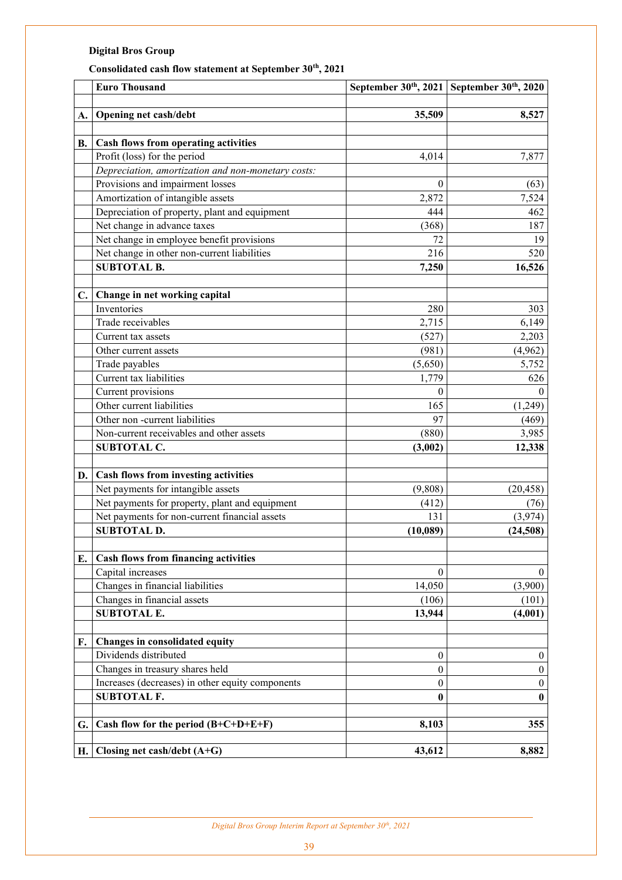# <span id="page-38-0"></span>**Consolidated cash flow statement at September 30th, 2021**

|                | <b>Euro Thousand</b>                               |                                      | September $30^{th}$ , 2021 September $30^{th}$ , 2020 |
|----------------|----------------------------------------------------|--------------------------------------|-------------------------------------------------------|
|                |                                                    |                                      |                                                       |
| A.             | Opening net cash/debt                              | 35,509                               | 8,527                                                 |
| В.             | Cash flows from operating activities               |                                      |                                                       |
|                | Profit (loss) for the period                       | 4,014                                | 7,877                                                 |
|                | Depreciation, amortization and non-monetary costs: |                                      |                                                       |
|                | Provisions and impairment losses                   | $\boldsymbol{0}$                     | (63)                                                  |
|                | Amortization of intangible assets                  | 2,872                                | 7,524                                                 |
|                | Depreciation of property, plant and equipment      | 444                                  | 462                                                   |
|                | Net change in advance taxes                        | (368)                                | 187                                                   |
|                | Net change in employee benefit provisions          | 72                                   | 19                                                    |
|                | Net change in other non-current liabilities        | 216                                  | 520                                                   |
|                | <b>SUBTOTAL B.</b>                                 | 7,250                                | 16,526                                                |
|                |                                                    |                                      |                                                       |
| $\mathbf{C}$ . | Change in net working capital                      |                                      |                                                       |
|                | Inventories                                        | 280                                  | 303                                                   |
|                | Trade receivables                                  | 2,715                                | 6,149                                                 |
|                | Current tax assets                                 | (527)                                | 2,203                                                 |
|                | Other current assets                               | (981)                                | (4,962)                                               |
|                | Trade payables                                     | (5,650)                              | 5,752                                                 |
|                | Current tax liabilities                            | 1,779                                | 626                                                   |
|                | Current provisions                                 | $\theta$                             | $\theta$                                              |
|                | Other current liabilities                          | 165                                  | (1,249)                                               |
|                | Other non-current liabilities                      | 97                                   | (469)                                                 |
|                | Non-current receivables and other assets           | (880)                                | 3,985                                                 |
|                | <b>SUBTOTAL C.</b>                                 | (3,002)                              | 12,338                                                |
|                |                                                    |                                      |                                                       |
| D.             | Cash flows from investing activities               |                                      |                                                       |
|                | Net payments for intangible assets                 | (9,808)                              | (20, 458)                                             |
|                | Net payments for property, plant and equipment     | (412)                                | (76)                                                  |
|                | Net payments for non-current financial assets      | 131                                  | (3,974)                                               |
|                | <b>SUBTOTAL D.</b>                                 | (10,089)                             | (24, 508)                                             |
|                |                                                    |                                      |                                                       |
| E.             | <b>Cash flows from financing activities</b>        |                                      |                                                       |
|                | Capital increases                                  | $\theta$                             | $\overline{0}$                                        |
|                | Changes in financial liabilities                   | 14,050                               | (3,900)                                               |
|                | Changes in financial assets                        | (106)                                | (101)                                                 |
|                | <b>SUBTOTAL E.</b>                                 | 13,944                               | (4,001)                                               |
| F.             | Changes in consolidated equity                     |                                      |                                                       |
|                | Dividends distributed                              |                                      |                                                       |
|                | Changes in treasury shares held                    | $\boldsymbol{0}$<br>$\boldsymbol{0}$ | $\boldsymbol{0}$<br>$\boldsymbol{0}$                  |
|                | Increases (decreases) in other equity components   |                                      |                                                       |
|                | <b>SUBTOTAL F.</b>                                 | $\boldsymbol{0}$                     | $\boldsymbol{0}$                                      |
|                |                                                    | $\bf{0}$                             | $\bf{0}$                                              |
| G.             | Cash flow for the period $(B+C+D+E+F)$             | 8,103                                | 355                                                   |
|                |                                                    |                                      |                                                       |
| H.             | Closing net cash/debt $(A+G)$                      | 43,612                               | 8,882                                                 |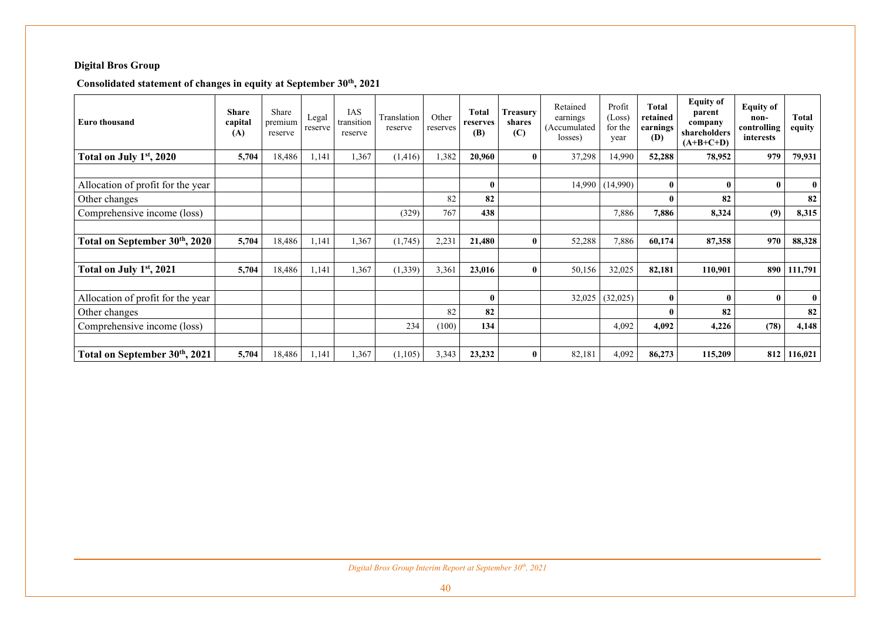# **Consolidated statement of changes in equity at September 30th, 2021**

<span id="page-39-0"></span>

| <b>Euro thousand</b>              | <b>Share</b><br>capital<br>(A) | Share<br>premium<br>reserve | Legal<br>reserve | <b>IAS</b><br>transition<br>reserve | Translation<br>reserve | Other<br>reserves | <b>Total</b><br>reserves<br>(B) | <b>Treasury</b><br>shares<br>(C) | Retained<br>earnings<br>(Accumulated<br>losses) | Profit<br>(Loss)<br>for the<br>year | Total<br>retained<br>earnings<br>(D) | <b>Equity of</b><br>parent<br>company<br>shareholders<br>$(A+B+C+D)$ | <b>Equity of</b><br>non-<br>controlling<br>interests | <b>Total</b><br>equity |
|-----------------------------------|--------------------------------|-----------------------------|------------------|-------------------------------------|------------------------|-------------------|---------------------------------|----------------------------------|-------------------------------------------------|-------------------------------------|--------------------------------------|----------------------------------------------------------------------|------------------------------------------------------|------------------------|
| Total on July 1st, 2020           | 5,704                          | 18,486                      | 1,141            | 1,367                               | (1,416)                | 1,382             | 20,960                          | $\mathbf{0}$                     | 37,298                                          | 14,990                              | 52,288                               | 78,952                                                               | 979                                                  | 79,931                 |
|                                   |                                |                             |                  |                                     |                        |                   |                                 |                                  |                                                 |                                     |                                      |                                                                      |                                                      |                        |
| Allocation of profit for the year |                                |                             |                  |                                     |                        |                   |                                 |                                  |                                                 | 14,990 (14,990)                     | 0                                    | $\mathbf{0}$                                                         | $\bf{0}$                                             | $\bf{0}$               |
| Other changes                     |                                |                             |                  |                                     |                        | 82                | 82                              |                                  |                                                 |                                     |                                      | 82                                                                   |                                                      | 82                     |
| Comprehensive income (loss)       |                                |                             |                  |                                     | (329)                  | 767               | 438                             |                                  |                                                 | 7,886                               | 7,886                                | 8,324                                                                | (9)                                                  | 8,315                  |
|                                   |                                |                             |                  |                                     |                        |                   |                                 |                                  |                                                 |                                     |                                      |                                                                      |                                                      |                        |
| Total on September 30th, 2020     | 5,704                          | 18,486                      | 1,141            | 1,367                               | (1,745)                | 2,231             | 21,480                          | $\mathbf{0}$                     | 52,288                                          | 7,886                               | 60,174                               | 87,358                                                               | 970                                                  | 88,328                 |
|                                   |                                |                             |                  |                                     |                        |                   |                                 |                                  |                                                 |                                     |                                      |                                                                      |                                                      |                        |
| Total on July 1st, 2021           | 5,704                          | 18,486                      | 1,141            | 1,367                               | (1,339)                | 3,361             | 23,016                          | 0                                | 50,156                                          | 32,025                              | 82,181                               | 110,901                                                              | 890                                                  | 111,791                |
|                                   |                                |                             |                  |                                     |                        |                   |                                 |                                  |                                                 |                                     |                                      |                                                                      |                                                      |                        |
| Allocation of profit for the year |                                |                             |                  |                                     |                        |                   |                                 |                                  |                                                 | 32,025 (32,025)                     | $\mathbf 0$                          | $\mathbf{0}$                                                         | $\mathbf{0}$                                         | $\mathbf{0}$           |
| Other changes                     |                                |                             |                  |                                     |                        | 82                | 82                              |                                  |                                                 |                                     |                                      | 82                                                                   |                                                      | 82                     |
| Comprehensive income (loss)       |                                |                             |                  |                                     | 234                    | (100)             | 134                             |                                  |                                                 | 4,092                               | 4,092                                | 4,226                                                                | (78)                                                 | 4,148                  |
|                                   |                                |                             |                  |                                     |                        |                   |                                 |                                  |                                                 |                                     |                                      |                                                                      |                                                      |                        |
| Total on September 30th, 2021     | 5,704                          | 18,486                      | 1,141            | 1,367                               | (1,105)                | 3,343             | 23,232                          | $\mathbf{0}$                     | 82,181                                          | 4,092                               | 86,273                               | 115,209                                                              | 812                                                  | 116,021                |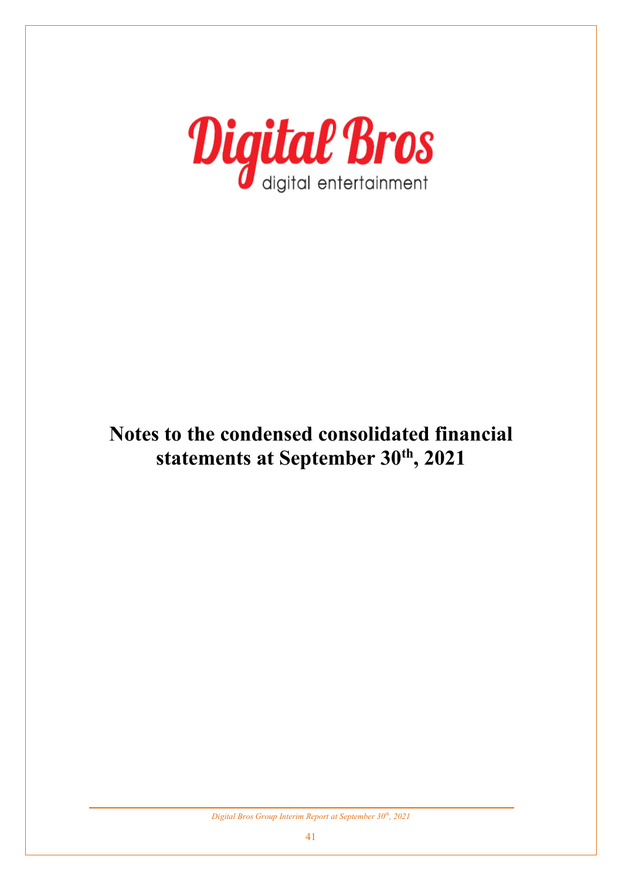

# <span id="page-40-0"></span>**Notes to the condensed consolidated financial statements at September 30th, 2021**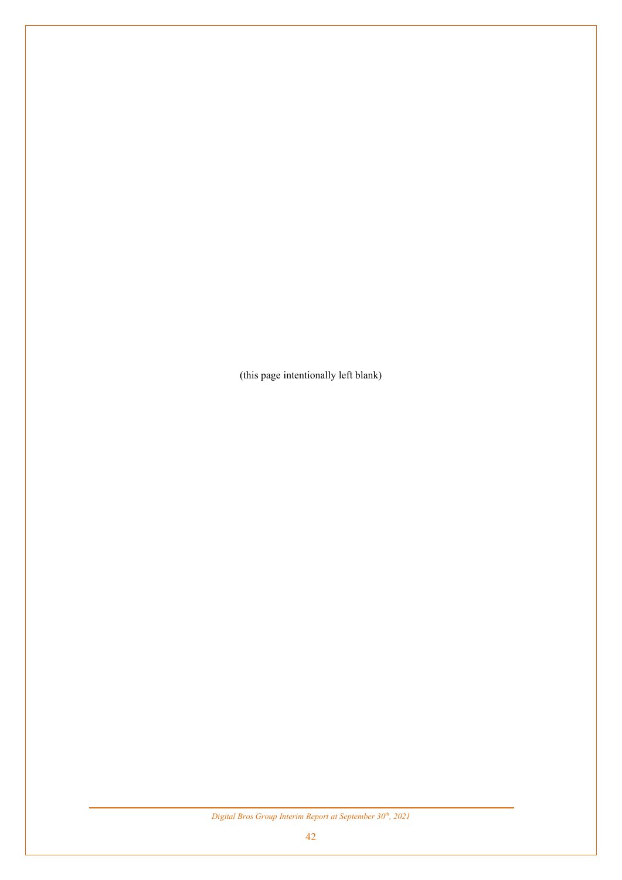(this page intentionally left blank)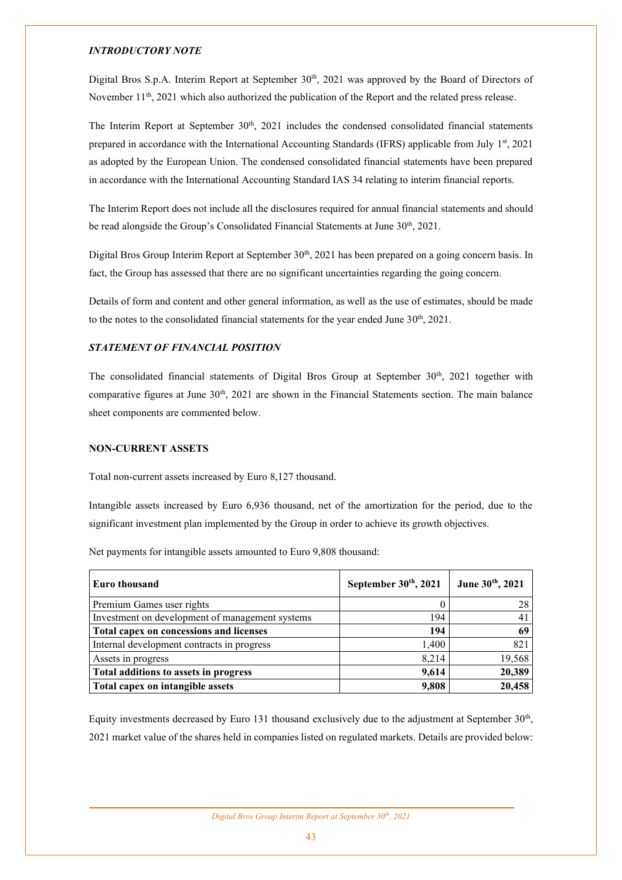#### *INTRODUCTORY NOTE*

Digital Bros S.p.A. Interim Report at September 30<sup>th</sup>, 2021 was approved by the Board of Directors of November 11<sup>th</sup>, 2021 which also authorized the publication of the Report and the related press release.

The Interim Report at September  $30<sup>th</sup>$ ,  $2021$  includes the condensed consolidated financial statements prepared in accordance with the International Accounting Standards (IFRS) applicable from July 1<sup>st</sup>, 2021 as adopted by the European Union. The condensed consolidated financial statements have been prepared in accordance with the International Accounting Standard IAS 34 relating to interim financial reports.

The Interim Report does not include all the disclosures required for annual financial statements and should be read alongside the Group's Consolidated Financial Statements at June 30<sup>th</sup>, 2021.

Digital Bros Group Interim Report at September 30<sup>th</sup>, 2021 has been prepared on a going concern basis. In fact, the Group has assessed that there are no significant uncertainties regarding the going concern.

Details of form and content and other general information, as well as the use of estimates, should be made to the notes to the consolidated financial statements for the year ended June  $30<sup>th</sup>$ ,  $2021$ .

#### *STATEMENT OF FINANCIAL POSITION*

The consolidated financial statements of Digital Bros Group at September 30<sup>th</sup>, 2021 together with comparative figures at June 30<sup>th</sup>, 2021 are shown in the Financial Statements section. The main balance sheet components are commented below.

#### **NON-CURRENT ASSETS**

Total non-current assets increased by Euro 8,127 thousand.

Intangible assets increased by Euro 6,936 thousand, net of the amortization for the period, due to the significant investment plan implemented by the Group in order to achieve its growth objectives.

Net payments for intangible assets amounted to Euro 9,808 thousand:

| Euro thousand                                   | September 30th, 2021 | June 30th, 2021 |
|-------------------------------------------------|----------------------|-----------------|
| Premium Games user rights                       |                      | 28              |
| Investment on development of management systems | 194                  | 41              |
| Total capex on concessions and licenses         | 194                  | 69              |
| Internal development contracts in progress      | 1,400                | 821             |
| Assets in progress                              | 8.214                | 19,568          |
| Total additions to assets in progress           | 9,614                | 20,389          |
| Total capex on intangible assets                | 9,808                | 20,458          |

Equity investments decreased by Euro 131 thousand exclusively due to the adjustment at September 30<sup>th</sup>, 2021 market value of the shares held in companies listed on regulated markets. Details are provided below: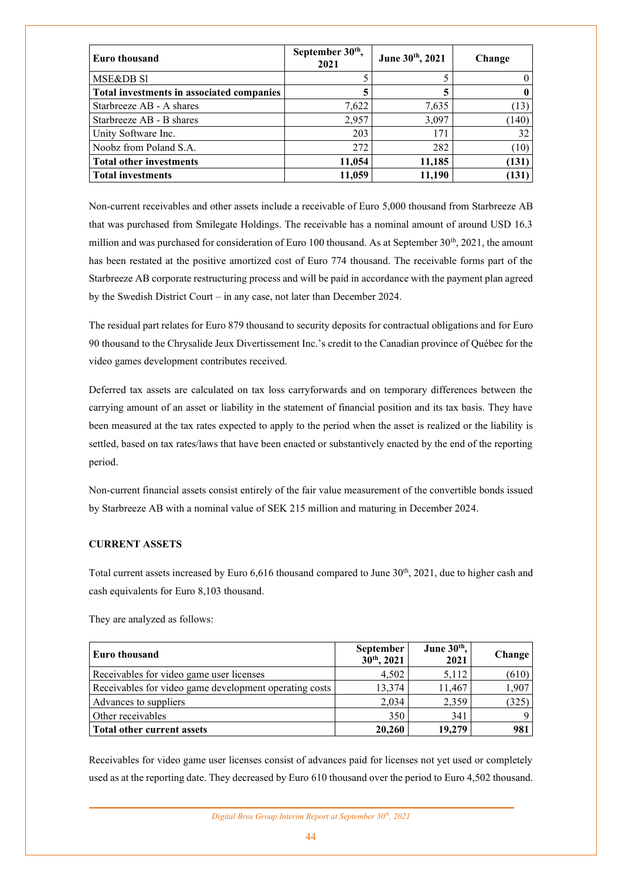| Euro thousand                             | September 30th,<br>2021 | June 30th, 2021 | Change |
|-------------------------------------------|-------------------------|-----------------|--------|
| MSE&DB SI                                 |                         |                 |        |
| Total investments in associated companies | 5                       | 5               |        |
| Starbreeze AB - A shares                  | 7,622                   | 7,635           | (13)   |
| Starbreeze AB - B shares                  | 2,957                   | 3,097           | (140)  |
| Unity Software Inc.                       | 203                     | 171             | 32     |
| Noobz from Poland S.A.                    | 272                     | 282             | (10)   |
| <b>Total other investments</b>            | 11,054                  | 11,185          | (131)  |
| <b>Total investments</b>                  | 11,059                  | 11,190          | (131)  |

Non-current receivables and other assets include a receivable of Euro 5,000 thousand from Starbreeze AB that was purchased from Smilegate Holdings. The receivable has a nominal amount of around USD 16.3 million and was purchased for consideration of Euro 100 thousand. As at September  $30<sup>th</sup>$ ,  $2021$ , the amount has been restated at the positive amortized cost of Euro 774 thousand. The receivable forms part of the Starbreeze AB corporate restructuring process and will be paid in accordance with the payment plan agreed by the Swedish District Court – in any case, not later than December 2024.

The residual part relates for Euro 879 thousand to security deposits for contractual obligations and for Euro 90 thousand to the Chrysalide Jeux Divertissement Inc.'s credit to the Canadian province of Québec for the video games development contributes received.

Deferred tax assets are calculated on tax loss carryforwards and on temporary differences between the carrying amount of an asset or liability in the statement of financial position and its tax basis. They have been measured at the tax rates expected to apply to the period when the asset is realized or the liability is settled, based on tax rates/laws that have been enacted or substantively enacted by the end of the reporting period.

Non-current financial assets consist entirely of the fair value measurement of the convertible bonds issued by Starbreeze AB with a nominal value of SEK 215 million and maturing in December 2024.

# **CURRENT ASSETS**

Total current assets increased by Euro 6,616 thousand compared to June 30<sup>th</sup>, 2021, due to higher cash and cash equivalents for Euro 8,103 thousand.

They are analyzed as follows:

| Euro thousand                                          | September<br>$30^{th}$ , 2021 | June $30th$ ,<br>2021 | Change |
|--------------------------------------------------------|-------------------------------|-----------------------|--------|
| Receivables for video game user licenses               | 4.502                         | 5,112                 | (610)  |
| Receivables for video game development operating costs | 13,374                        | 11,467                | 1,907  |
| Advances to suppliers                                  | 2,034                         | 2,359                 | (325)  |
| Other receivables                                      | 350                           | 341                   |        |
| Total other current assets                             | 20,260                        | 19,279                | 981    |

Receivables for video game user licenses consist of advances paid for licenses not yet used or completely used as at the reporting date. They decreased by Euro 610 thousand over the period to Euro 4,502 thousand.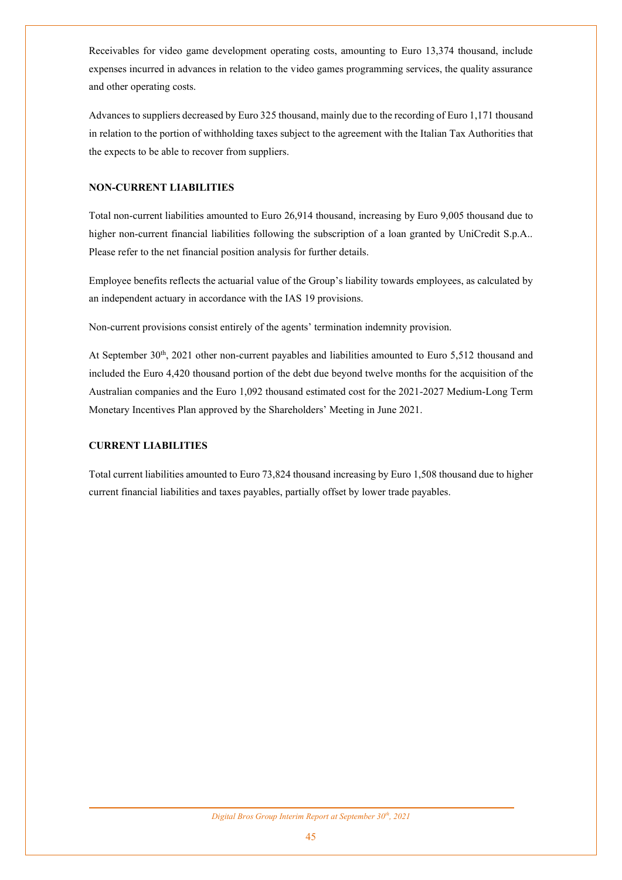Receivables for video game development operating costs, amounting to Euro 13,374 thousand, include expenses incurred in advances in relation to the video games programming services, the quality assurance and other operating costs.

Advances to suppliers decreased by Euro 325 thousand, mainly due to the recording of Euro 1,171 thousand in relation to the portion of withholding taxes subject to the agreement with the Italian Tax Authorities that the expects to be able to recover from suppliers.

# **NON-CURRENT LIABILITIES**

Total non-current liabilities amounted to Euro 26,914 thousand, increasing by Euro 9,005 thousand due to higher non-current financial liabilities following the subscription of a loan granted by UniCredit S.p.A.. Please refer to the net financial position analysis for further details.

Employee benefits reflects the actuarial value of the Group's liability towards employees, as calculated by an independent actuary in accordance with the IAS 19 provisions.

Non-current provisions consist entirely of the agents' termination indemnity provision.

At September  $30<sup>th</sup>$ , 2021 other non-current payables and liabilities amounted to Euro 5,512 thousand and included the Euro 4,420 thousand portion of the debt due beyond twelve months for the acquisition of the Australian companies and the Euro 1,092 thousand estimated cost for the 2021-2027 Medium-Long Term Monetary Incentives Plan approved by the Shareholders' Meeting in June 2021.

### **CURRENT LIABILITIES**

Total current liabilities amounted to Euro 73,824 thousand increasing by Euro 1,508 thousand due to higher current financial liabilities and taxes payables, partially offset by lower trade payables.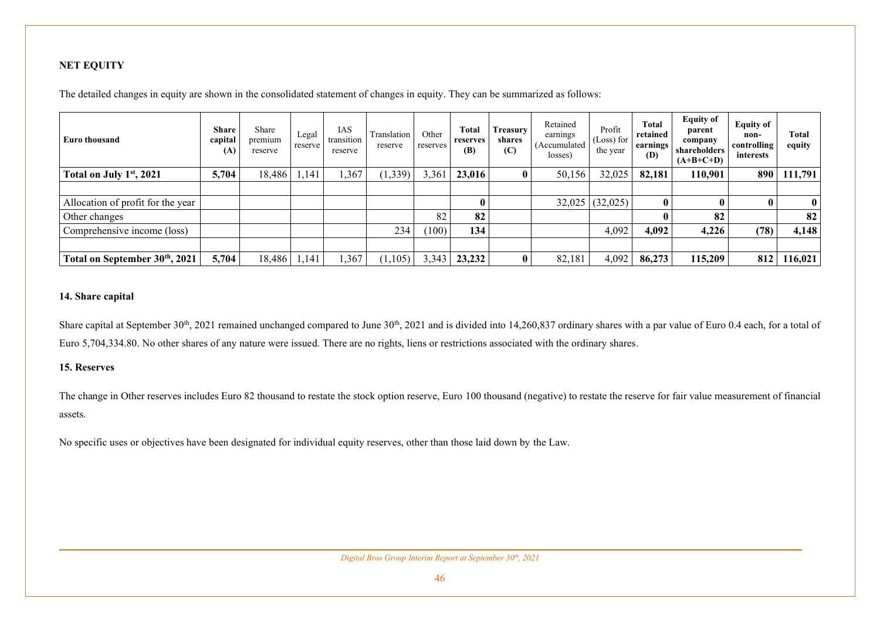# **NET EQUITY**

| <b>Euro thousand</b>              | <b>Share</b><br>capital<br>(A) | Share<br>premium<br>reserve | Legal<br>reserve | IAS<br>transition<br>reserve | Translation<br>reserve | Other<br>reserves | Total<br>reserves<br>(B) | Treasury<br>shares<br>(C) | Retained<br>earnings<br>(Accumulated)<br>losses) | Profit<br>(Loss) for<br>the year | <b>Total</b><br>retained<br>earnings<br>(D) | <b>Equity of</b><br>parent<br>company<br>shareholders<br>$(A+B+C+D)$ | <b>Equity of</b><br>non-<br>controlling<br>interests | <b>Total</b><br>equity |
|-----------------------------------|--------------------------------|-----------------------------|------------------|------------------------------|------------------------|-------------------|--------------------------|---------------------------|--------------------------------------------------|----------------------------------|---------------------------------------------|----------------------------------------------------------------------|------------------------------------------------------|------------------------|
| Total on July 1st, 2021           | 5,704                          | 18,486                      | 1,141            | 1,367                        | (1,339)                | 3,361             | 23,016                   | o                         | 50,156                                           | 32,025                           | 82,181                                      | 110,901                                                              | 890                                                  | 111,791                |
|                                   |                                |                             |                  |                              |                        |                   |                          |                           |                                                  |                                  |                                             |                                                                      |                                                      |                        |
| Allocation of profit for the year |                                |                             |                  |                              |                        |                   | $\mathbf{0}$             |                           |                                                  | $32,025$ (32,025)                | $\mathbf{0}$                                |                                                                      | $\mathbf{0}$                                         | $\mathbf{0}$           |
| Other changes                     |                                |                             |                  |                              |                        | 82                | 82                       |                           |                                                  |                                  | $\mathbf{0}$                                | 82                                                                   |                                                      | 82                     |
| Comprehensive income (loss)       |                                |                             |                  |                              | 234                    | (100)             | 134                      |                           |                                                  | 4,092                            | 4,092                                       | 4,226                                                                | (78)                                                 | 4,148                  |
|                                   |                                |                             |                  |                              |                        |                   |                          |                           |                                                  |                                  |                                             |                                                                      |                                                      |                        |
| Total on September 30th, 2021     | 5,704                          |                             | 18,486 1,141     | ,367                         | (1, 105)               | 3,343             | 23,232                   | 0                         | 82,181                                           | 4,092                            | 86,273                                      | 115,209                                                              | 812                                                  | 116,021                |

The detailed changes in equity are shown in the consolidated statement of changes in equity. They can be summarized as follows:

# **14. Share capital**

Share capital at September 30<sup>th</sup>, 2021 remained unchanged compared to June 30<sup>th</sup>, 2021 and is divided into 14,260,837 ordinary shares with a par value of Euro 0.4 each, for a total of Euro 5,704,334.80. No other shares of any nature were issued. There are no rights, liens or restrictions associated with the ordinary shares.

# **15. Reserves**

The change in Other reserves includes Euro 82 thousand to restate the stock option reserve, Euro 100 thousand (negative) to restate the reserve for fair value measurement of financial assets.

No specific uses or objectives have been designated for individual equity reserves, other than those laid down by the Law.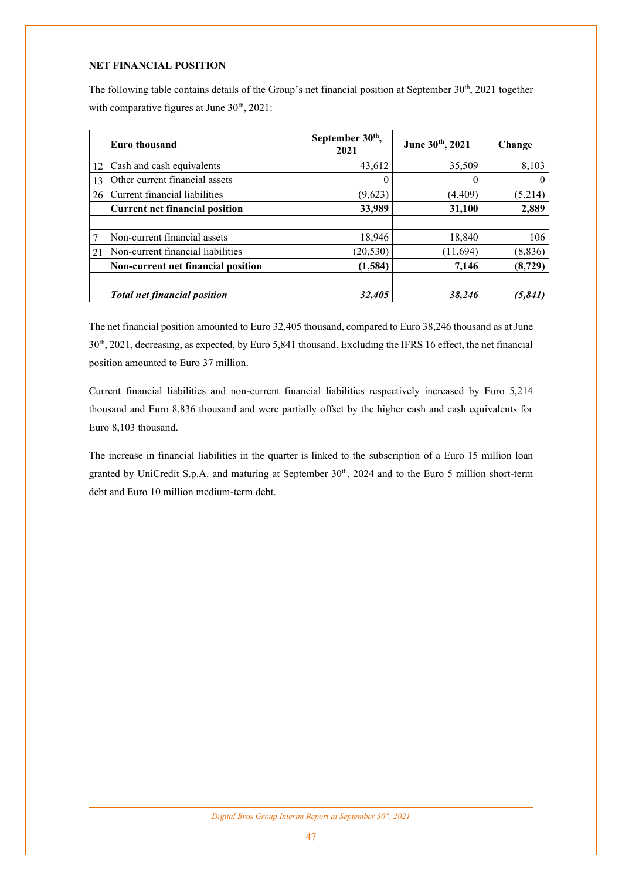# **NET FINANCIAL POSITION**

The following table contains details of the Group's net financial position at September 30<sup>th</sup>, 2021 together with comparative figures at June  $30<sup>th</sup>$ ,  $2021$ :

|    | Euro thousand                         | September 30th,<br>2021 | June 30th, 2021 | Change       |
|----|---------------------------------------|-------------------------|-----------------|--------------|
| 12 | Cash and cash equivalents             | 43,612                  | 35,509          | 8,103        |
| 13 | Other current financial assets        | $\theta$                |                 | $\mathbf{0}$ |
| 26 | Current financial liabilities         | (9,623)                 | (4, 409)        | (5,214)      |
|    | <b>Current net financial position</b> | 33,989                  | 31,100          | 2,889        |
|    |                                       |                         |                 |              |
|    | Non-current financial assets          | 18,946                  | 18,840          | 106          |
| 21 | Non-current financial liabilities     | (20, 530)               | (11, 694)       | (8, 836)     |
|    | Non-current net financial position    | (1, 584)                | 7,146           | (8, 729)     |
|    |                                       |                         |                 |              |
|    | <b>Total net financial position</b>   | 32,405                  | 38,246          | (5, 841)     |

The net financial position amounted to Euro 32,405 thousand, compared to Euro 38,246 thousand as at June 30th, 2021, decreasing, as expected, by Euro 5,841 thousand. Excluding the IFRS 16 effect, the net financial position amounted to Euro 37 million.

Current financial liabilities and non-current financial liabilities respectively increased by Euro 5,214 thousand and Euro 8,836 thousand and were partially offset by the higher cash and cash equivalents for Euro 8,103 thousand.

The increase in financial liabilities in the quarter is linked to the subscription of a Euro 15 million loan granted by UniCredit S.p.A. and maturing at September 30<sup>th</sup>, 2024 and to the Euro 5 million short-term debt and Euro 10 million medium-term debt.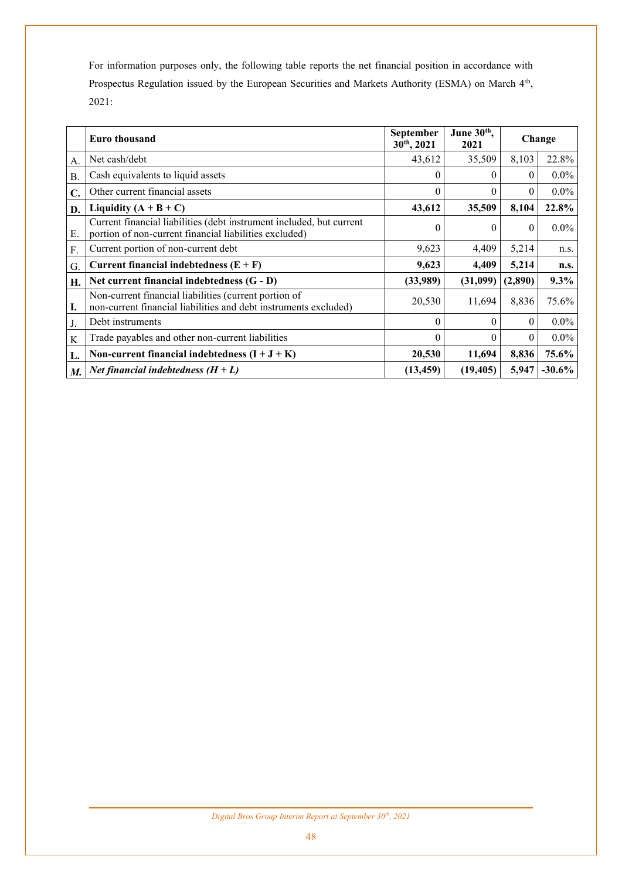For information purposes only, the following table reports the net financial position in accordance with Prospectus Regulation issued by the European Securities and Markets Authority (ESMA) on March 4<sup>th</sup>, 2021:

|    | <b>Euro thousand</b>                                                                                                           | <b>September</b><br>30th, 2021 | June 30 <sup>th</sup> ,<br>2021 |          | Change   |  |
|----|--------------------------------------------------------------------------------------------------------------------------------|--------------------------------|---------------------------------|----------|----------|--|
| A. | Net cash/debt                                                                                                                  | 43,612                         | 35,509                          | 8,103    | 22.8%    |  |
| В. | Cash equivalents to liquid assets                                                                                              | $\Omega$                       | $\Omega$                        | $\Omega$ | $0.0\%$  |  |
| C. | Other current financial assets                                                                                                 | $\theta$                       | $\theta$                        | 0        | $0.0\%$  |  |
| D. | Liquidity $(A + B + C)$                                                                                                        | 43,612                         | 35,509                          | 8,104    | 22.8%    |  |
| Е. | Current financial liabilities (debt instrument included, but current<br>portion of non-current financial liabilities excluded) | $\theta$                       | $\Omega$                        | $\theta$ | $0.0\%$  |  |
| F. | Current portion of non-current debt                                                                                            | 9,623                          | 4,409                           | 5,214    | n.s.     |  |
| G. | Current financial indebtedness $(E + F)$                                                                                       | 9,623                          | 4,409                           | 5,214    | n.s.     |  |
| Н. | Net current financial indebtedness $(G - D)$                                                                                   | (33,989)                       | (31,099)                        | (2,890)  | $9.3\%$  |  |
| I. | Non-current financial liabilities (current portion of<br>non-current financial liabilities and debt instruments excluded)      | 20,530                         | 11,694                          | 8,836    | 75.6%    |  |
| J. | Debt instruments                                                                                                               | $\Omega$                       | $\Omega$                        | $\theta$ | $0.0\%$  |  |
| K  | Trade payables and other non-current liabilities                                                                               | $\Omega$                       | $\Omega$                        | $\Omega$ | $0.0\%$  |  |
| L. | Non-current financial indebtedness $(I + J + K)$                                                                               | 20,530                         | 11,694                          | 8,836    | 75.6%    |  |
| M. | <i>Net financial indebtedness</i> $(H + L)$                                                                                    | (13, 459)                      | (19, 405)                       | 5,947    | $-30.6%$ |  |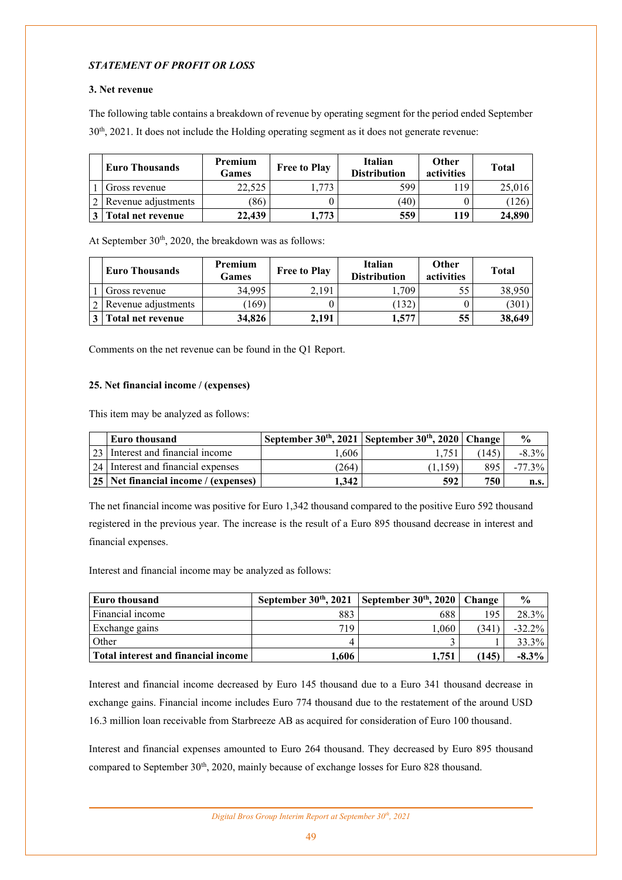# *STATEMENT OF PROFIT OR LOSS*

### **3. Net revenue**

The following table contains a breakdown of revenue by operating segment for the period ended September 30th, 2021. It does not include the Holding operating segment as it does not generate revenue:

| <b>Euro Thousands</b> | Premium<br><b>Games</b> | <b>Free to Play</b> | <b>Italian</b><br><b>Distribution</b> | <b>Other</b><br>activities | <b>Total</b> |
|-----------------------|-------------------------|---------------------|---------------------------------------|----------------------------|--------------|
| Gross revenue         | 22.525                  | .773                | 599                                   | 19،                        | 25,016       |
| Revenue adjustments   | (86)                    |                     | (40)                                  |                            | 126          |
| Total net revenue     | 22,439                  | 1,773               | 559                                   | 119                        | 24,890       |

At September 30<sup>th</sup>, 2020, the breakdown was as follows:

| <b>Euro Thousands</b> | Premium<br>Games | <b>Free to Play</b> | <b>Italian</b><br><b>Distribution</b> | <b>Other</b><br>activities | Total  |
|-----------------------|------------------|---------------------|---------------------------------------|----------------------------|--------|
| Gross revenue         | 34.995           | 2.191               | .,709                                 |                            | 38.950 |
| Revenue adjustments   | 169)             |                     | 132)                                  |                            | (301)  |
| Total net revenue     | 34,826           | 2.191               | 1.577                                 | 55                         | 38,649 |

Comments on the net revenue can be found in the Q1 Report.

# **25. Net financial income / (expenses)**

This item may be analyzed as follows:

| Euro thousand                        |       | September $30th$ , 2021   September $30th$ , 2020   Change |       | $\frac{0}{0}$ |
|--------------------------------------|-------|------------------------------------------------------------|-------|---------------|
| 23 Interest and financial income     | .606  |                                                            | (145) | $-8.3\%$      |
| 24 Interest and financial expenses   | (264) | (1.159)                                                    | 895   | $-77.3\%$     |
| 25 Net financial income / (expenses) | 1.342 | 592                                                        | 750   | n.s.          |

The net financial income was positive for Euro 1,342 thousand compared to the positive Euro 592 thousand registered in the previous year. The increase is the result of a Euro 895 thousand decrease in interest and financial expenses.

Interest and financial income may be analyzed as follows:

| Euro thousand                       | September $30th$ , 2021   September $30th$ , 2020   Change |       |       | $\frac{0}{0}$ |
|-------------------------------------|------------------------------------------------------------|-------|-------|---------------|
| Financial income                    | 883                                                        | 688   | 195   | $28.3\%$      |
| Exchange gains                      | 719                                                        | .060  | (341  | $-32.2\%$     |
| Other                               |                                                            |       |       | 33.3%         |
| Total interest and financial income | 1.606                                                      | 1,751 | (145) | $-8.3\%$      |

Interest and financial income decreased by Euro 145 thousand due to a Euro 341 thousand decrease in exchange gains. Financial income includes Euro 774 thousand due to the restatement of the around USD 16.3 million loan receivable from Starbreeze AB as acquired for consideration of Euro 100 thousand.

Interest and financial expenses amounted to Euro 264 thousand. They decreased by Euro 895 thousand compared to September 30<sup>th</sup>, 2020, mainly because of exchange losses for Euro 828 thousand.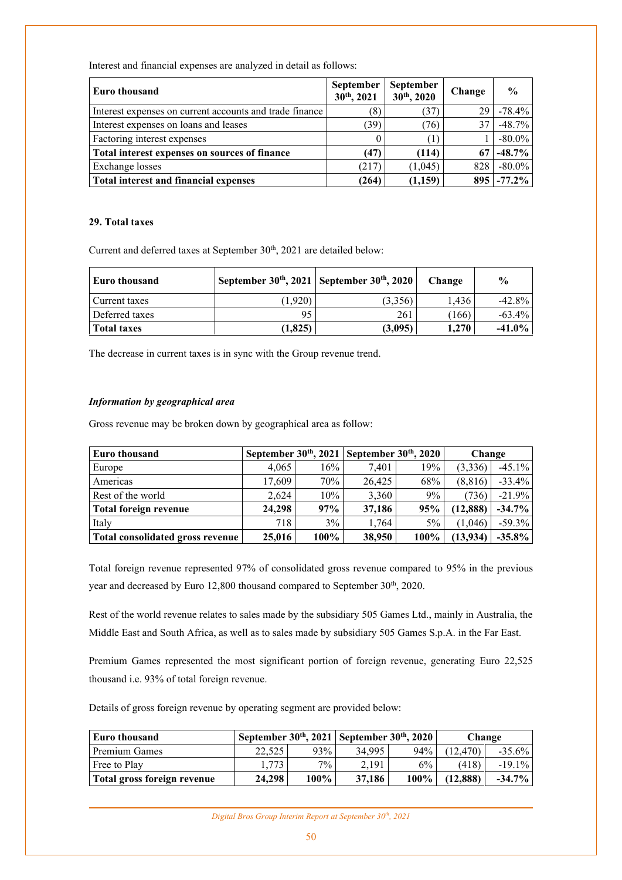Interest and financial expenses are analyzed in detail as follows:

| <b>Euro thousand</b>                                    | September<br>30th, 2021 | September<br>30th, 2020 | Change | $\frac{0}{0}$ |
|---------------------------------------------------------|-------------------------|-------------------------|--------|---------------|
| Interest expenses on current accounts and trade finance | $\left(8\right)$        | (37)                    | 29     | $-78.4\%$     |
| Interest expenses on loans and leases                   | (39)                    | 76)                     | 37     | $-48.7\%$     |
| Factoring interest expenses                             |                         | <sup>(1)</sup>          |        | $-80.0\%$     |
| Total interest expenses on sources of finance           | (47)                    | (114)                   | 67     | $-48.7\%$     |
| <b>Exchange</b> losses                                  | (217)                   | (1,045)                 | 828    | $-80.0\%$     |
| <b>Total interest and financial expenses</b>            | (264)                   | (1,159)                 |        | $895$ -77.2%  |

## **29. Total taxes**

Current and deferred taxes at September 30<sup>th</sup>, 2021 are detailed below:

| l Euro thousand    |          | September 30 <sup>th</sup> , 2021   September 30 <sup>th</sup> , 2020 | Change | $\frac{0}{0}$ |
|--------------------|----------|-----------------------------------------------------------------------|--------|---------------|
| Current taxes      | 1.920)   | (3,356)                                                               | 1,436  | $-42.8\%$     |
| Deferred taxes     | 95       | 261                                                                   | (166)  | $-63.4\%$     |
| <b>Total taxes</b> | (1, 825) | (3,095)                                                               | 1.270  | $-41.0\%$     |

The decrease in current taxes is in sync with the Group revenue trend.

# *Information by geographical area*

Gross revenue may be broken down by geographical area as follow:

| Euro thousand                    | September $30th$ , 2021   September $30th$ , 2020 |      |        |       | Change    |           |
|----------------------------------|---------------------------------------------------|------|--------|-------|-----------|-----------|
| Europe                           | 4.065                                             | 16%  | 7.401  | 19%   | (3,336)   | $-45.1%$  |
| Americas                         | 17,609                                            | 70%  | 26,425 | 68%   | (8, 816)  | $-33.4%$  |
| Rest of the world                | 2.624                                             | 10%  | 3,360  | 9%    | (736)     | $-21.9%$  |
| Total foreign revenue            | 24,298                                            | 97%  | 37,186 | 95%   | (12, 888) | $-34.7%$  |
| Italy                            | 718                                               | 3%   | 1.764  | $5\%$ | (1.046)   | $-59.3%$  |
| Total consolidated gross revenue | 25,016                                            | 100% | 38,950 | 100%  | (13, 934) | $-35.8\%$ |

Total foreign revenue represented 97% of consolidated gross revenue compared to 95% in the previous year and decreased by Euro 12,800 thousand compared to September 30<sup>th</sup>, 2020.

Rest of the world revenue relates to sales made by the subsidiary 505 Games Ltd., mainly in Australia, the Middle East and South Africa, as well as to sales made by subsidiary 505 Games S.p.A. in the Far East.

Premium Games represented the most significant portion of foreign revenue, generating Euro 22,525 thousand i.e. 93% of total foreign revenue.

Details of gross foreign revenue by operating segment are provided below:

| Euro thousand               |        |         | September $30th$ , 2021   September $30th$ , 2020 |         |          | Change    |
|-----------------------------|--------|---------|---------------------------------------------------|---------|----------|-----------|
| Premium Games               | 22.525 | 93%     | 34.995                                            | 94%     | (12.470) | $-35.6\%$ |
| Free to Play                | .773   | $7\%$   | 2.191                                             | $6\%$   | (418)    | $-19.1\%$ |
| Total gross foreign revenue | 24,298 | $100\%$ | 37,186                                            | $100\%$ | (12.888) | $-34.7\%$ |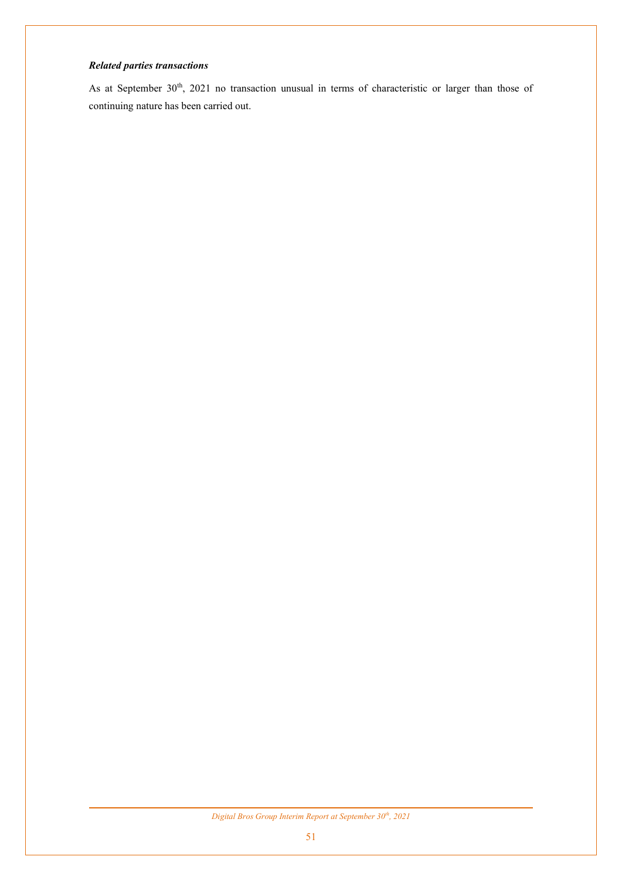# *Related parties transactions*

As at September 30<sup>th</sup>, 2021 no transaction unusual in terms of characteristic or larger than those of continuing nature has been carried out.